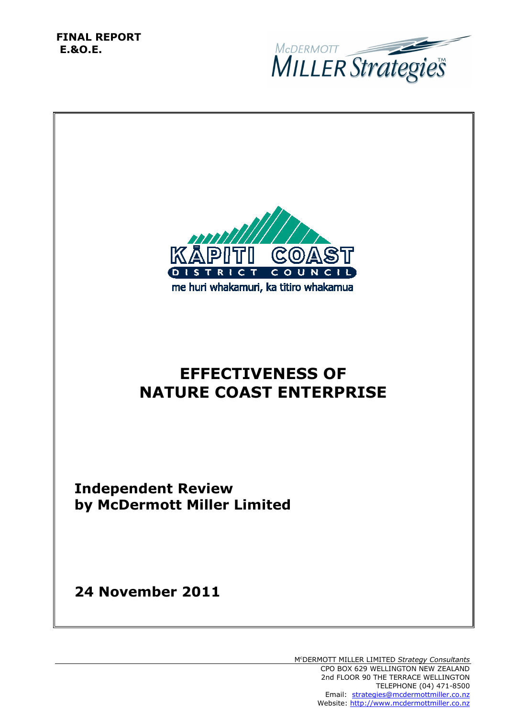**FINAL REPORT E.&O.E.** 



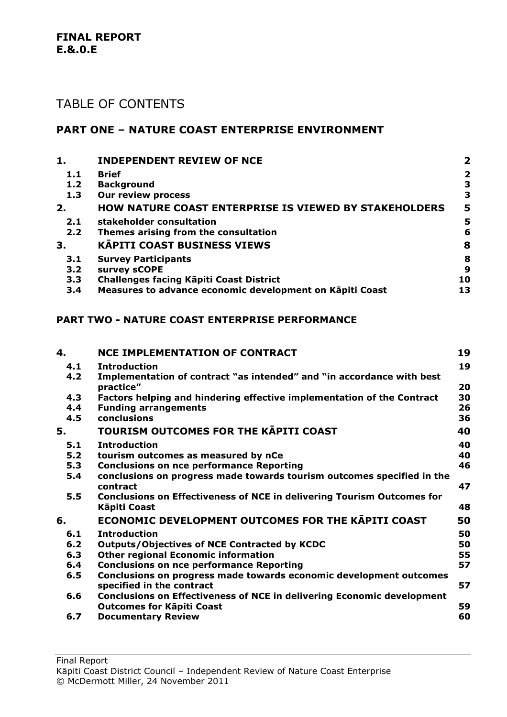#### **FINAL REPORT E.&.0.E**

### TABLE OF CONTENTS

### **PART ONE – NATURE COAST ENTERPRISE ENVIRONMENT**

| 1.  | <b>INDEPENDENT REVIEW OF NCE</b>                             | $\mathbf{2}$   |
|-----|--------------------------------------------------------------|----------------|
| 1.1 | <b>Brief</b>                                                 | $\overline{2}$ |
| 1.2 | <b>Background</b>                                            | 3              |
| 1.3 | <b>Our review process</b>                                    | 3              |
| 2.  | <b>HOW NATURE COAST ENTERPRISE IS VIEWED BY STAKEHOLDERS</b> | 5              |
| 2.1 | stakeholder consultation                                     | 5              |
| 2.2 | Themes arising from the consultation                         | 6              |
| 3.  | <b>KAPITI COAST BUSINESS VIEWS</b>                           | 8              |
| 3.1 | <b>Survey Participants</b>                                   | 8              |
| 3.2 | survey sCOPE                                                 | 9              |
| 3.3 | <b>Challenges facing Käpiti Coast District</b>               | 10             |
| 3.4 | Measures to advance economic development on Kāpiti Coast     | 13             |

#### **PART TWO - NATURE COAST ENTERPRISE PERFORMANCE**

| 4.  | <b>NCE IMPLEMENTATION OF CONTRACT</b>                                         | 19 |
|-----|-------------------------------------------------------------------------------|----|
| 4.1 | <b>Introduction</b>                                                           | 19 |
| 4.2 | Implementation of contract "as intended" and "in accordance with best         |    |
|     | practice"                                                                     | 20 |
| 4.3 | Factors helping and hindering effective implementation of the Contract        | 30 |
| 4.4 | <b>Funding arrangements</b>                                                   | 26 |
| 4.5 | conclusions                                                                   | 36 |
| 5.  | TOURISM OUTCOMES FOR THE KAPITI COAST                                         | 40 |
| 5.1 | <b>Introduction</b>                                                           | 40 |
| 5.2 | tourism outcomes as measured by nCe                                           | 40 |
| 5.3 | <b>Conclusions on nce performance Reporting</b>                               | 46 |
| 5.4 | conclusions on progress made towards tourism outcomes specified in the        |    |
|     | contract                                                                      | 47 |
| 5.5 | <b>Conclusions on Effectiveness of NCE in delivering Tourism Outcomes for</b> |    |
|     | Kāpiti Coast                                                                  | 48 |
| 6.  | <b>ECONOMIC DEVELOPMENT OUTCOMES FOR THE KAPITI COAST</b>                     | 50 |
| 6.1 | <b>Introduction</b>                                                           | 50 |
| 6.2 | <b>Outputs/Objectives of NCE Contracted by KCDC</b>                           | 50 |
| 6.3 | <b>Other regional Economic information</b>                                    | 55 |
| 6.4 | <b>Conclusions on nce performance Reporting</b>                               | 57 |
| 6.5 | Conclusions on progress made towards economic development outcomes            |    |
|     | specified in the contract                                                     | 57 |
| 6.6 | <b>Conclusions on Effectiveness of NCE in delivering Economic development</b> |    |
|     | <b>Outcomes for Kāpiti Coast</b>                                              | 59 |
| 6.7 | <b>Documentary Review</b>                                                     | 60 |

Final Report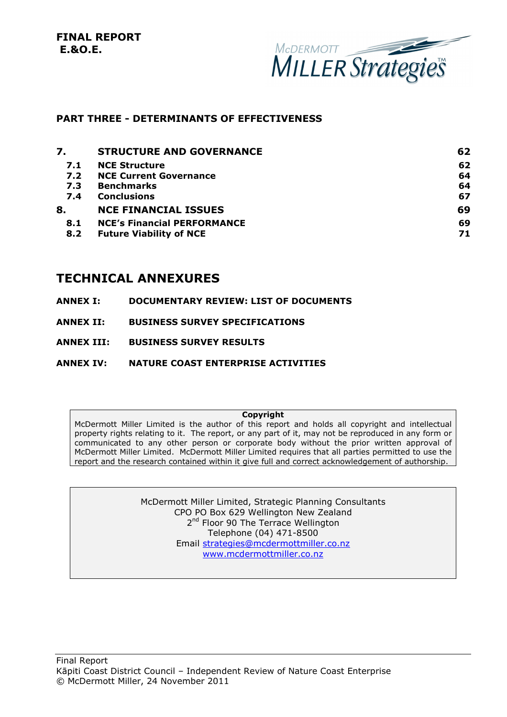**FINAL REPORT E.&O.E.** 



#### **PART THREE - DETERMINANTS OF EFFECTIVENESS**

| 7.  | <b>STRUCTURE AND GOVERNANCE</b>    | 62 |
|-----|------------------------------------|----|
| 7.1 | <b>NCE Structure</b>               | 62 |
| 7.2 | <b>NCE Current Governance</b>      | 64 |
| 7.3 | <b>Benchmarks</b>                  | 64 |
| 7.4 | <b>Conclusions</b>                 | 67 |
| 8.  | <b>NCE FINANCIAL ISSUES</b>        | 69 |
| 8.1 | <b>NCE's Financial PERFORMANCE</b> | 69 |
| 8.2 | <b>Future Viability of NCE</b>     | 71 |
|     |                                    |    |

### **TECHNICAL ANNEXURES**

- **ANNEX I: DOCUMENTARY REVIEW: LIST OF DOCUMENTS**
- **ANNEX II: BUSINESS SURVEY SPECIFICATIONS**
- **ANNEX III: BUSINESS SURVEY RESULTS**
- **ANNEX IV: NATURE COAST ENTERPRISE ACTIVITIES**

#### **Copyright**

McDermott Miller Limited is the author of this report and holds all copyright and intellectual property rights relating to it. The report, or any part of it, may not be reproduced in any form or communicated to any other person or corporate body without the prior written approval of McDermott Miller Limited. McDermott Miller Limited requires that all parties permitted to use the report and the research contained within it give full and correct acknowledgement of authorship.

> McDermott Miller Limited, Strategic Planning Consultants CPO PO Box 629 Wellington New Zealand 2<sup>nd</sup> Floor 90 The Terrace Wellington Telephone (04) 471-8500 Email strategies@mcdermottmiller.co.nz www.mcdermottmiller.co.nz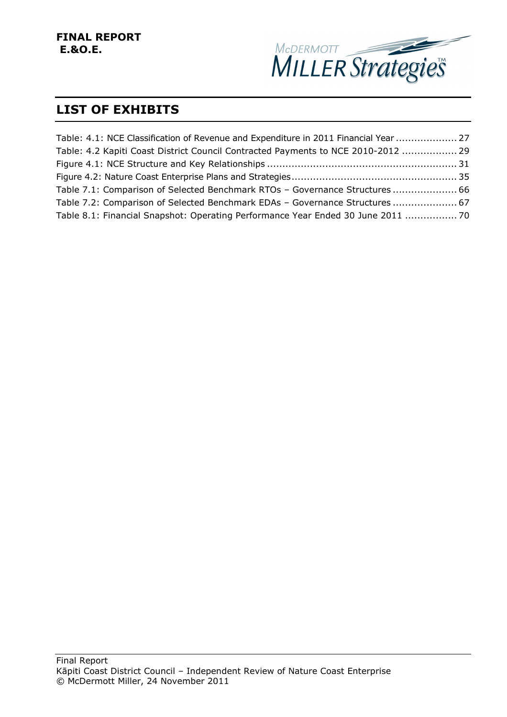

### **LIST OF EXHIBITS**

| Table: 4.1: NCE Classification of Revenue and Expenditure in 2011 Financial Year  27 |  |
|--------------------------------------------------------------------------------------|--|
| Table: 4.2 Kapiti Coast District Council Contracted Payments to NCE 2010-2012  29    |  |
|                                                                                      |  |
|                                                                                      |  |
| Table 7.1: Comparison of Selected Benchmark RTOs - Governance Structures  66         |  |
| Table 7.2: Comparison of Selected Benchmark EDAs - Governance Structures  67         |  |
| Table 8.1: Financial Snapshot: Operating Performance Year Ended 30 June 2011  70     |  |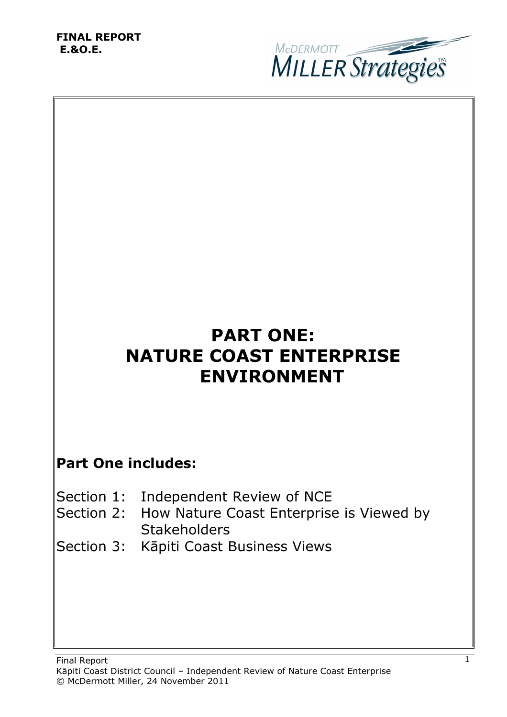#### **FINAL REPORT E.&O.E.**



# **PART ONE: NATURE COAST ENTERPRISE ENVIRONMENT**

## **Part One includes:**

- Section 1: Independent Review of NCE
- Section 2: How Nature Coast Enterprise is Viewed by **Stakeholders**
- Section 3: Kāpiti Coast Business Views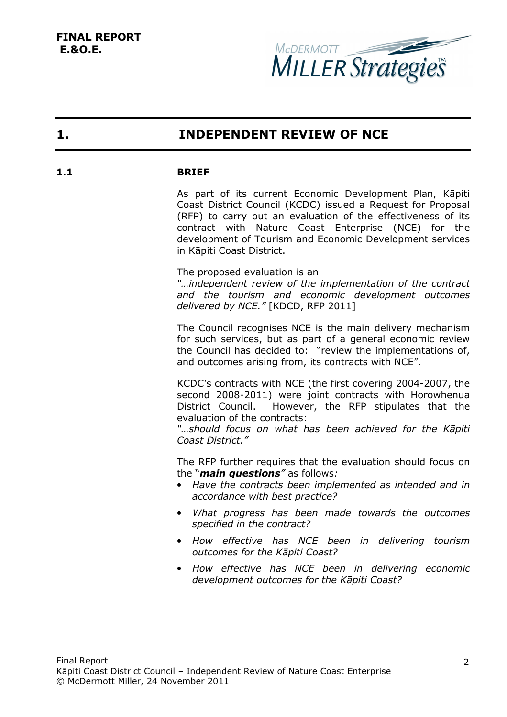

### **1. INDEPENDENT REVIEW OF NCE**

#### **1.1 BRIEF**

As part of its current Economic Development Plan, Kāpiti Coast District Council (KCDC) issued a Request for Proposal (RFP) to carry out an evaluation of the effectiveness of its contract with Nature Coast Enterprise (NCE) for the development of Tourism and Economic Development services in Kāpiti Coast District.

The proposed evaluation is an

*"…independent review of the implementation of the contract and the tourism and economic development outcomes delivered by NCE."* [KDCD, RFP 2011]

The Council recognises NCE is the main delivery mechanism for such services, but as part of a general economic review the Council has decided to: "review the implementations of, and outcomes arising from, its contracts with NCE".

KCDC's contracts with NCE (the first covering 2004-2007, the second 2008-2011) were joint contracts with Horowhenua District Council. However, the RFP stipulates that the evaluation of the contracts:

*"…should focus on what has been achieved for the Kāpiti Coast District."* 

The RFP further requires that the evaluation should focus on the "*main questions"* as follows*:* 

- *Have the contracts been implemented as intended and in accordance with best practice?*
- *What progress has been made towards the outcomes specified in the contract?*
- *How effective has NCE been in delivering tourism outcomes for the Kāpiti Coast?*
- *How effective has NCE been in delivering economic development outcomes for the Kāpiti Coast?*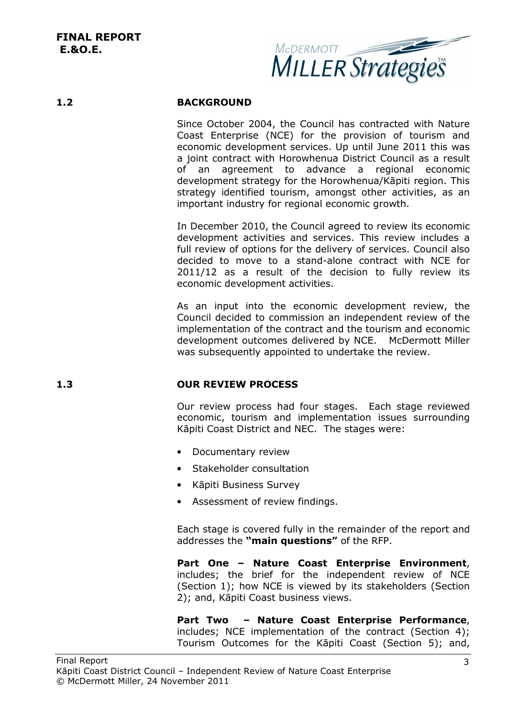

#### **1.2 BACKGROUND**

Since October 2004, the Council has contracted with Nature Coast Enterprise (NCE) for the provision of tourism and economic development services. Up until June 2011 this was a joint contract with Horowhenua District Council as a result of an agreement to advance a regional economic development strategy for the Horowhenua/Kāpiti region. This strategy identified tourism, amongst other activities, as an important industry for regional economic growth.

In December 2010, the Council agreed to review its economic development activities and services. This review includes a full review of options for the delivery of services. Council also decided to move to a stand-alone contract with NCE for 2011/12 as a result of the decision to fully review its economic development activities.

As an input into the economic development review, the Council decided to commission an independent review of the implementation of the contract and the tourism and economic development outcomes delivered by NCE. McDermott Miller was subsequently appointed to undertake the review.

### **1.3 OUR REVIEW PROCESS**

Our review process had four stages. Each stage reviewed economic, tourism and implementation issues surrounding Kāpiti Coast District and NEC. The stages were:

- Documentary review
- Stakeholder consultation
- Kāpiti Business Survey
- Assessment of review findings.

Each stage is covered fully in the remainder of the report and addresses the **"main questions"** of the RFP.

**Part One – Nature Coast Enterprise Environment**, includes; the brief for the independent review of NCE (Section 1); how NCE is viewed by its stakeholders (Section 2); and, Kāpiti Coast business views.

**Part Two – Nature Coast Enterprise Performance**, includes; NCE implementation of the contract (Section 4); Tourism Outcomes for the Kāpiti Coast (Section 5); and,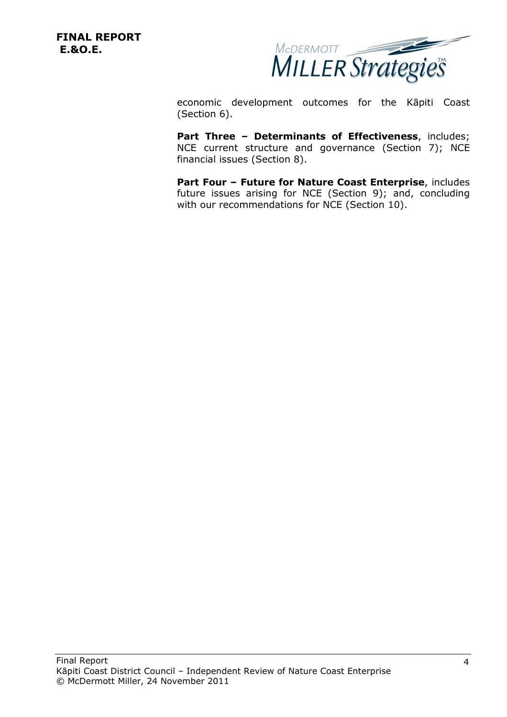**FINAL REPORT E.&O.E.** 



economic development outcomes for the Kāpiti Coast (Section 6).

Part Three - Determinants of Effectiveness, includes; NCE current structure and governance (Section 7); NCE financial issues (Section 8).

**Part Four – Future for Nature Coast Enterprise**, includes future issues arising for NCE (Section 9); and, concluding with our recommendations for NCE (Section 10).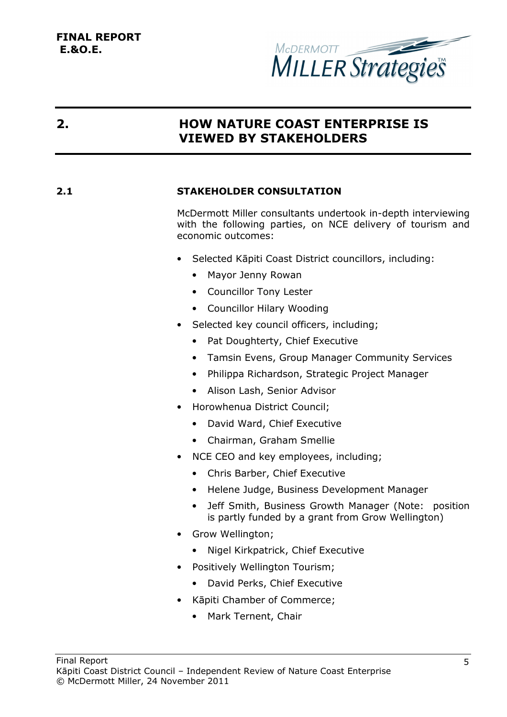

### **2. HOW NATURE COAST ENTERPRISE IS VIEWED BY STAKEHOLDERS**

### **2.1 STAKEHOLDER CONSULTATION**

McDermott Miller consultants undertook in-depth interviewing with the following parties, on NCE delivery of tourism and economic outcomes:

- Selected Kāpiti Coast District councillors, including:
	- Mayor Jenny Rowan
	- Councillor Tony Lester
	- Councillor Hilary Wooding
- Selected key council officers, including;
	- Pat Doughterty, Chief Executive
	- Tamsin Evens, Group Manager Community Services
	- Philippa Richardson, Strategic Project Manager
	- Alison Lash, Senior Advisor
- Horowhenua District Council;
	- David Ward, Chief Executive
	- Chairman, Graham Smellie
- NCE CEO and key employees, including;
	- Chris Barber, Chief Executive
	- Helene Judge, Business Development Manager
	- Jeff Smith, Business Growth Manager (Note: position is partly funded by a grant from Grow Wellington)
- Grow Wellington;
	- Nigel Kirkpatrick, Chief Executive
- Positively Wellington Tourism;
	- David Perks, Chief Executive
- Kāpiti Chamber of Commerce;
	- Mark Ternent, Chair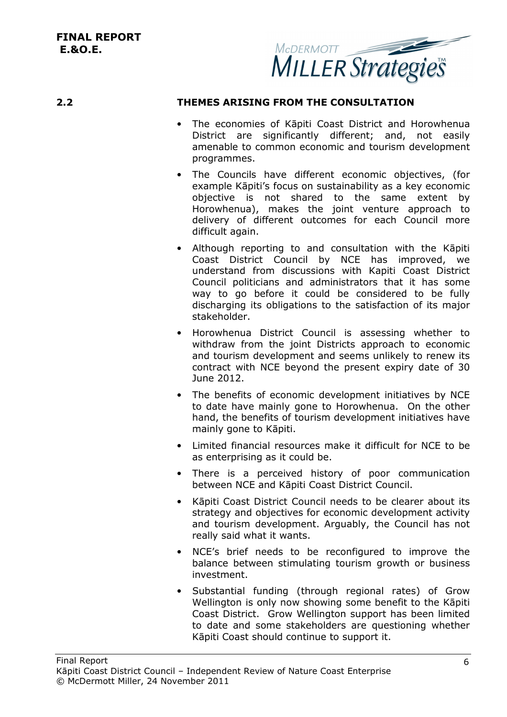

#### **2.2 THEMES ARISING FROM THE CONSULTATION**

- The economies of Kāpiti Coast District and Horowhenua District are significantly different; and, not easily amenable to common economic and tourism development programmes.
- The Councils have different economic objectives, (for example Kāpiti's focus on sustainability as a key economic objective is not shared to the same extent by Horowhenua), makes the joint venture approach to delivery of different outcomes for each Council more difficult again.
- Although reporting to and consultation with the Kāpiti Coast District Council by NCE has improved, we understand from discussions with Kapiti Coast District Council politicians and administrators that it has some way to go before it could be considered to be fully discharging its obligations to the satisfaction of its major stakeholder.
- Horowhenua District Council is assessing whether to withdraw from the joint Districts approach to economic and tourism development and seems unlikely to renew its contract with NCE beyond the present expiry date of 30 June 2012.
- The benefits of economic development initiatives by NCE to date have mainly gone to Horowhenua. On the other hand, the benefits of tourism development initiatives have mainly gone to Kāpiti.
- Limited financial resources make it difficult for NCE to be as enterprising as it could be.
- There is a perceived history of poor communication between NCE and Kāpiti Coast District Council.
- Kāpiti Coast District Council needs to be clearer about its strategy and objectives for economic development activity and tourism development. Arguably, the Council has not really said what it wants.
- NCE's brief needs to be reconfigured to improve the balance between stimulating tourism growth or business investment.
- Substantial funding (through regional rates) of Grow Wellington is only now showing some benefit to the Kāpiti Coast District. Grow Wellington support has been limited to date and some stakeholders are questioning whether Kāpiti Coast should continue to support it.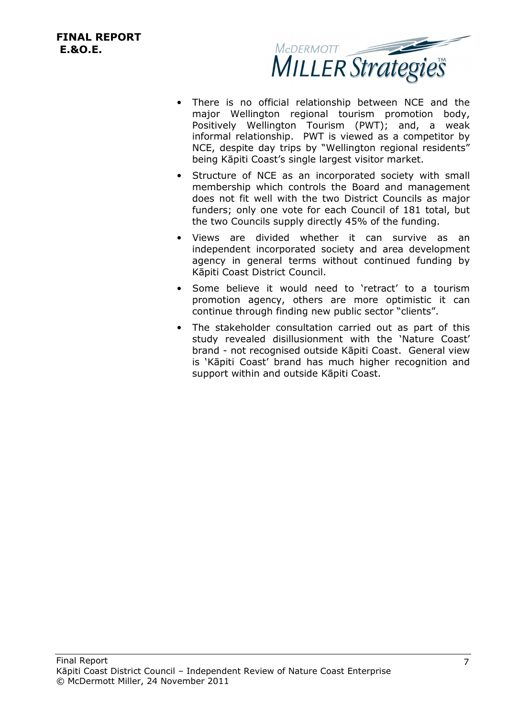

- There is no official relationship between NCE and the major Wellington regional tourism promotion body, Positively Wellington Tourism (PWT); and, a weak informal relationship. PWT is viewed as a competitor by NCE, despite day trips by "Wellington regional residents" being Kāpiti Coast's single largest visitor market.
- Structure of NCE as an incorporated society with small membership which controls the Board and management does not fit well with the two District Councils as major funders; only one vote for each Council of 181 total, but the two Councils supply directly 45% of the funding.
- Views are divided whether it can survive as an independent incorporated society and area development agency in general terms without continued funding by Kāpiti Coast District Council.
- Some believe it would need to 'retract' to a tourism promotion agency, others are more optimistic it can continue through finding new public sector "clients".
- The stakeholder consultation carried out as part of this study revealed disillusionment with the 'Nature Coast' brand - not recognised outside Kāpiti Coast. General view is 'Kāpiti Coast' brand has much higher recognition and support within and outside Kāpiti Coast.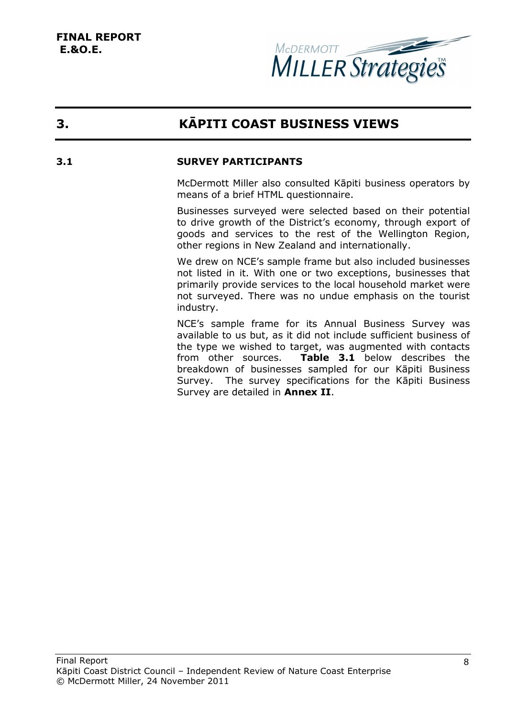

## **3. KĀPITI COAST BUSINESS VIEWS**

#### **3.1 SURVEY PARTICIPANTS**

McDermott Miller also consulted Kāpiti business operators by means of a brief HTML questionnaire.

Businesses surveyed were selected based on their potential to drive growth of the District's economy, through export of goods and services to the rest of the Wellington Region, other regions in New Zealand and internationally.

We drew on NCE's sample frame but also included businesses not listed in it. With one or two exceptions, businesses that primarily provide services to the local household market were not surveyed. There was no undue emphasis on the tourist industry.

NCE's sample frame for its Annual Business Survey was available to us but, as it did not include sufficient business of the type we wished to target, was augmented with contacts from other sources. **Table 3.1** below describes the breakdown of businesses sampled for our Kāpiti Business Survey. The survey specifications for the Kāpiti Business Survey are detailed in **Annex II**.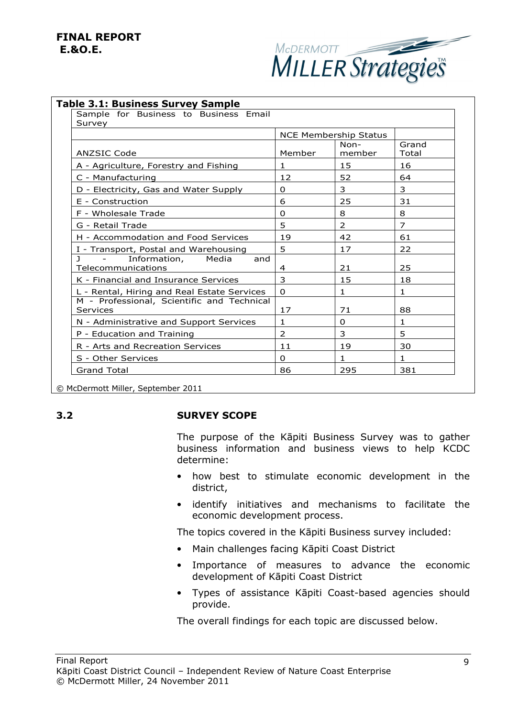

| Sample for Business to Business Email<br>Survey                                  |                              |                |                |
|----------------------------------------------------------------------------------|------------------------------|----------------|----------------|
|                                                                                  | <b>NCE Membership Status</b> |                |                |
| <b>ANZSIC Code</b>                                                               | Member                       | Non-<br>member | Grand<br>Total |
| A - Agriculture, Forestry and Fishing                                            | $\mathbf{1}$                 | 15             | 16             |
| C - Manufacturing                                                                | 12                           | 52             | 64             |
| D - Electricity, Gas and Water Supply                                            | $\Omega$                     | 3              | 3              |
| E - Construction                                                                 | 6                            | 25             | 31             |
| F - Wholesale Trade                                                              | $\Omega$                     | 8              | 8              |
| G - Retail Trade                                                                 | 5                            | $\overline{2}$ | $\overline{7}$ |
| H - Accommodation and Food Services                                              | 19                           | 42             | 61             |
| I - Transport, Postal and Warehousing                                            | 5                            | 17             | 22             |
| $\mathbf{I}$<br>Information,<br>Media<br>$\sim$ $-$<br>and<br>Telecommunications | 4                            | 21             | 25             |
| K - Financial and Insurance Services                                             | 3                            | 15             | 18             |
| L - Rental, Hiring and Real Estate Services                                      | $\Omega$                     | $\mathbf{1}$   | $\mathbf{1}$   |
| M - Professional, Scientific and Technical<br>Services                           | 17                           | 71             | 88             |
| N - Administrative and Support Services                                          | $\mathbf{1}$                 | $\Omega$       | $\mathbf{1}$   |
| P - Education and Training                                                       | 2                            | 3              | 5              |
| R - Arts and Recreation Services                                                 | 11                           | 19             | 30             |
| S - Other Services                                                               | $\Omega$                     | $\mathbf{1}$   | $\mathbf{1}$   |
| <b>Grand Total</b>                                                               | 86                           | 295            | 381            |

© McDermott Miller, September 2011

#### **3.2 SURVEY SCOPE**

The purpose of the Kāpiti Business Survey was to gather business information and business views to help KCDC determine:

- how best to stimulate economic development in the district,
- identify initiatives and mechanisms to facilitate the economic development process.

The topics covered in the Kāpiti Business survey included:

- Main challenges facing Kāpiti Coast District
- Importance of measures to advance the economic development of Kāpiti Coast District
- Types of assistance Kāpiti Coast-based agencies should provide.

The overall findings for each topic are discussed below.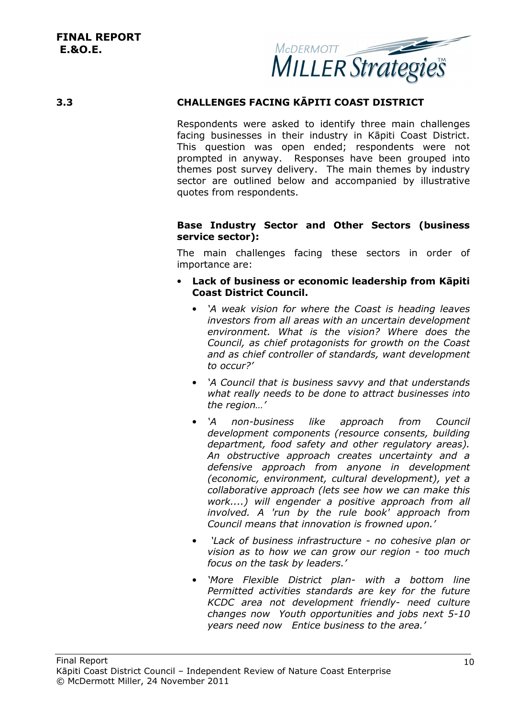

#### **3.3 CHALLENGES FACING KĀPITI COAST DISTRICT**

Respondents were asked to identify three main challenges facing businesses in their industry in Kāpiti Coast District. This question was open ended; respondents were not prompted in anyway. Responses have been grouped into themes post survey delivery. The main themes by industry sector are outlined below and accompanied by illustrative quotes from respondents.

#### **Base Industry Sector and Other Sectors (business service sector):**

The main challenges facing these sectors in order of importance are:

- **Lack of business or economic leadership from Kāpiti Coast District Council.**
	- *'A weak vision for where the Coast is heading leaves investors from all areas with an uncertain development environment. What is the vision? Where does the Council, as chief protagonists for growth on the Coast and as chief controller of standards, want development to occur?'*
	- *'A Council that is business savvy and that understands what really needs to be done to attract businesses into the region…'*
	- *'A non-business like approach from Council development components (resource consents, building department, food safety and other regulatory areas). An obstructive approach creates uncertainty and a defensive approach from anyone in development (economic, environment, cultural development), yet a collaborative approach (lets see how we can make this work....) will engender a positive approach from all involved. A 'run by the rule book' approach from Council means that innovation is frowned upon.'*
	- • *'Lack of business infrastructure no cohesive plan or vision as to how we can grow our region - too much focus on the task by leaders.'*
	- *'More Flexible District plan- with a bottom line Permitted activities standards are key for the future KCDC area not development friendly- need culture changes now Youth opportunities and jobs next 5-10 years need now Entice business to the area.'*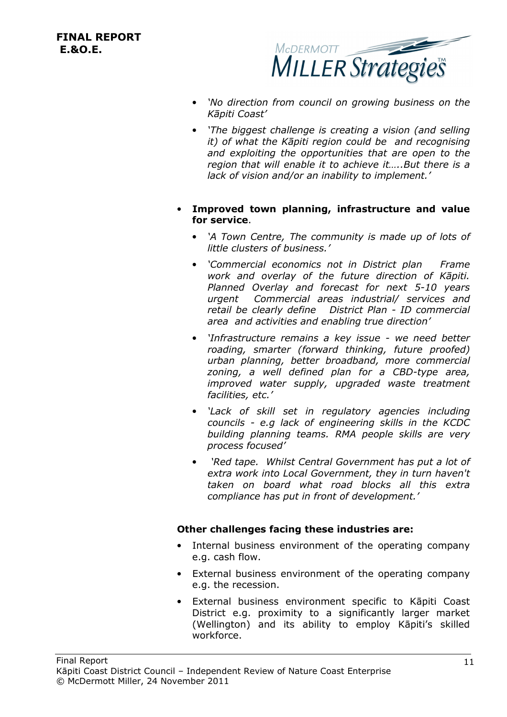

- *'No direction from council on growing business on the Kāpiti Coast'*
- *'The biggest challenge is creating a vision (and selling it) of what the Kāpiti region could be and recognising and exploiting the opportunities that are open to the region that will enable it to achieve it…..But there is a lack of vision and/or an inability to implement.'*
- **Improved town planning, infrastructure and value for service**.
	- *'A Town Centre, The community is made up of lots of little clusters of business.'*
	- *'Commercial economics not in District plan Frame work and overlay of the future direction of Kāpiti. Planned Overlay and forecast for next 5-10 years urgent Commercial areas industrial/ services and retail be clearly define District Plan - ID commercial area and activities and enabling true direction'*
	- *'Infrastructure remains a key issue we need better roading, smarter (forward thinking, future proofed) urban planning, better broadband, more commercial zoning, a well defined plan for a CBD-type area, improved water supply, upgraded waste treatment facilities, etc.'*
	- *'Lack of skill set in regulatory agencies including councils - e.g lack of engineering skills in the KCDC building planning teams. RMA people skills are very process focused'*
	- • *'Red tape. Whilst Central Government has put a lot of extra work into Local Government, they in turn haven't taken on board what road blocks all this extra compliance has put in front of development.'*

#### **Other challenges facing these industries are:**

- Internal business environment of the operating company e.g. cash flow.
- External business environment of the operating company e.g. the recession.
- External business environment specific to Kāpiti Coast District e.g. proximity to a significantly larger market (Wellington) and its ability to employ Kāpiti's skilled workforce.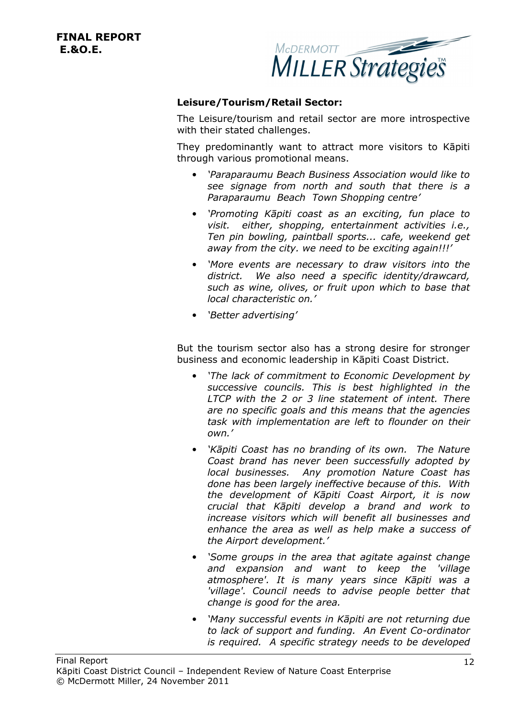

#### **Leisure/Tourism/Retail Sector:**

The Leisure/tourism and retail sector are more introspective with their stated challenges.

They predominantly want to attract more visitors to Kāpiti through various promotional means.

- *'Paraparaumu Beach Business Association would like to see signage from north and south that there is a Paraparaumu Beach Town Shopping centre'*
- *'Promoting Kāpiti coast as an exciting, fun place to visit. either, shopping, entertainment activities i.e., Ten pin bowling, paintball sports... cafe, weekend get away from the city. we need to be exciting again!!!'*
- *'More events are necessary to draw visitors into the district. We also need a specific identity/drawcard, such as wine, olives, or fruit upon which to base that local characteristic on.'*
- *'Better advertising'*

But the tourism sector also has a strong desire for stronger business and economic leadership in Kāpiti Coast District.

- *'The lack of commitment to Economic Development by successive councils. This is best highlighted in the LTCP with the 2 or 3 line statement of intent. There are no specific goals and this means that the agencies task with implementation are left to flounder on their own.'*
- *'Kāpiti Coast has no branding of its own. The Nature Coast brand has never been successfully adopted by local businesses. Any promotion Nature Coast has done has been largely ineffective because of this. With the development of Kāpiti Coast Airport, it is now crucial that Kāpiti develop a brand and work to increase visitors which will benefit all businesses and enhance the area as well as help make a success of the Airport development.'*
- *'Some groups in the area that agitate against change and expansion and want to keep the 'village atmosphere'. It is many years since Kāpiti was a 'village'. Council needs to advise people better that change is good for the area.*
- *'Many successful events in Kāpiti are not returning due to lack of support and funding. An Event Co-ordinator is required. A specific strategy needs to be developed*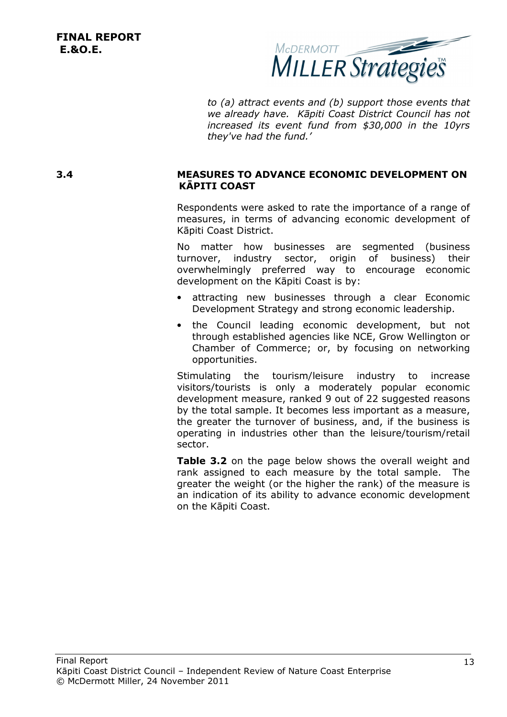

*to (a) attract events and (b) support those events that we already have. Kāpiti Coast District Council has not increased its event fund from \$30,000 in the 10yrs they've had the fund.'* 

#### **3.4 MEASURES TO ADVANCE ECONOMIC DEVELOPMENT ON KĀPITI COAST**

Respondents were asked to rate the importance of a range of measures, in terms of advancing economic development of Kāpiti Coast District.

No matter how businesses are segmented (business turnover, industry sector, origin of business) their overwhelmingly preferred way to encourage economic development on the Kāpiti Coast is by:

- attracting new businesses through a clear Economic Development Strategy and strong economic leadership.
- the Council leading economic development, but not through established agencies like NCE, Grow Wellington or Chamber of Commerce; or, by focusing on networking opportunities.

Stimulating the tourism/leisure industry to increase visitors/tourists is only a moderately popular economic development measure, ranked 9 out of 22 suggested reasons by the total sample. It becomes less important as a measure, the greater the turnover of business, and, if the business is operating in industries other than the leisure/tourism/retail sector.

**Table 3.2** on the page below shows the overall weight and rank assigned to each measure by the total sample. The greater the weight (or the higher the rank) of the measure is an indication of its ability to advance economic development on the Kāpiti Coast.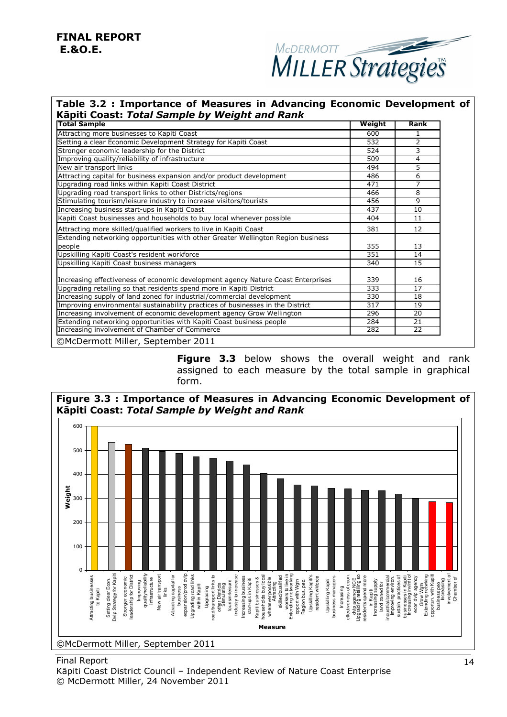### **FINAL REPORT E.&O.E.**



#### **Table 3.2 : Importance of Measures in Advancing Economic Development of Kāpiti Coast:** *Total Sample by Weight and Rank*

| Total Sample                                                                     | Weight | Rank           |
|----------------------------------------------------------------------------------|--------|----------------|
| Attracting more businesses to Kapiti Coast                                       | 600    | 1              |
| Setting a clear Economic Development Strategy for Kapiti Coast                   | 532    | 2              |
| Stronger economic leadership for the District                                    | 524    | 3              |
| Improving quality/reliability of infrastructure                                  | 509    | $\overline{4}$ |
| New air transport links                                                          | 494    | 5              |
| Attracting capital for business expansion and/or product development             | 486    | 6              |
| Upgrading road links within Kapiti Coast District                                | 471    | $\overline{7}$ |
| Upgrading road transport links to other Districts/regions                        | 466    | 8              |
| Stimulating tourism/leisure industry to increase visitors/tourists               | 456    | 9              |
| Increasing business start-ups in Kapiti Coast                                    | 437    | 10             |
| Kapiti Coast businesses and households to buy local whenever possible            | 404    | 11             |
| Attracting more skilled/qualified workers to live in Kapiti Coast                | 381    | 12             |
| Extending networking opportunities with other Greater Wellington Region business |        |                |
| people                                                                           | 355    | 13             |
| Upskilling Kapiti Coast's resident workforce                                     | 351    | 14             |
| Upskilling Kapiti Coast business managers                                        | 340    | 15             |
| Increasing effectiveness of economic development agency Nature Coast Enterprises | 339    | 16             |
| Upgrading retailing so that residents spend more in Kapiti District              | 333    | 17             |
| Increasing supply of land zoned for industrial/commercial development            | 330    | 18             |
| Improving environmental sustainability practices of businesses in the District   | 317    | 19             |
| Increasing involvement of economic development agency Grow Wellington            | 296    | 20             |
| Extending networking opportunities with Kapiti Coast business people             | 284    | 21             |
| Increasing involvement of Chamber of Commerce                                    | 282    | 22             |
| ©McDermott Miller, September 2011                                                |        |                |

**Figure 3.3** below shows the overall weight and rank assigned to each measure by the total sample in graphical form.



**Figure 3.3 : Importance of Measures in Advancing Economic Development of** 

Final Report

Kāpiti Coast District Council – Independent Review of Nature Coast Enterprise © McDermott Miller, 24 November 2011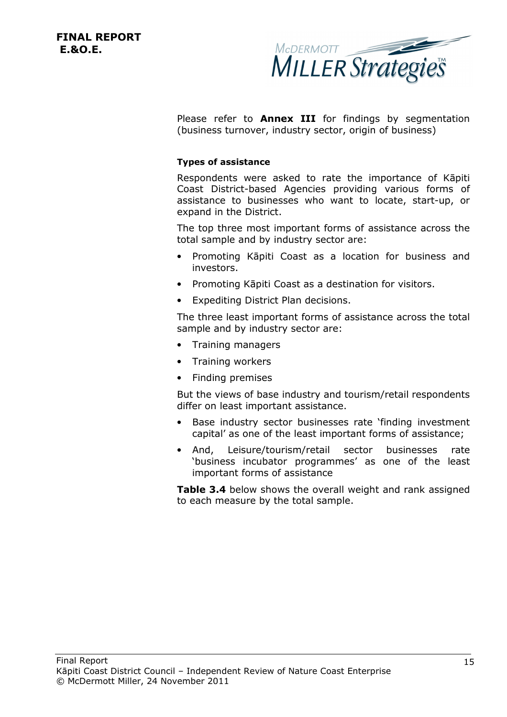

Please refer to **Annex III** for findings by segmentation (business turnover, industry sector, origin of business)

#### **Types of assistance**

Respondents were asked to rate the importance of Kāpiti Coast District-based Agencies providing various forms of assistance to businesses who want to locate, start-up, or expand in the District.

The top three most important forms of assistance across the total sample and by industry sector are:

- Promoting Kāpiti Coast as a location for business and investors.
- Promoting Kāpiti Coast as a destination for visitors.
- Expediting District Plan decisions.

The three least important forms of assistance across the total sample and by industry sector are:

- Training managers
- Training workers
- Finding premises

But the views of base industry and tourism/retail respondents differ on least important assistance.

- Base industry sector businesses rate 'finding investment capital' as one of the least important forms of assistance;
- And, Leisure/tourism/retail sector businesses rate 'business incubator programmes' as one of the least important forms of assistance

**Table 3.4** below shows the overall weight and rank assigned to each measure by the total sample.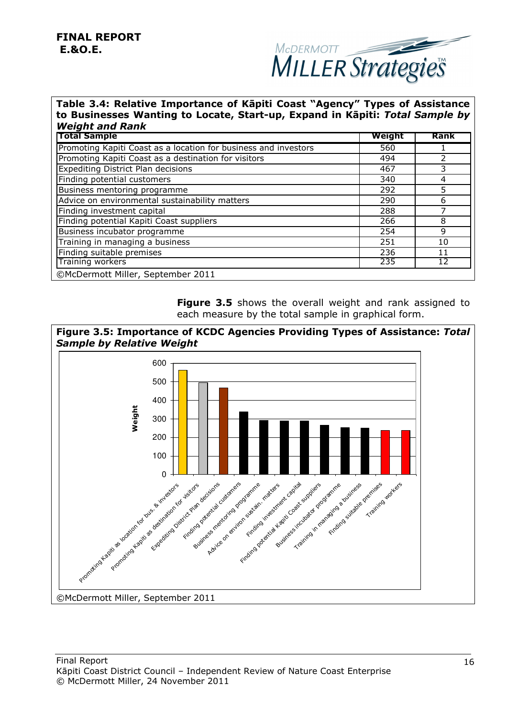

#### **Table 3.4: Relative Importance of Kāpiti Coast "Agency" Types of Assistance to Businesses Wanting to Locate, Start-up, Expand in Kāpiti:** *Total Sample by Weight and Rank*

| <b>Total Sample</b>                                             | Weight | <b>Rank</b> |
|-----------------------------------------------------------------|--------|-------------|
| Promoting Kapiti Coast as a location for business and investors | 560    |             |
| Promoting Kapiti Coast as a destination for visitors            | 494    |             |
| <b>Expediting District Plan decisions</b>                       | 467    | 3           |
| Finding potential customers                                     | 340    | 4           |
| Business mentoring programme                                    | 292    | 5           |
| Advice on environmental sustainability matters                  | 290    | 6           |
| Finding investment capital                                      | 288    |             |
| Finding potential Kapiti Coast suppliers                        | 266    | 8           |
| Business incubator programme                                    | 254    | 9           |
| Training in managing a business                                 | 251    | 10          |
| Finding suitable premises                                       | 236    | 11          |
| Training workers                                                | 235    |             |
| ©McDermott Miller, September 2011                               |        |             |

**Figure 3.5** shows the overall weight and rank assigned to each measure by the total sample in graphical form.



©McDermott Miller, September 2011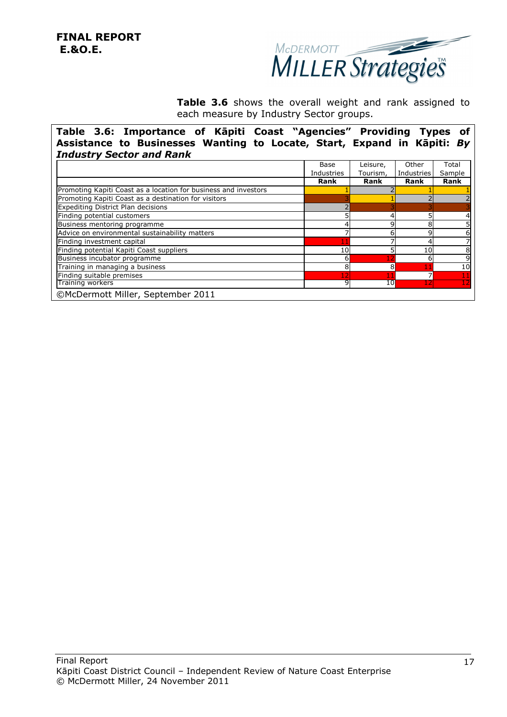

Table 3.6 shows the overall weight and rank assigned to each measure by Industry Sector groups.

**Table 3.6: Importance of Kāpiti Coast "Agencies" Providing Types of Assistance to Businesses Wanting to Locate, Start, Expand in Kāpiti:** *By Industry Sector and Rank*

| Industries<br><b>Rank</b> | Tourism,<br><b>Rank</b> | <b>Industries</b><br>Rank | Sample<br><b>Rank</b> |
|---------------------------|-------------------------|---------------------------|-----------------------|
|                           |                         |                           |                       |
|                           |                         |                           |                       |
|                           |                         |                           |                       |
|                           |                         |                           |                       |
|                           |                         |                           |                       |
|                           | 4                       |                           |                       |
|                           | Ω                       |                           |                       |
|                           |                         |                           | 6                     |
|                           |                         |                           |                       |
|                           |                         | 10                        | 8                     |
|                           |                         |                           | 9                     |
| 8                         |                         |                           | 10                    |
|                           |                         |                           |                       |
|                           |                         |                           |                       |
|                           |                         | 10<br>6<br>12<br>9        | 8<br>10               |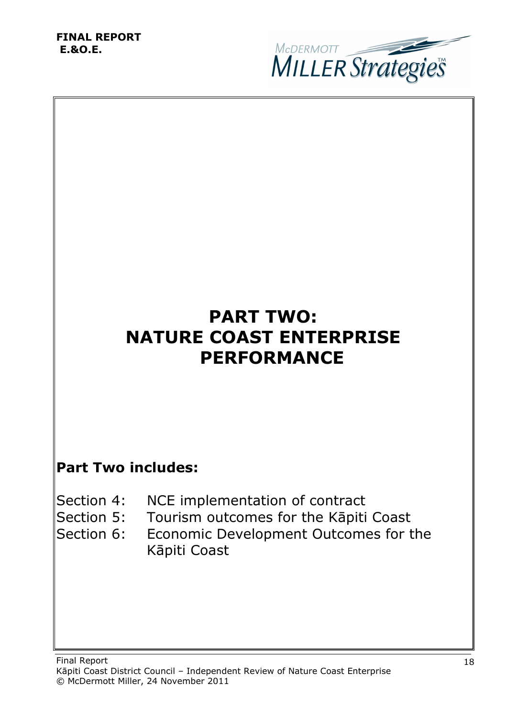

# **PART TWO: NATURE COAST ENTERPRISE PERFORMANCE**

## **Part Two includes:**

- Section 4: NCE implementation of contract
- Section 5: Tourism outcomes for the Kāpiti Coast
- Section 6: Economic Development Outcomes for the Kāpiti Coast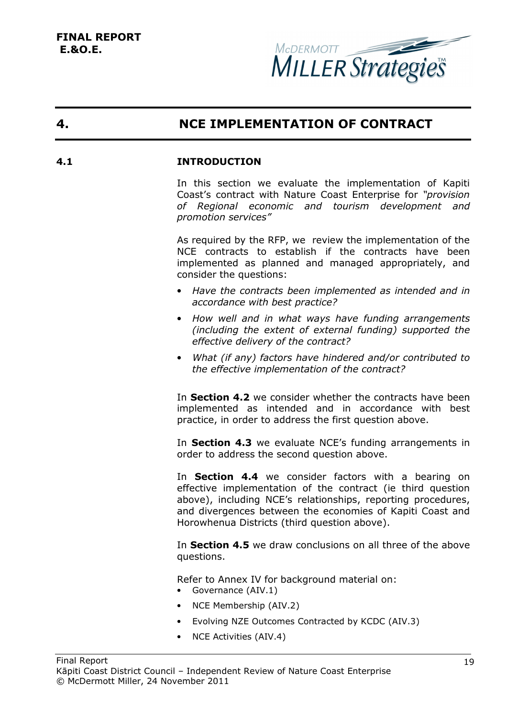

### **4. NCE IMPLEMENTATION OF CONTRACT**

#### **4.1 INTRODUCTION**

In this section we evaluate the implementation of Kapiti Coast's contract with Nature Coast Enterprise for *"provision of Regional economic and tourism development and promotion services"*

As required by the RFP, we review the implementation of the NCE contracts to establish if the contracts have been implemented as planned and managed appropriately, and consider the questions:

- *Have the contracts been implemented as intended and in accordance with best practice?*
- *How well and in what ways have funding arrangements (including the extent of external funding) supported the effective delivery of the contract?*
- *What (if any) factors have hindered and/or contributed to the effective implementation of the contract?*

In **Section 4.2** we consider whether the contracts have been implemented as intended and in accordance with best practice, in order to address the first question above.

In **Section 4.3** we evaluate NCE's funding arrangements in order to address the second question above.

In **Section 4.4** we consider factors with a bearing on effective implementation of the contract (ie third question above), including NCE's relationships, reporting procedures, and divergences between the economies of Kapiti Coast and Horowhenua Districts (third question above).

In **Section 4.5** we draw conclusions on all three of the above questions.

Refer to Annex IV for background material on:

- Governance (AIV.1)
- NCE Membership (AIV.2)
- Evolving NZE Outcomes Contracted by KCDC (AIV.3)
- NCE Activities (AIV.4)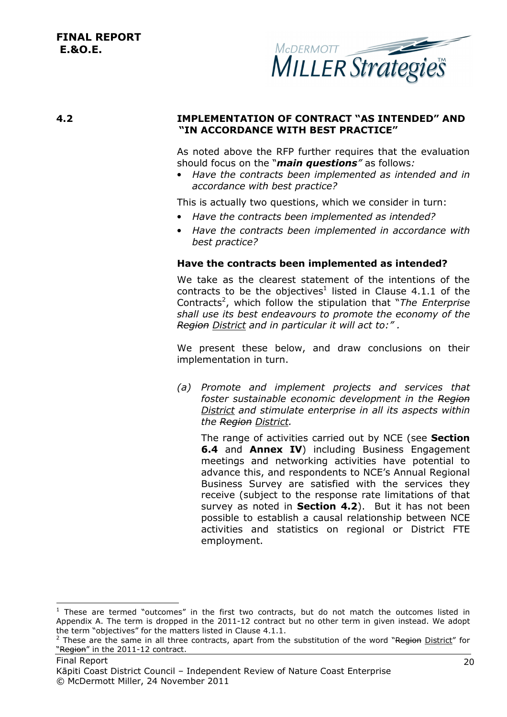

#### **4.2 IMPLEMENTATION OF CONTRACT "AS INTENDED" AND "IN ACCORDANCE WITH BEST PRACTICE"**

As noted above the RFP further requires that the evaluation should focus on the "*main questions"* as follows*:* 

• *Have the contracts been implemented as intended and in accordance with best practice?* 

This is actually two questions, which we consider in turn:

- *Have the contracts been implemented as intended?*
- *Have the contracts been implemented in accordance with best practice?*

#### **Have the contracts been implemented as intended?**

We take as the clearest statement of the intentions of the contracts to be the objectives<sup>1</sup> listed in Clause 4.1.1 of the Contracts<sup>2</sup>, which follow the stipulation that "*The Enterprise shall use its best endeavours to promote the economy of the Region District and in particular it will act to:" .* 

We present these below, and draw conclusions on their implementation in turn.

*(a) Promote and implement projects and services that foster sustainable economic development in the Region District and stimulate enterprise in all its aspects within the Region District.* 

The range of activities carried out by NCE (see **Section 6.4** and **Annex IV**) including Business Engagement meetings and networking activities have potential to advance this, and respondents to NCE's Annual Regional Business Survey are satisfied with the services they receive (subject to the response rate limitations of that survey as noted in **Section 4.2**). But it has not been possible to establish a causal relationship between NCE activities and statistics on regional or District FTE employment.

i, <sup>1</sup> These are termed "outcomes" in the first two contracts, but do not match the outcomes listed in Appendix A. The term is dropped in the 2011-12 contract but no other term in given instead. We adopt the term "objectives" for the matters listed in Clause 4.1.1.

<sup>&</sup>lt;sup>2</sup> These are the same in all three contracts, apart from the substitution of the word "Region District" for "Region" in the 2011-12 contract.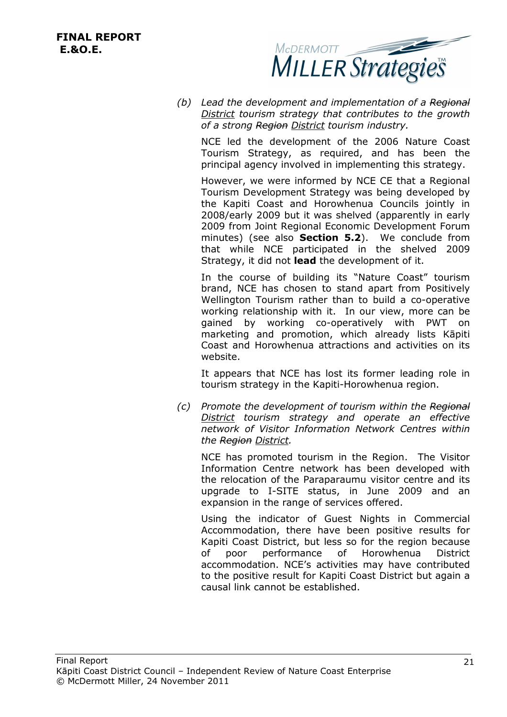

*(b) Lead the development and implementation of a Regional District tourism strategy that contributes to the growth of a strong Region District tourism industry.* 

NCE led the development of the 2006 Nature Coast Tourism Strategy, as required, and has been the principal agency involved in implementing this strategy.

However, we were informed by NCE CE that a Regional Tourism Development Strategy was being developed by the Kapiti Coast and Horowhenua Councils jointly in 2008/early 2009 but it was shelved (apparently in early 2009 from Joint Regional Economic Development Forum minutes) (see also **Section 5.2**). We conclude from that while NCE participated in the shelved 2009 Strategy, it did not **lead** the development of it.

In the course of building its "Nature Coast" tourism brand, NCE has chosen to stand apart from Positively Wellington Tourism rather than to build a co-operative working relationship with it. In our view, more can be gained by working co-operatively with PWT on marketing and promotion, which already lists Kāpiti Coast and Horowhenua attractions and activities on its website.

It appears that NCE has lost its former leading role in tourism strategy in the Kapiti-Horowhenua region.

*(c) Promote the development of tourism within the Regional District tourism strategy and operate an effective network of Visitor Information Network Centres within the Region District.* 

NCE has promoted tourism in the Region. The Visitor Information Centre network has been developed with the relocation of the Paraparaumu visitor centre and its upgrade to I-SITE status, in June 2009 and an expansion in the range of services offered.

Using the indicator of Guest Nights in Commercial Accommodation, there have been positive results for Kapiti Coast District, but less so for the region because of poor performance of Horowhenua District accommodation. NCE's activities may have contributed to the positive result for Kapiti Coast District but again a causal link cannot be established.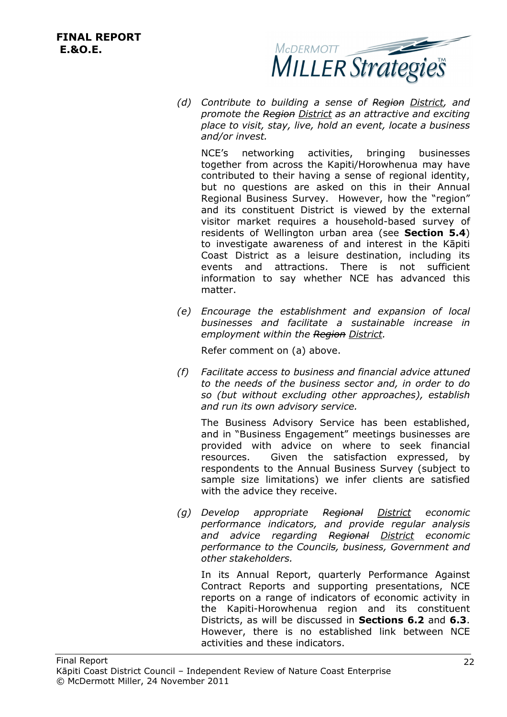

*(d) Contribute to building a sense of Region District, and promote the Region District as an attractive and exciting place to visit, stay, live, hold an event, locate a business and/or invest.* 

NCE's networking activities, bringing businesses together from across the Kapiti/Horowhenua may have contributed to their having a sense of regional identity, but no questions are asked on this in their Annual Regional Business Survey. However, how the "region" and its constituent District is viewed by the external visitor market requires a household-based survey of residents of Wellington urban area (see **Section 5.4**) to investigate awareness of and interest in the Kāpiti Coast District as a leisure destination, including its events and attractions. There is not sufficient information to say whether NCE has advanced this matter.

*(e) Encourage the establishment and expansion of local businesses and facilitate a sustainable increase in employment within the Region District.* 

Refer comment on (a) above.

*(f) Facilitate access to business and financial advice attuned to the needs of the business sector and, in order to do so (but without excluding other approaches), establish and run its own advisory service.* 

The Business Advisory Service has been established, and in "Business Engagement" meetings businesses are provided with advice on where to seek financial resources. Given the satisfaction expressed, by respondents to the Annual Business Survey (subject to sample size limitations) we infer clients are satisfied with the advice they receive.

*(g) Develop appropriate Regional District economic performance indicators, and provide regular analysis and advice regarding Regional District economic performance to the Councils, business, Government and other stakeholders.* 

In its Annual Report, quarterly Performance Against Contract Reports and supporting presentations, NCE reports on a range of indicators of economic activity in the Kapiti-Horowhenua region and its constituent Districts, as will be discussed in **Sections 6.2** and **6.3**. However, there is no established link between NCE activities and these indicators.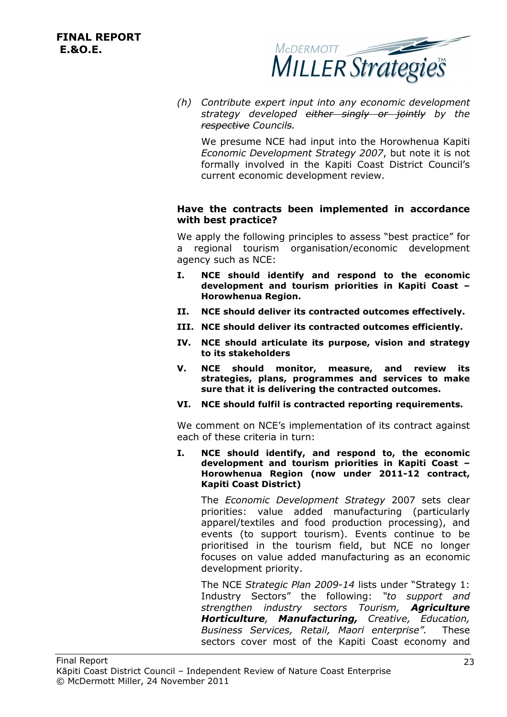

*(h) Contribute expert input into any economic development strategy developed either singly or jointly by the respective Councils.* 

We presume NCE had input into the Horowhenua Kapiti *Economic Development Strategy 2007*, but note it is not formally involved in the Kapiti Coast District Council's current economic development review.

#### **Have the contracts been implemented in accordance with best practice?**

We apply the following principles to assess "best practice" for a regional tourism organisation/economic development agency such as NCE:

- **I. NCE should identify and respond to the economic development and tourism priorities in Kapiti Coast – Horowhenua Region.**
- **II. NCE should deliver its contracted outcomes effectively.**
- **III. NCE should deliver its contracted outcomes efficiently.**
- **IV. NCE should articulate its purpose, vision and strategy to its stakeholders**
- **V. NCE should monitor, measure, and review its strategies, plans, programmes and services to make sure that it is delivering the contracted outcomes.**
- **VI. NCE should fulfil is contracted reporting requirements.**

We comment on NCE's implementation of its contract against each of these criteria in turn:

**I. NCE should identify, and respond to, the economic development and tourism priorities in Kapiti Coast – Horowhenua Region (now under 2011-12 contract, Kapiti Coast District)** 

The *Economic Development Strategy* 2007 sets clear priorities: value added manufacturing (particularly apparel/textiles and food production processing), and events (to support tourism). Events continue to be prioritised in the tourism field, but NCE no longer focuses on value added manufacturing as an economic development priority.

The NCE *Strategic Plan 2009-14* lists under "Strategy 1: Industry Sectors" the following: *"to support and strengthen industry sectors Tourism, Agriculture Horticulture, Manufacturing, Creative, Education, Business Services, Retail, Maori enterprise".* These sectors cover most of the Kapiti Coast economy and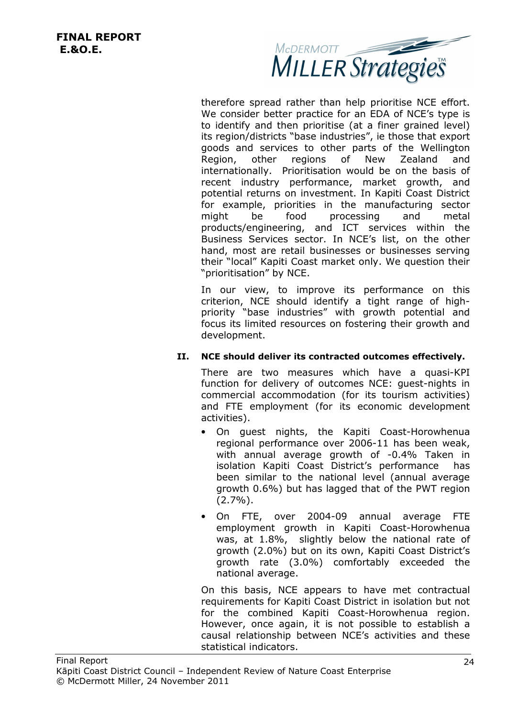

therefore spread rather than help prioritise NCE effort. We consider better practice for an EDA of NCE's type is to identify and then prioritise (at a finer grained level) its region/districts "base industries", ie those that export goods and services to other parts of the Wellington Region, other regions of New Zealand and internationally. Prioritisation would be on the basis of recent industry performance, market growth, and potential returns on investment. In Kapiti Coast District for example, priorities in the manufacturing sector might be food processing and metal products/engineering, and ICT services within the Business Services sector. In NCE's list, on the other hand, most are retail businesses or businesses serving their "local" Kapiti Coast market only. We question their "prioritisation" by NCE.

In our view, to improve its performance on this criterion, NCE should identify a tight range of highpriority "base industries" with growth potential and focus its limited resources on fostering their growth and development.

#### **II. NCE should deliver its contracted outcomes effectively.**

There are two measures which have a quasi-KPI function for delivery of outcomes NCE: guest-nights in commercial accommodation (for its tourism activities) and FTE employment (for its economic development activities).

- On guest nights, the Kapiti Coast-Horowhenua regional performance over 2006-11 has been weak, with annual average growth of -0.4% Taken in isolation Kapiti Coast District's performance has been similar to the national level (annual average growth 0.6%) but has lagged that of the PWT region (2.7%).
- On FTE, over 2004-09 annual average FTE employment growth in Kapiti Coast-Horowhenua was, at 1.8%, slightly below the national rate of growth (2.0%) but on its own, Kapiti Coast District's growth rate (3.0%) comfortably exceeded the national average.

On this basis, NCE appears to have met contractual requirements for Kapiti Coast District in isolation but not for the combined Kapiti Coast-Horowhenua region. However, once again, it is not possible to establish a causal relationship between NCE's activities and these statistical indicators.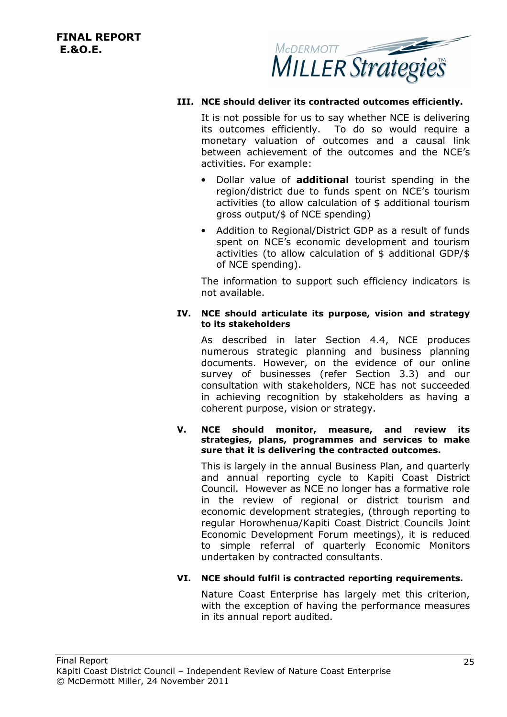

#### **III. NCE should deliver its contracted outcomes efficiently.**

It is not possible for us to say whether NCE is delivering its outcomes efficiently. To do so would require a monetary valuation of outcomes and a causal link between achievement of the outcomes and the NCE's activities. For example:

- Dollar value of **additional** tourist spending in the region/district due to funds spent on NCE's tourism activities (to allow calculation of \$ additional tourism gross output/\$ of NCE spending)
- Addition to Regional/District GDP as a result of funds spent on NCE's economic development and tourism activities (to allow calculation of \$ additional GDP/\$ of NCE spending).

The information to support such efficiency indicators is not available.

#### **IV. NCE should articulate its purpose, vision and strategy to its stakeholders**

As described in later Section 4.4, NCE produces numerous strategic planning and business planning documents. However, on the evidence of our online survey of businesses (refer Section 3.3) and our consultation with stakeholders, NCE has not succeeded in achieving recognition by stakeholders as having a coherent purpose, vision or strategy.

#### **V. NCE should monitor, measure, and review its strategies, plans, programmes and services to make sure that it is delivering the contracted outcomes.**

This is largely in the annual Business Plan, and quarterly and annual reporting cycle to Kapiti Coast District Council. However as NCE no longer has a formative role in the review of regional or district tourism and economic development strategies, (through reporting to regular Horowhenua/Kapiti Coast District Councils Joint Economic Development Forum meetings), it is reduced to simple referral of quarterly Economic Monitors undertaken by contracted consultants.

#### **VI. NCE should fulfil is contracted reporting requirements.**

Nature Coast Enterprise has largely met this criterion, with the exception of having the performance measures in its annual report audited.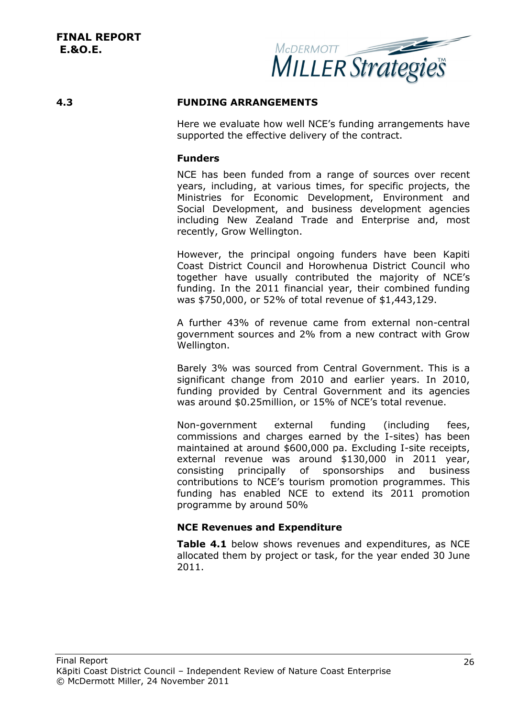

#### **4.3 FUNDING ARRANGEMENTS**

Here we evaluate how well NCE's funding arrangements have supported the effective delivery of the contract.

#### **Funders**

NCE has been funded from a range of sources over recent years, including, at various times, for specific projects, the Ministries for Economic Development, Environment and Social Development, and business development agencies including New Zealand Trade and Enterprise and, most recently, Grow Wellington.

However, the principal ongoing funders have been Kapiti Coast District Council and Horowhenua District Council who together have usually contributed the majority of NCE's funding. In the 2011 financial year, their combined funding was \$750,000, or 52% of total revenue of \$1,443,129.

A further 43% of revenue came from external non-central government sources and 2% from a new contract with Grow Wellington.

Barely 3% was sourced from Central Government. This is a significant change from 2010 and earlier years. In 2010, funding provided by Central Government and its agencies was around \$0.25million, or 15% of NCE's total revenue.

Non-government external funding (including fees, commissions and charges earned by the I-sites) has been maintained at around \$600,000 pa. Excluding I-site receipts, external revenue was around \$130,000 in 2011 year, consisting principally of sponsorships and business contributions to NCE's tourism promotion programmes. This funding has enabled NCE to extend its 2011 promotion programme by around 50%

#### **NCE Revenues and Expenditure**

**Table 4.1** below shows revenues and expenditures, as NCE allocated them by project or task, for the year ended 30 June 2011.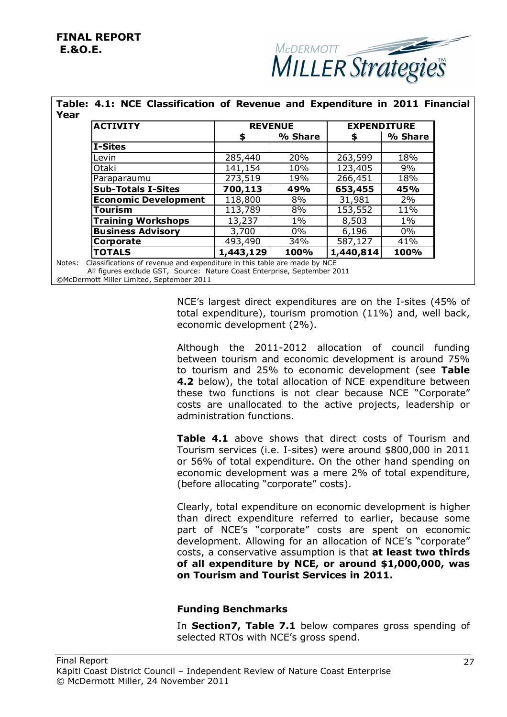

| <b>ACTIVITY</b>             |         | <b>REVENUE</b> |         | <b>EXPENDITURE</b> |
|-----------------------------|---------|----------------|---------|--------------------|
|                             | S.      | % Share        | S       | % Share            |
| <b>I-Sites</b>              |         |                |         |                    |
| Levin                       | 285,440 | 20%            | 263,599 | 18%                |
| Otaki                       | 141,154 | 10%            | 123,405 | 9%                 |
| Paraparaumu                 | 273,519 | 19%            | 266,451 | 18%                |
| <b>Sub-Totals I-Sites</b>   | 700,113 | 49%            | 653,455 | 45%                |
| <b>Economic Development</b> | 118,800 | 8%             | 31,981  | 2%                 |
| Tourism                     | 113,789 | 8%             | 153,552 | 11%                |
| <b>Training Workshops</b>   | 13,237  | $1\%$          | 8,503   | $1\%$              |

**Business Advisory 3,700 | 0% | 6,196 | 0% Corporate** 493,490 34% 587,127 41% **TOTALS 1,443,129 100% 1,440,814 100%**

# **Table: 4.1: NCE Classification of Revenue and Expenditure in 2011 Financial**

Notes: Classifications of revenue and expenditure in this table are made by NCE All figures exclude GST, Source: Nature Coast Enterprise, September 2011 ©McDermott Miller Limited, September 2011

> NCE's largest direct expenditures are on the I-sites (45% of total expenditure), tourism promotion (11%) and, well back, economic development (2%).

> Although the 2011-2012 allocation of council funding between tourism and economic development is around 75% to tourism and 25% to economic development (see **Table 4.2** below), the total allocation of NCE expenditure between these two functions is not clear because NCE "Corporate" costs are unallocated to the active projects, leadership or administration functions.

> **Table 4.1** above shows that direct costs of Tourism and Tourism services (i.e. I-sites) were around \$800,000 in 2011 or 56% of total expenditure. On the other hand spending on economic development was a mere 2% of total expenditure, (before allocating "corporate" costs).

> Clearly, total expenditure on economic development is higher than direct expenditure referred to earlier, because some part of NCE's "corporate" costs are spent on economic development. Allowing for an allocation of NCE's "corporate" costs, a conservative assumption is that **at least two thirds of all expenditure by NCE, or around \$1,000,000, was on Tourism and Tourist Services in 2011.**

#### **Funding Benchmarks**

In **Section7, Table 7.1** below compares gross spending of selected RTOs with NCE's gross spend.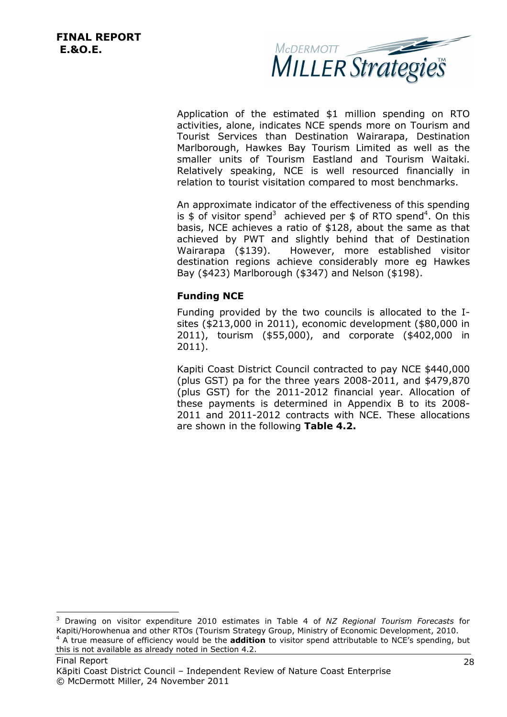-



Application of the estimated \$1 million spending on RTO activities, alone, indicates NCE spends more on Tourism and Tourist Services than Destination Wairarapa, Destination Marlborough, Hawkes Bay Tourism Limited as well as the smaller units of Tourism Eastland and Tourism Waitaki. Relatively speaking, NCE is well resourced financially in relation to tourist visitation compared to most benchmarks.

An approximate indicator of the effectiveness of this spending is \$ of visitor spend<sup>3</sup> achieved per \$ of RTO spend<sup>4</sup>. On this basis, NCE achieves a ratio of \$128, about the same as that achieved by PWT and slightly behind that of Destination Wairarapa (\$139). However, more established visitor destination regions achieve considerably more eg Hawkes Bay (\$423) Marlborough (\$347) and Nelson (\$198).

#### **Funding NCE**

Funding provided by the two councils is allocated to the Isites (\$213,000 in 2011), economic development (\$80,000 in 2011), tourism (\$55,000), and corporate (\$402,000 in 2011).

Kapiti Coast District Council contracted to pay NCE \$440,000 (plus GST) pa for the three years 2008-2011, and \$479,870 (plus GST) for the 2011-2012 financial year. Allocation of these payments is determined in Appendix B to its 2008- 2011 and 2011-2012 contracts with NCE. These allocations are shown in the following **Table 4.2.**

<sup>3</sup> Drawing on visitor expenditure 2010 estimates in Table 4 of *NZ Regional Tourism Forecasts* for Kapiti/Horowhenua and other RTOs (Tourism Strategy Group, Ministry of Economic Development, 2010. 4 A true measure of efficiency would be the **addition** to visitor spend attributable to NCE's spending, but this is not available as already noted in Section 4.2.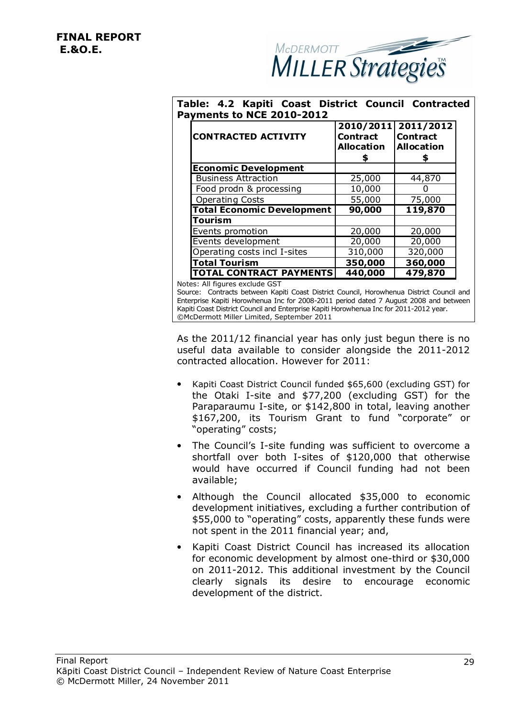

#### **Table: 4.2 Kapiti Coast District Council Contracted Payments to NCE 2010-2012**

| <b>CONTRACTED ACTIVITY</b>        | 2010/2011<br><b>Contract</b><br><b>Allocation</b> | 2011/2012<br><b>Contract</b><br><b>Allocation</b> |
|-----------------------------------|---------------------------------------------------|---------------------------------------------------|
| <b>Economic Development</b>       |                                                   |                                                   |
| <b>Business Attraction</b>        | 25,000                                            | 44,870                                            |
| Food prodn & processing           | 10,000                                            |                                                   |
| <b>Operating Costs</b>            | 55,000                                            | 75,000                                            |
| <b>Total Economic Development</b> | 90,000                                            | 119,870                                           |
| Tourism                           |                                                   |                                                   |
| Events promotion                  | 20,000                                            | 20,000                                            |
| Events development                | 20,000                                            | 20,000                                            |
| Operating costs incl I-sites      | 310,000                                           | 320,000                                           |
| <b>Total Tourism</b>              | 350,000                                           | 360,000                                           |
| <b>TOTAL CONTRACT PAYMENTS</b>    | 440,000                                           | 479,870                                           |

Notes: All figures exclude GST

Source: Contracts between Kapiti Coast District Council, Horowhenua District Council and Enterprise Kapiti Horowhenua Inc for 2008-2011 period dated 7 August 2008 and between Kapiti Coast District Council and Enterprise Kapiti Horowhenua Inc for 2011-2012 year. ©McDermott Miller Limited, September 2011

As the 2011/12 financial year has only just begun there is no useful data available to consider alongside the 2011-2012 contracted allocation. However for 2011:

- Kapiti Coast District Council funded \$65,600 (excluding GST) for the Otaki I-site and \$77,200 (excluding GST) for the Paraparaumu I-site, or \$142,800 in total, leaving another \$167,200, its Tourism Grant to fund "corporate" or "operating" costs;
- The Council's I-site funding was sufficient to overcome a shortfall over both I-sites of \$120,000 that otherwise would have occurred if Council funding had not been available;
- Although the Council allocated \$35,000 to economic development initiatives, excluding a further contribution of \$55,000 to "operating" costs, apparently these funds were not spent in the 2011 financial year; and,
- Kapiti Coast District Council has increased its allocation for economic development by almost one-third or \$30,000 on 2011-2012. This additional investment by the Council clearly signals its desire to encourage economic development of the district.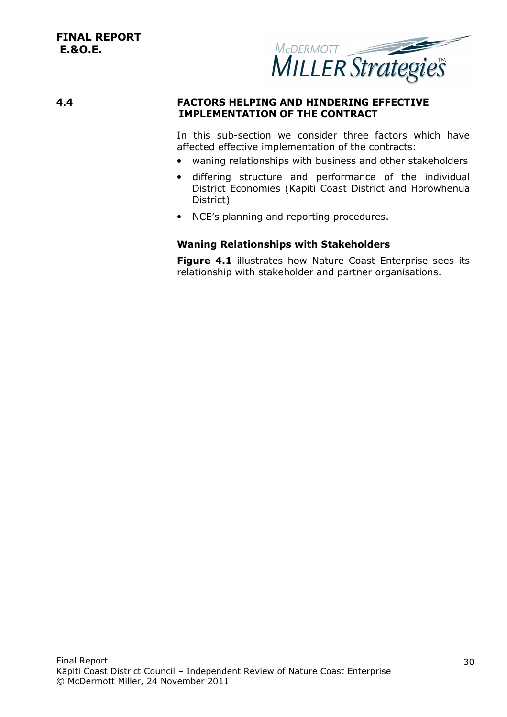

#### **4.4 FACTORS HELPING AND HINDERING EFFECTIVE IMPLEMENTATION OF THE CONTRACT**

In this sub-section we consider three factors which have affected effective implementation of the contracts:

- waning relationships with business and other stakeholders
- differing structure and performance of the individual District Economies (Kapiti Coast District and Horowhenua District)
- NCE's planning and reporting procedures.

#### **Waning Relationships with Stakeholders**

**Figure 4.1** illustrates how Nature Coast Enterprise sees its relationship with stakeholder and partner organisations.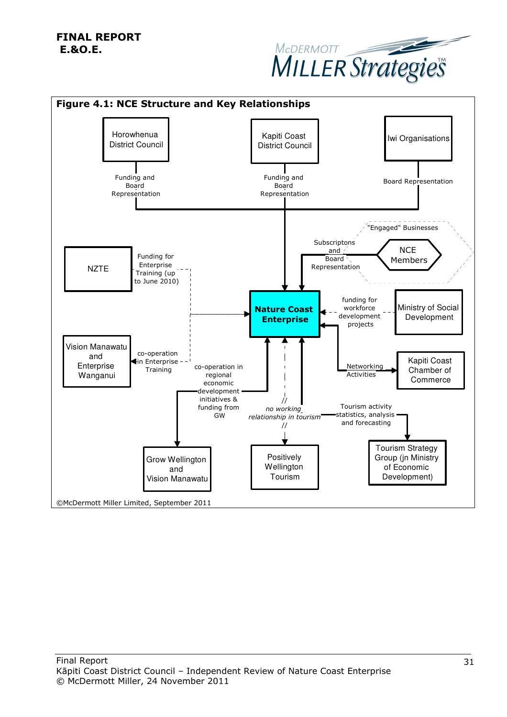

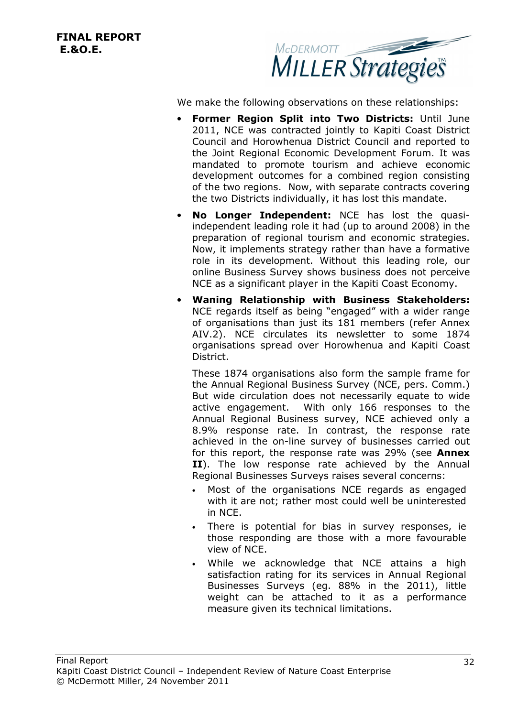**FINAL REPORT E.&O.E.** 



We make the following observations on these relationships:

- **Former Region Split into Two Districts:** Until June 2011, NCE was contracted jointly to Kapiti Coast District Council and Horowhenua District Council and reported to the Joint Regional Economic Development Forum. It was mandated to promote tourism and achieve economic development outcomes for a combined region consisting of the two regions. Now, with separate contracts covering the two Districts individually, it has lost this mandate.
- **No Longer Independent:** NCE has lost the quasiindependent leading role it had (up to around 2008) in the preparation of regional tourism and economic strategies. Now, it implements strategy rather than have a formative role in its development. Without this leading role, our online Business Survey shows business does not perceive NCE as a significant player in the Kapiti Coast Economy.
- **Waning Relationship with Business Stakeholders:**  NCE regards itself as being "engaged" with a wider range of organisations than just its 181 members (refer Annex AIV.2). NCE circulates its newsletter to some 1874 organisations spread over Horowhenua and Kapiti Coast District.

These 1874 organisations also form the sample frame for the Annual Regional Business Survey (NCE, pers. Comm.) But wide circulation does not necessarily equate to wide active engagement. With only 166 responses to the Annual Regional Business survey, NCE achieved only a 8.9% response rate. In contrast, the response rate achieved in the on-line survey of businesses carried out for this report, the response rate was 29% (see **Annex II**). The low response rate achieved by the Annual Regional Businesses Surveys raises several concerns:

- Most of the organisations NCE regards as engaged with it are not; rather most could well be uninterested in NCE.
- There is potential for bias in survey responses, ie those responding are those with a more favourable view of NCE.
- While we acknowledge that NCE attains a high satisfaction rating for its services in Annual Regional Businesses Surveys (eg. 88% in the 2011), little weight can be attached to it as a performance measure given its technical limitations.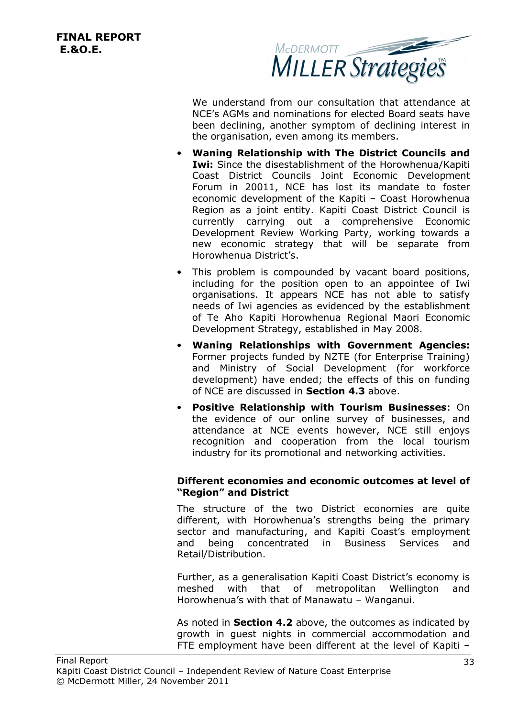

We understand from our consultation that attendance at NCE's AGMs and nominations for elected Board seats have been declining, another symptom of declining interest in the organisation, even among its members.

- **Waning Relationship with The District Councils and Iwi:** Since the disestablishment of the Horowhenua/Kapiti Coast District Councils Joint Economic Development Forum in 20011, NCE has lost its mandate to foster economic development of the Kapiti – Coast Horowhenua Region as a joint entity. Kapiti Coast District Council is currently carrying out a comprehensive Economic Development Review Working Party, working towards a new economic strategy that will be separate from Horowhenua District's.
- This problem is compounded by vacant board positions, including for the position open to an appointee of Iwi organisations. It appears NCE has not able to satisfy needs of Iwi agencies as evidenced by the establishment of Te Aho Kapiti Horowhenua Regional Maori Economic Development Strategy, established in May 2008.
- **Waning Relationships with Government Agencies:**  Former projects funded by NZTE (for Enterprise Training) and Ministry of Social Development (for workforce development) have ended; the effects of this on funding of NCE are discussed in **Section 4.3** above.
- **Positive Relationship with Tourism Businesses**: On the evidence of our online survey of businesses, and attendance at NCE events however, NCE still enjoys recognition and cooperation from the local tourism industry for its promotional and networking activities.

#### **Different economies and economic outcomes at level of "Region" and District**

The structure of the two District economies are quite different, with Horowhenua's strengths being the primary sector and manufacturing, and Kapiti Coast's employment and being concentrated in Business Services and Retail/Distribution.

Further, as a generalisation Kapiti Coast District's economy is meshed with that of metropolitan Wellington and Horowhenua's with that of Manawatu – Wanganui.

As noted in **Section 4.2** above, the outcomes as indicated by growth in guest nights in commercial accommodation and FTE employment have been different at the level of Kapiti –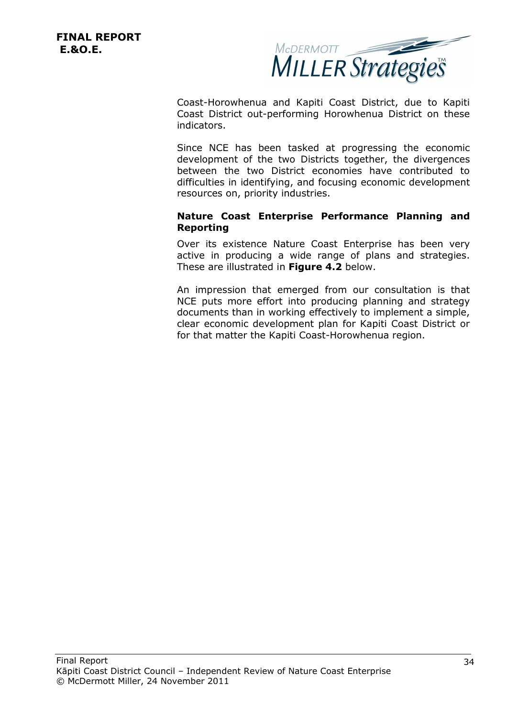

Coast-Horowhenua and Kapiti Coast District, due to Kapiti Coast District out-performing Horowhenua District on these indicators.

Since NCE has been tasked at progressing the economic development of the two Districts together, the divergences between the two District economies have contributed to difficulties in identifying, and focusing economic development resources on, priority industries.

#### **Nature Coast Enterprise Performance Planning and Reporting**

Over its existence Nature Coast Enterprise has been very active in producing a wide range of plans and strategies. These are illustrated in **Figure 4.2** below.

An impression that emerged from our consultation is that NCE puts more effort into producing planning and strategy documents than in working effectively to implement a simple, clear economic development plan for Kapiti Coast District or for that matter the Kapiti Coast-Horowhenua region.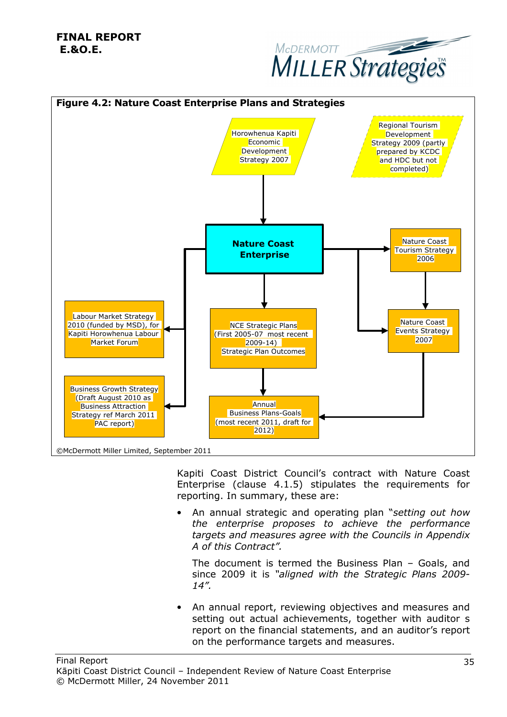



Kapiti Coast District Council's contract with Nature Coast Enterprise (clause 4.1.5) stipulates the requirements for reporting. In summary, these are:

• An annual strategic and operating plan "*setting out how the enterprise proposes to achieve the performance targets and measures agree with the Councils in Appendix A of this Contract".*

The document is termed the Business Plan – Goals, and since 2009 it is *"aligned with the Strategic Plans 2009- 14".*

• An annual report, reviewing objectives and measures and setting out actual achievements, together with auditor s report on the financial statements, and an auditor's report on the performance targets and measures.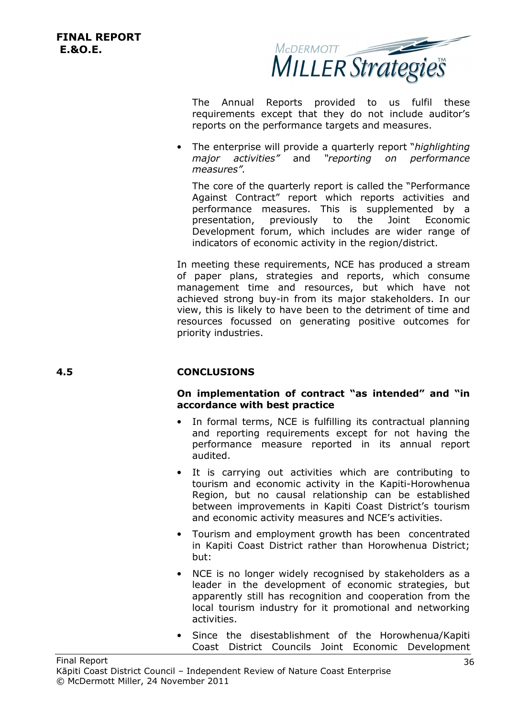

The Annual Reports provided to us fulfil these requirements except that they do not include auditor's reports on the performance targets and measures.

• The enterprise will provide a quarterly report "*highlighting major activities"* and *"reporting on performance measures".*

The core of the quarterly report is called the "Performance Against Contract" report which reports activities and performance measures. This is supplemented by a presentation, previously to the Joint Economic Development forum, which includes are wider range of indicators of economic activity in the region/district.

In meeting these requirements, NCE has produced a stream of paper plans, strategies and reports, which consume management time and resources, but which have not achieved strong buy-in from its major stakeholders. In our view, this is likely to have been to the detriment of time and resources focussed on generating positive outcomes for priority industries.

### **4.5 CONCLUSIONS**

#### **On implementation of contract "as intended" and "in accordance with best practice**

- In formal terms, NCE is fulfilling its contractual planning and reporting requirements except for not having the performance measure reported in its annual report audited.
- It is carrying out activities which are contributing to tourism and economic activity in the Kapiti-Horowhenua Region, but no causal relationship can be established between improvements in Kapiti Coast District's tourism and economic activity measures and NCE's activities.
- Tourism and employment growth has been concentrated in Kapiti Coast District rather than Horowhenua District; but:
- NCE is no longer widely recognised by stakeholders as a leader in the development of economic strategies, but apparently still has recognition and cooperation from the local tourism industry for it promotional and networking activities.
- Since the disestablishment of the Horowhenua/Kapiti Coast District Councils Joint Economic Development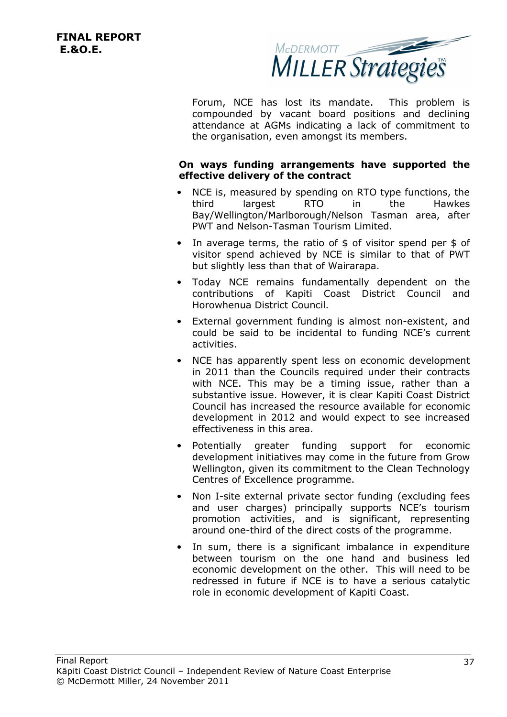

Forum, NCE has lost its mandate. This problem is compounded by vacant board positions and declining attendance at AGMs indicating a lack of commitment to the organisation, even amongst its members.

#### **On ways funding arrangements have supported the effective delivery of the contract**

- NCE is, measured by spending on RTO type functions, the third largest RTO in the Hawkes Bay/Wellington/Marlborough/Nelson Tasman area, after PWT and Nelson-Tasman Tourism Limited.
- In average terms, the ratio of  $$$  of visitor spend per  $$$  of visitor spend achieved by NCE is similar to that of PWT but slightly less than that of Wairarapa.
- Today NCE remains fundamentally dependent on the contributions of Kapiti Coast District Council and Horowhenua District Council.
- External government funding is almost non-existent, and could be said to be incidental to funding NCE's current activities.
- NCE has apparently spent less on economic development in 2011 than the Councils required under their contracts with NCE. This may be a timing issue, rather than a substantive issue. However, it is clear Kapiti Coast District Council has increased the resource available for economic development in 2012 and would expect to see increased effectiveness in this area.
- Potentially greater funding support for economic development initiatives may come in the future from Grow Wellington, given its commitment to the Clean Technology Centres of Excellence programme.
- Non I-site external private sector funding (excluding fees and user charges) principally supports NCE's tourism promotion activities, and is significant, representing around one-third of the direct costs of the programme.
- In sum, there is a significant imbalance in expenditure between tourism on the one hand and business led economic development on the other. This will need to be redressed in future if NCE is to have a serious catalytic role in economic development of Kapiti Coast.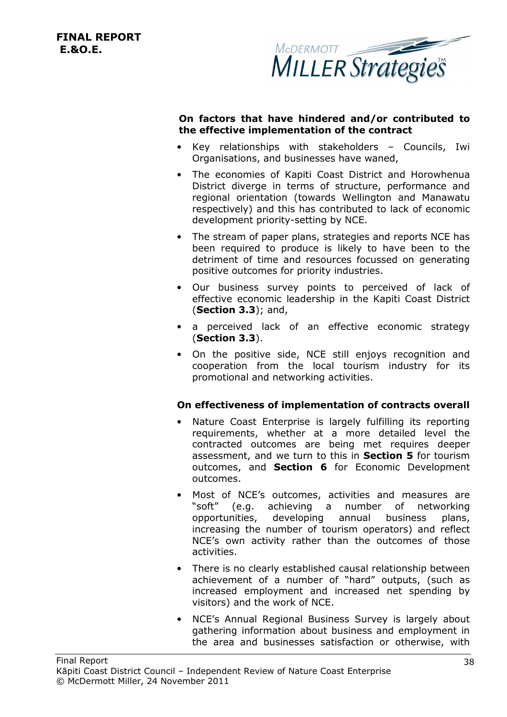

#### **On factors that have hindered and/or contributed to the effective implementation of the contract**

- Key relationships with stakeholders Councils, Iwi Organisations, and businesses have waned,
- The economies of Kapiti Coast District and Horowhenua District diverge in terms of structure, performance and regional orientation (towards Wellington and Manawatu respectively) and this has contributed to lack of economic development priority-setting by NCE.
- The stream of paper plans, strategies and reports NCE has been required to produce is likely to have been to the detriment of time and resources focussed on generating positive outcomes for priority industries.
- Our business survey points to perceived of lack of effective economic leadership in the Kapiti Coast District (**Section 3.3**); and,
- a perceived lack of an effective economic strategy (**Section 3.3**).
- On the positive side, NCE still enjoys recognition and cooperation from the local tourism industry for its promotional and networking activities.

#### **On effectiveness of implementation of contracts overall**

- Nature Coast Enterprise is largely fulfilling its reporting requirements, whether at a more detailed level the contracted outcomes are being met requires deeper assessment, and we turn to this in **Section 5** for tourism outcomes, and **Section 6** for Economic Development outcomes.
- Most of NCE's outcomes, activities and measures are "soft" (e.g. achieving a number of networking opportunities, developing annual business plans, increasing the number of tourism operators) and reflect NCE's own activity rather than the outcomes of those activities.
- There is no clearly established causal relationship between achievement of a number of "hard" outputs, (such as increased employment and increased net spending by visitors) and the work of NCE.
- NCE's Annual Regional Business Survey is largely about gathering information about business and employment in the area and businesses satisfaction or otherwise, with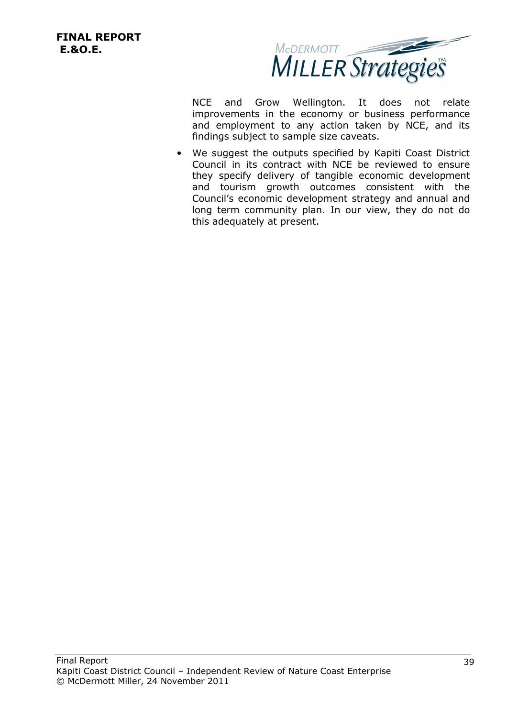

NCE and Grow Wellington. It does not relate improvements in the economy or business performance and employment to any action taken by NCE, and its findings subject to sample size caveats.

We suggest the outputs specified by Kapiti Coast District Council in its contract with NCE be reviewed to ensure they specify delivery of tangible economic development and tourism growth outcomes consistent with the Council's economic development strategy and annual and long term community plan. In our view, they do not do this adequately at present.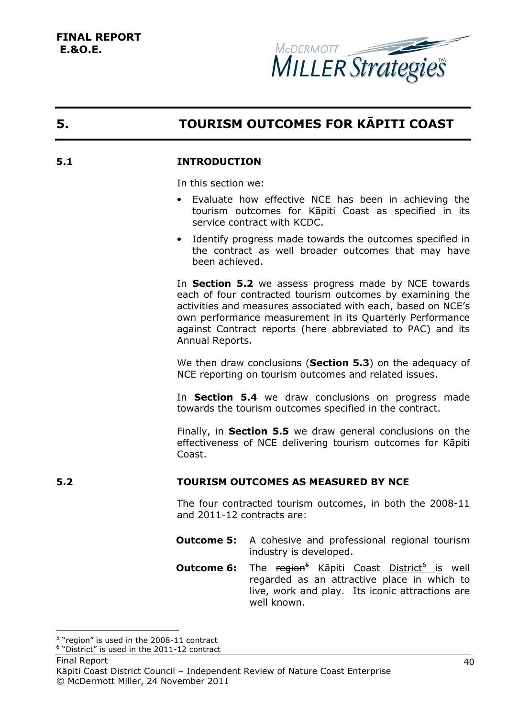

# **5. TOURISM OUTCOMES FOR KĀPITI COAST**

#### **5.1 INTRODUCTION**

In this section we:

- Evaluate how effective NCE has been in achieving the tourism outcomes for Kāpiti Coast as specified in its service contract with KCDC.
- Identify progress made towards the outcomes specified in the contract as well broader outcomes that may have been achieved.

In **Section 5.2** we assess progress made by NCE towards each of four contracted tourism outcomes by examining the activities and measures associated with each, based on NCE's own performance measurement in its Quarterly Performance against Contract reports (here abbreviated to PAC) and its Annual Reports.

We then draw conclusions (**Section 5.3**) on the adequacy of NCE reporting on tourism outcomes and related issues.

In **Section 5.4** we draw conclusions on progress made towards the tourism outcomes specified in the contract.

Finally, in **Section 5.5** we draw general conclusions on the effectiveness of NCE delivering tourism outcomes for Kāpiti Coast.

#### **5.2 TOURISM OUTCOMES AS MEASURED BY NCE**

The four contracted tourism outcomes, in both the 2008-11 and 2011-12 contracts are:

- **Outcome 5:** A cohesive and professional regional tourism industry is developed.
- **Outcome 6:** The region<sup>5</sup> Kāpiti Coast District<sup>6</sup> is well regarded as an attractive place in which to live, work and play. Its iconic attractions are well known.

l

<sup>&</sup>lt;sup>5</sup> "region" is used in the 2008-11 contract

<sup>&</sup>lt;sup>6</sup> "District" is used in the 2011-12 contract

Final Report Kāpiti Coast District Council – Independent Review of Nature Coast Enterprise © McDermott Miller, 24 November 2011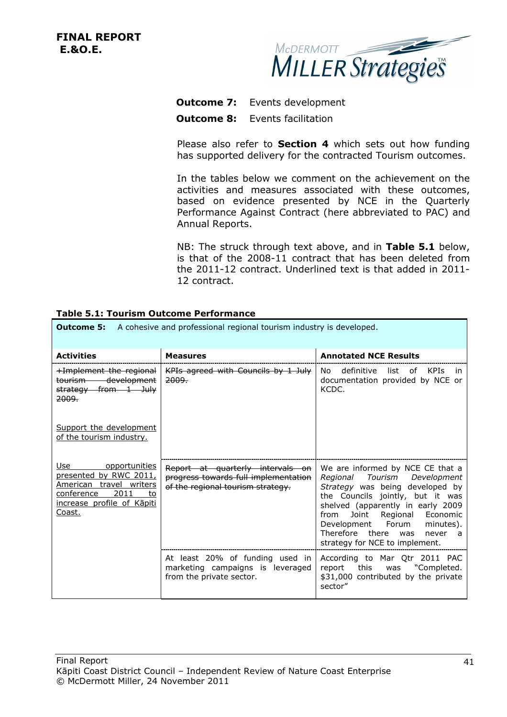

## **Outcome 7:** Events development **Outcome 8:** Events facilitation

Please also refer to **Section 4** which sets out how funding has supported delivery for the contracted Tourism outcomes.

In the tables below we comment on the achievement on the activities and measures associated with these outcomes, based on evidence presented by NCE in the Quarterly Performance Against Contract (here abbreviated to PAC) and Annual Reports.

NB: The struck through text above, and in **Table 5.1** below, is that of the 2008-11 contract that has been deleted from the 2011-12 contract. Underlined text is that added in 2011- 12 contract.

| <b>Outcome 5:</b><br>A cohesive and professional regional tourism industry is developed.                                                      |                                                                                                               |                                                                                                                                                                                                                                                                                                                       |
|-----------------------------------------------------------------------------------------------------------------------------------------------|---------------------------------------------------------------------------------------------------------------|-----------------------------------------------------------------------------------------------------------------------------------------------------------------------------------------------------------------------------------------------------------------------------------------------------------------------|
| <b>Activities</b>                                                                                                                             | <b>Measures</b>                                                                                               | <b>Annotated NCE Results</b>                                                                                                                                                                                                                                                                                          |
| <b>+Implement the regional</b><br>tourism development<br>strategy from 1 July<br><del>2009.</del>                                             | KPIs agreed with Councils by 1 July<br><del>2009.</del>                                                       | definitive<br>KPIs<br>No.<br>list<br>of<br>in.<br>documentation provided by NCE or<br>KCDC.                                                                                                                                                                                                                           |
| Support the development<br>of the tourism industry.                                                                                           |                                                                                                               |                                                                                                                                                                                                                                                                                                                       |
| Use<br>opportunities<br>presented by RWC 2011,<br>American travel writers<br>2011<br>conference<br>to<br>increase profile of Kāpiti<br>Coast. | Report at quarterly intervals on<br>progress towards full implementation<br>of the regional tourism strategy. | We are informed by NCE CE that a<br>Regional Tourism Development<br>Strategy was being developed by<br>the Councils jointly, but it was<br>shelved (apparently in early 2009<br>Joint Regional Economic<br>from<br>Development Forum<br>minutes).<br>Therefore there was<br>never a<br>strategy for NCE to implement. |
|                                                                                                                                               | At least 20% of funding used in<br>marketing campaigns is leveraged<br>from the private sector.               | According to Mar Qtr 2011 PAC<br>report this was "Completed.<br>\$31,000 contributed by the private<br>sector"                                                                                                                                                                                                        |

# **Table 5.1: Tourism Outcome Performance**

٦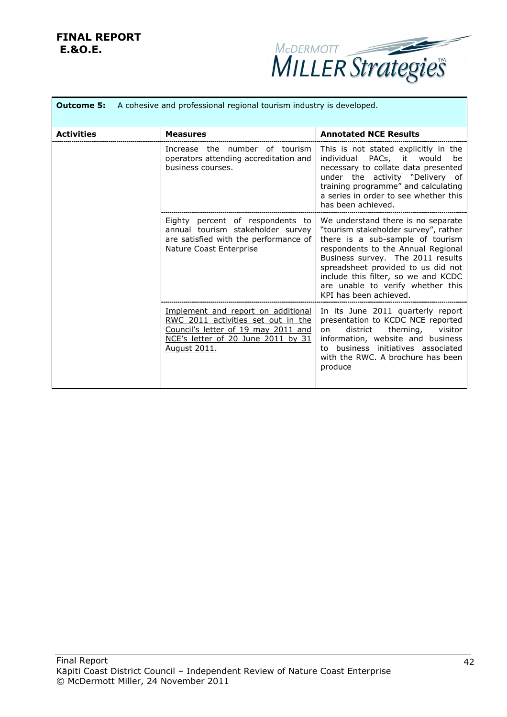

|                   | <b>Outcome 5:</b> A cohesive and professional regional tourism industry is developed.                                                                                        |                                                                                                                                                                                                                                                                                                                                       |
|-------------------|------------------------------------------------------------------------------------------------------------------------------------------------------------------------------|---------------------------------------------------------------------------------------------------------------------------------------------------------------------------------------------------------------------------------------------------------------------------------------------------------------------------------------|
| <b>Activities</b> | <b>Measures</b>                                                                                                                                                              | <b>Annotated NCE Results</b>                                                                                                                                                                                                                                                                                                          |
|                   | Increase the number of tourism<br>operators attending accreditation and<br>business courses.                                                                                 | This is not stated explicitly in the<br>PACs, it would<br>individual<br>be<br>necessary to collate data presented<br>under the activity "Delivery of<br>training programme" and calculating<br>a series in order to see whether this<br>has been achieved.                                                                            |
|                   | Eighty percent of respondents to<br>annual tourism stakeholder survey<br>are satisfied with the performance of<br>Nature Coast Enterprise                                    | We understand there is no separate<br>"tourism stakeholder survey", rather<br>there is a sub-sample of tourism<br>respondents to the Annual Regional<br>Business survey. The 2011 results<br>spreadsheet provided to us did not<br>include this filter, so we and KCDC<br>are unable to verify whether this<br>KPI has been achieved. |
|                   | Implement and report on additional<br><u>RWC 2011 activities set out in the</u><br>Council's letter of 19 may 2011 and<br>NCE's letter of 20 June 2011 by 31<br>August 2011. | In its June 2011 quarterly report<br>presentation to KCDC NCE reported<br>theming,<br>district<br>visitor<br>on<br>information, website and business<br>to business initiatives associated<br>with the RWC. A brochure has been<br>produce                                                                                            |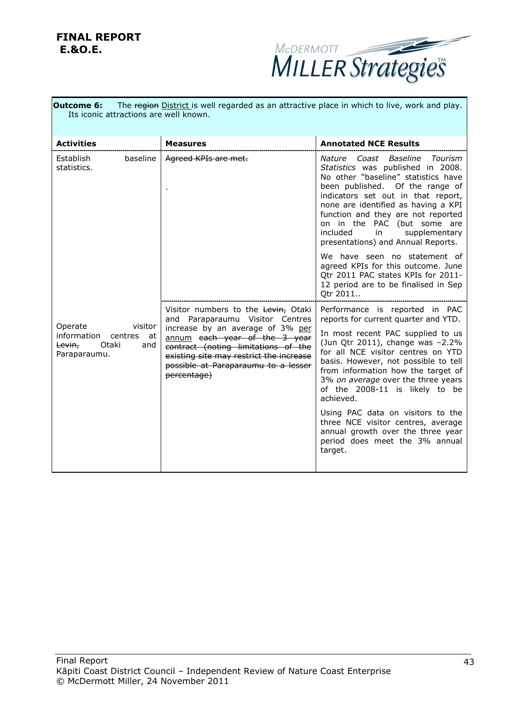

| The region District is well regarded as an attractive place in which to live, work and play.<br><b>Outcome 6:</b><br>Its iconic attractions are well known. |                                                                                                                                                                                                           |                                                                                                                                                                                                                                                                                                                                                                               |
|-------------------------------------------------------------------------------------------------------------------------------------------------------------|-----------------------------------------------------------------------------------------------------------------------------------------------------------------------------------------------------------|-------------------------------------------------------------------------------------------------------------------------------------------------------------------------------------------------------------------------------------------------------------------------------------------------------------------------------------------------------------------------------|
| <b>Activities</b>                                                                                                                                           | <b>Measures</b>                                                                                                                                                                                           | <b>Annotated NCE Results</b>                                                                                                                                                                                                                                                                                                                                                  |
| baseline<br>Establish<br>statistics.                                                                                                                        | Agreed KPIs are met.                                                                                                                                                                                      | Nature Coast<br>Baseline<br>Tourism<br>Statistics was published in 2008.<br>No other "baseline" statistics have<br>been published. Of the range of<br>indicators set out in that report,<br>none are identified as having a KPI<br>function and they are not reported<br>on in the PAC (but some are<br>included<br>in<br>supplementary<br>presentations) and Annual Reports. |
|                                                                                                                                                             |                                                                                                                                                                                                           | We have seen no statement of<br>agreed KPIs for this outcome. June<br>Qtr 2011 PAC states KPIs for 2011-<br>12 period are to be finalised in Sep<br>Qtr 2011                                                                                                                                                                                                                  |
|                                                                                                                                                             | Visitor numbers to the Levin, Otaki<br>and Paraparaumu Visitor Centres                                                                                                                                    | Performance is reported in PAC<br>reports for current quarter and YTD.                                                                                                                                                                                                                                                                                                        |
| Operate<br>visitor<br>information centres<br>at<br>Otaki<br>Levin,<br>and<br>Paraparaumu.                                                                   | increase by an average of 3% per<br>annum each year of the 3 year<br>contract (noting limitations of the<br>existing site may restrict the increase<br>possible at Paraparaumu to a lesser<br>percentage) | In most recent PAC supplied to us<br>(Jun Qtr 2011), change was -2.2%<br>for all NCE visitor centres on YTD<br>basis. However, not possible to tell<br>from information how the target of<br>3% on average over the three years<br>of the 2008-11 is likely to be<br>achieved.                                                                                                |
|                                                                                                                                                             |                                                                                                                                                                                                           | Using PAC data on visitors to the<br>three NCE visitor centres, average<br>annual growth over the three year<br>period does meet the 3% annual<br>target.                                                                                                                                                                                                                     |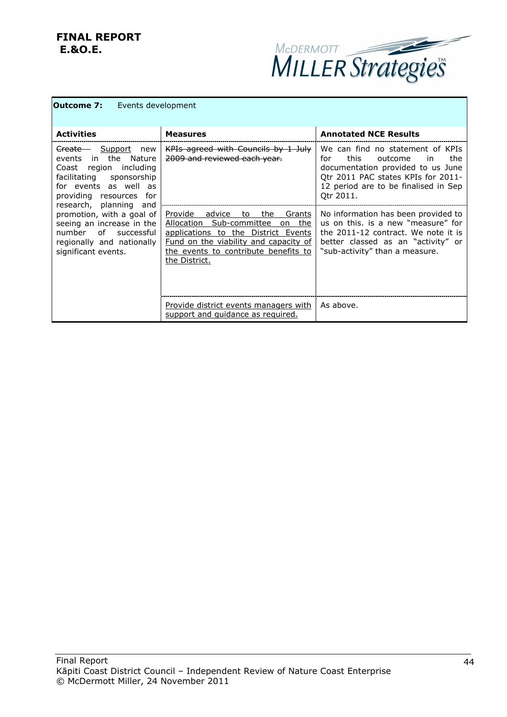

| Events development<br>Outcome 7: |
|----------------------------------|
|----------------------------------|

| <b>Activities</b>                                                                                                                                                                                                                                                                                                                               | <b>Measures</b>                                                                                                                                                                                                            | <b>Annotated NCE Results</b>                                                                                                                                                                                |
|-------------------------------------------------------------------------------------------------------------------------------------------------------------------------------------------------------------------------------------------------------------------------------------------------------------------------------------------------|----------------------------------------------------------------------------------------------------------------------------------------------------------------------------------------------------------------------------|-------------------------------------------------------------------------------------------------------------------------------------------------------------------------------------------------------------|
| <del>Create </del><br>Support<br>new<br>in the Nature<br>events<br>region including<br>Coast<br>facilitating sponsorship<br>for events as well as<br>providing resources for<br>research, planning and<br>promotion, with a goal of<br>seeing an increase in the<br>number of<br>successful<br>regionally and nationally<br>significant events. | KPIs agreed with Councils by 1 July<br><del>2009 and reviewed each vear.</del>                                                                                                                                             | We can find no statement of KPIs<br>this.<br>the<br>for<br>outcome<br>in in<br>documentation provided to us June<br>Otr 2011 PAC states KPIs for 2011-<br>12 period are to be finalised in Sep<br>Otr 2011. |
|                                                                                                                                                                                                                                                                                                                                                 | Provide<br>advice<br>the<br>Grants<br>to<br>Allocation Sub-committee<br>the<br>on<br>applications to the District Events<br>Fund on the viability and capacity of<br>the events to contribute benefits to<br>the District. | No information has been provided to<br>us on this, is a new "measure" for<br>the 2011-12 contract. We note it is<br>better classed as an "activity" or<br>"sub-activity" than a measure.                    |
|                                                                                                                                                                                                                                                                                                                                                 | Provide district events managers with<br>support and quidance as required.                                                                                                                                                 | As above.                                                                                                                                                                                                   |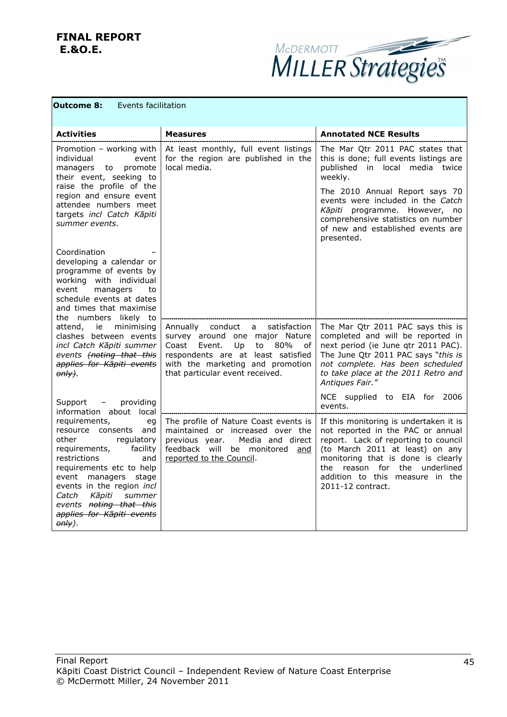

| <b>Events facilitation</b><br><b>Outcome 8:</b>                                                                                                                                                                                                                                                              |                                                                                                                                                                                                                            |                                                                                                                                                                                                                                                                                       |
|--------------------------------------------------------------------------------------------------------------------------------------------------------------------------------------------------------------------------------------------------------------------------------------------------------------|----------------------------------------------------------------------------------------------------------------------------------------------------------------------------------------------------------------------------|---------------------------------------------------------------------------------------------------------------------------------------------------------------------------------------------------------------------------------------------------------------------------------------|
| <b>Activities</b>                                                                                                                                                                                                                                                                                            | <b>Measures</b>                                                                                                                                                                                                            | <b>Annotated NCE Results</b>                                                                                                                                                                                                                                                          |
| Promotion - working with<br>individual<br>event<br>managers to promote<br>their event, seeking to                                                                                                                                                                                                            | At least monthly, full event listings<br>for the region are published in the<br>local media.                                                                                                                               | The Mar Qtr 2011 PAC states that<br>this is done; full events listings are<br>published in local media twice<br>weekly.                                                                                                                                                               |
| raise the profile of the<br>region and ensure event<br>attendee numbers meet<br>targets incl Catch Kāpiti<br>summer events.                                                                                                                                                                                  |                                                                                                                                                                                                                            | The 2010 Annual Report says 70<br>events were included in the Catch<br>Kāpiti programme. However, no<br>comprehensive statistics on number<br>of new and established events are<br>presented.                                                                                         |
| Coordination<br>developing a calendar or<br>programme of events by<br>working with individual<br>event<br>managers<br>to<br>schedule events at dates<br>and times that maximise<br>the numbers likely to                                                                                                     |                                                                                                                                                                                                                            |                                                                                                                                                                                                                                                                                       |
| attend, ie minimising<br>clashes between events<br>incl Catch Kāpiti summer<br>events (noting that this<br>applies for Kāpiti events<br>$\theta$ nly).                                                                                                                                                       | Annually conduct<br>satisfaction<br>a<br>survey around one major Nature<br>Coast Event.<br>to 80%<br>Up<br>οf<br>respondents are at least satisfied<br>with the marketing and promotion<br>that particular event received. | The Mar Qtr 2011 PAC says this is<br>completed and will be reported in<br>next period (ie June qtr 2011 PAC).<br>The June Qtr 2011 PAC says "this is<br>not complete. Has been scheduled<br>to take place at the 2011 Retro and<br>Antiques Fair."                                    |
| Support - providing<br>information about local                                                                                                                                                                                                                                                               |                                                                                                                                                                                                                            | NCE supplied to EIA for 2006<br>events.                                                                                                                                                                                                                                               |
| requirements,<br>eg<br>resource consents and<br>other<br>regulatory<br>requirements, facility<br>restrictions<br>and<br>requirements etc to help<br>event managers stage<br>events in the region incl<br>Kāpiti<br>summer<br>Catch<br>events noting that this<br>applies for Kāpiti events<br>$\theta$ nly). | The profile of Nature Coast events is<br>maintained or increased over the<br>previous year.<br>Media and direct<br>feedback will be monitored and<br>reported to the Council.                                              | If this monitoring is undertaken it is<br>not reported in the PAC or annual<br>report. Lack of reporting to council<br>(to March 2011 at least) on any<br>monitoring that is done is clearly<br>the reason for the underlined<br>addition to this measure in the<br>2011-12 contract. |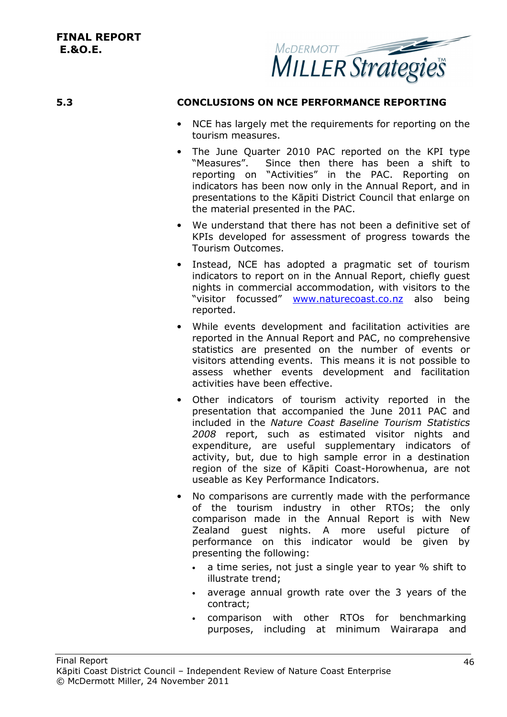

#### **5.3 CONCLUSIONS ON NCE PERFORMANCE REPORTING**

- NCE has largely met the requirements for reporting on the tourism measures.
- The June Quarter 2010 PAC reported on the KPI type "Measures". Since then there has been a shift to reporting on "Activities" in the PAC. Reporting on indicators has been now only in the Annual Report, and in presentations to the Kāpiti District Council that enlarge on the material presented in the PAC.
- We understand that there has not been a definitive set of KPIs developed for assessment of progress towards the Tourism Outcomes.
- Instead, NCE has adopted a pragmatic set of tourism indicators to report on in the Annual Report, chiefly guest nights in commercial accommodation, with visitors to the "visitor focussed" www.naturecoast.co.nz also being reported.
- While events development and facilitation activities are reported in the Annual Report and PAC, no comprehensive statistics are presented on the number of events or visitors attending events. This means it is not possible to assess whether events development and facilitation activities have been effective.
- Other indicators of tourism activity reported in the presentation that accompanied the June 2011 PAC and included in the *Nature Coast Baseline Tourism Statistics 2008* report, such as estimated visitor nights and expenditure, are useful supplementary indicators of activity, but, due to high sample error in a destination region of the size of Kāpiti Coast-Horowhenua, are not useable as Key Performance Indicators.
- No comparisons are currently made with the performance of the tourism industry in other RTOs; the only comparison made in the Annual Report is with New Zealand guest nights. A more useful picture of performance on this indicator would be given by presenting the following:
	- a time series, not just a single year to year % shift to illustrate trend;
	- average annual growth rate over the 3 years of the contract;
	- comparison with other RTOs for benchmarking purposes, including at minimum Wairarapa and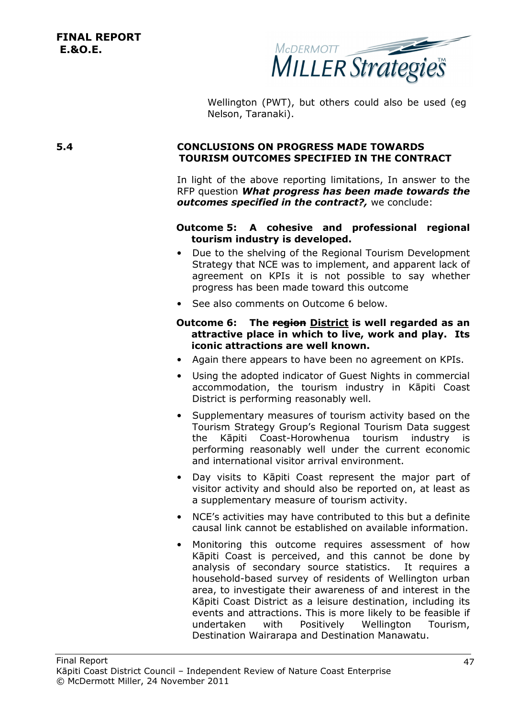

Wellington (PWT), but others could also be used (eg Nelson, Taranaki).

#### **5.4 CONCLUSIONS ON PROGRESS MADE TOWARDS TOURISM OUTCOMES SPECIFIED IN THE CONTRACT**

In light of the above reporting limitations, In answer to the RFP question *What progress has been made towards the outcomes specified in the contract?,* we conclude:

#### **Outcome 5: A cohesive and professional regional tourism industry is developed.**

- Due to the shelving of the Regional Tourism Development Strategy that NCE was to implement, and apparent lack of agreement on KPIs it is not possible to say whether progress has been made toward this outcome
- See also comments on Outcome 6 below.

#### **Outcome 6: The region District is well regarded as an attractive place in which to live, work and play. Its iconic attractions are well known.**

- Again there appears to have been no agreement on KPIs.
- Using the adopted indicator of Guest Nights in commercial accommodation, the tourism industry in Kāpiti Coast District is performing reasonably well.
- Supplementary measures of tourism activity based on the Tourism Strategy Group's Regional Tourism Data suggest the Kāpiti Coast-Horowhenua tourism industry is performing reasonably well under the current economic and international visitor arrival environment.
- Day visits to Kāpiti Coast represent the major part of visitor activity and should also be reported on, at least as a supplementary measure of tourism activity.
- NCE's activities may have contributed to this but a definite causal link cannot be established on available information.
- Monitoring this outcome requires assessment of how Kāpiti Coast is perceived, and this cannot be done by analysis of secondary source statistics. It requires a household-based survey of residents of Wellington urban area, to investigate their awareness of and interest in the Kāpiti Coast District as a leisure destination, including its events and attractions. This is more likely to be feasible if undertaken with Positively Wellington Tourism, Destination Wairarapa and Destination Manawatu.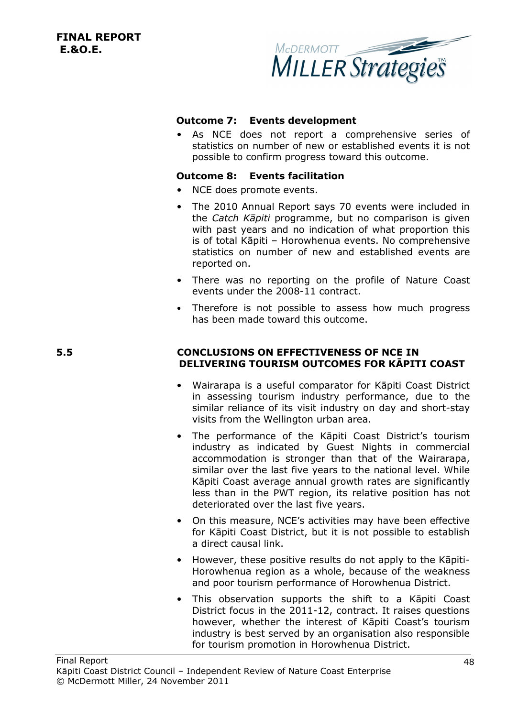

#### **Outcome 7: Events development**

• As NCE does not report a comprehensive series of statistics on number of new or established events it is not possible to confirm progress toward this outcome.

#### **Outcome 8: Events facilitation**

- NCE does promote events.
- The 2010 Annual Report says 70 events were included in the *Catch Kāpiti* programme, but no comparison is given with past years and no indication of what proportion this is of total Kāpiti – Horowhenua events. No comprehensive statistics on number of new and established events are reported on.
- There was no reporting on the profile of Nature Coast events under the 2008-11 contract.
- Therefore is not possible to assess how much progress has been made toward this outcome.

#### **5.5 CONCLUSIONS ON EFFECTIVENESS OF NCE IN DELIVERING TOURISM OUTCOMES FOR KĀPITI COAST**

- Wairarapa is a useful comparator for Kāpiti Coast District in assessing tourism industry performance, due to the similar reliance of its visit industry on day and short-stay visits from the Wellington urban area.
- The performance of the Kāpiti Coast District's tourism industry as indicated by Guest Nights in commercial accommodation is stronger than that of the Wairarapa, similar over the last five years to the national level. While Kāpiti Coast average annual growth rates are significantly less than in the PWT region, its relative position has not deteriorated over the last five years.
- On this measure, NCE's activities may have been effective for Kāpiti Coast District, but it is not possible to establish a direct causal link.
- However, these positive results do not apply to the Kāpiti-Horowhenua region as a whole, because of the weakness and poor tourism performance of Horowhenua District.
- This observation supports the shift to a Kāpiti Coast District focus in the 2011-12, contract. It raises questions however, whether the interest of Kāpiti Coast's tourism industry is best served by an organisation also responsible for tourism promotion in Horowhenua District.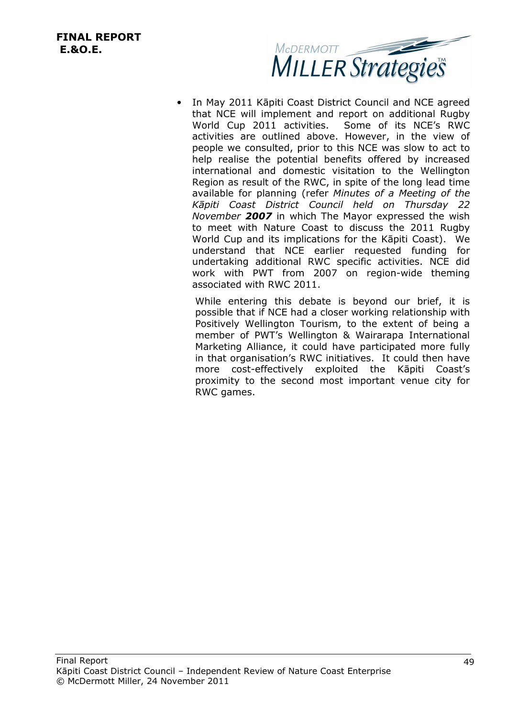

• In May 2011 Kāpiti Coast District Council and NCE agreed that NCE will implement and report on additional Rugby World Cup 2011 activities. Some of its NCE's RWC activities are outlined above. However, in the view of people we consulted, prior to this NCE was slow to act to help realise the potential benefits offered by increased international and domestic visitation to the Wellington Region as result of the RWC, in spite of the long lead time available for planning (refer *Minutes of a Meeting of the Kāpiti Coast District Council held on Thursday 22 November 2007* in which The Mayor expressed the wish to meet with Nature Coast to discuss the 2011 Rugby World Cup and its implications for the Kāpiti Coast). We understand that NCE earlier requested funding for undertaking additional RWC specific activities. NCE did work with PWT from 2007 on region-wide theming associated with RWC 2011.

While entering this debate is beyond our brief, it is possible that if NCE had a closer working relationship with Positively Wellington Tourism, to the extent of being a member of PWT's Wellington & Wairarapa International Marketing Alliance, it could have participated more fully in that organisation's RWC initiatives. It could then have more cost-effectively exploited the Kāpiti Coast's proximity to the second most important venue city for RWC games.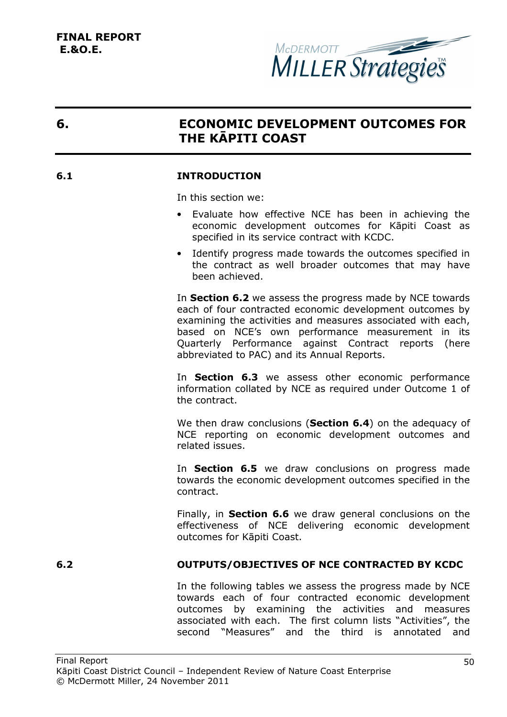

# **6. ECONOMIC DEVELOPMENT OUTCOMES FOR THE KĀPITI COAST**

#### **6.1 INTRODUCTION**

In this section we:

- Evaluate how effective NCE has been in achieving the economic development outcomes for Kāpiti Coast as specified in its service contract with KCDC.
- Identify progress made towards the outcomes specified in the contract as well broader outcomes that may have been achieved.

In **Section 6.2** we assess the progress made by NCE towards each of four contracted economic development outcomes by examining the activities and measures associated with each, based on NCE's own performance measurement in its Quarterly Performance against Contract reports (here abbreviated to PAC) and its Annual Reports.

In **Section 6.3** we assess other economic performance information collated by NCE as required under Outcome 1 of the contract.

We then draw conclusions (**Section 6.4**) on the adequacy of NCE reporting on economic development outcomes and related issues.

In **Section 6.5** we draw conclusions on progress made towards the economic development outcomes specified in the contract.

Finally, in **Section 6.6** we draw general conclusions on the effectiveness of NCE delivering economic development outcomes for Kāpiti Coast.

### **6.2 OUTPUTS/OBJECTIVES OF NCE CONTRACTED BY KCDC**

In the following tables we assess the progress made by NCE towards each of four contracted economic development outcomes by examining the activities and measures associated with each. The first column lists "Activities", the second "Measures" and the third is annotated and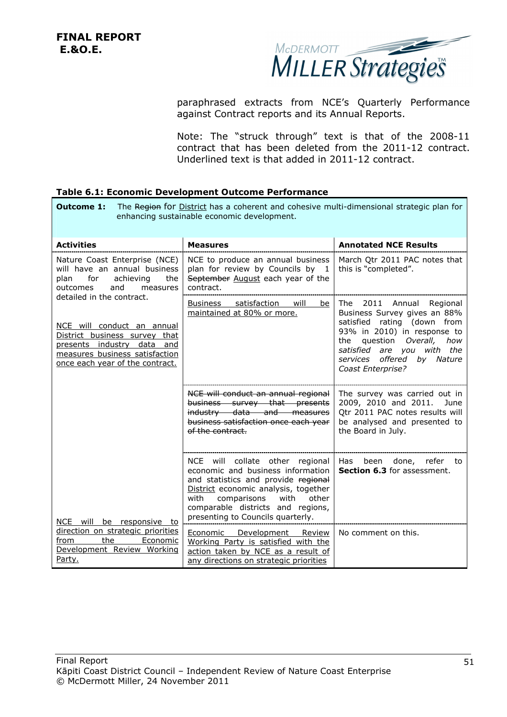

paraphrased extracts from NCE's Quarterly Performance against Contract reports and its Annual Reports.

Note: The "struck through" text is that of the 2008-11 contract that has been deleted from the 2011-12 contract. Underlined text is that added in 2011-12 contract.

#### **Table 6.1: Economic Development Outcome Performance**

| <b>Outcome 1:</b>                                                                                                                                                                           | The Region for District has a coherent and cohesive multi-dimensional strategic plan for<br>enhancing sustainable economic development.                                                                                                                               |                                                                                                                                                                                                                                               |
|---------------------------------------------------------------------------------------------------------------------------------------------------------------------------------------------|-----------------------------------------------------------------------------------------------------------------------------------------------------------------------------------------------------------------------------------------------------------------------|-----------------------------------------------------------------------------------------------------------------------------------------------------------------------------------------------------------------------------------------------|
| <b>Activities</b>                                                                                                                                                                           | <b>Measures</b>                                                                                                                                                                                                                                                       | <b>Annotated NCE Results</b>                                                                                                                                                                                                                  |
| Nature Coast Enterprise (NCE)<br>will have an annual business<br>for<br>achieving<br>the<br>plan<br>and<br>outcomes<br>measures                                                             | NCE to produce an annual business<br>plan for review by Councils by 1<br>September August each year of the<br>contract.                                                                                                                                               | March Qtr 2011 PAC notes that<br>this is "completed".                                                                                                                                                                                         |
| detailed in the contract.<br>NCE will conduct an annual<br>District business survey that<br>presents industry data and<br>measures business satisfaction<br>once each year of the contract. | satisfaction<br>Business<br>will<br>be<br>maintained at 80% or more.                                                                                                                                                                                                  | The 2011 Annual<br>Regional<br>Business Survey gives an 88%<br>satisfied rating (down from<br>93% in 2010) in response to<br>question Overall,<br>the<br>how<br>satisfied are you with the<br>services offered by Nature<br>Coast Enterprise? |
|                                                                                                                                                                                             | NCE will conduct an annual regional<br>business survey that presents<br>industry data and measures<br>business satisfaction once each year<br>of the contract.                                                                                                        | The survey was carried out in<br>2009, 2010 and 2011.<br>June<br>Qtr 2011 PAC notes results will<br>be analysed and presented to<br>the Board in July.                                                                                        |
| NCE will be responsive to                                                                                                                                                                   | NCE will collate other regional<br>economic and business information<br>and statistics and provide regional<br>District economic analysis, together<br>with<br>comparisons<br>with<br>other<br>comparable districts and regions,<br>presenting to Councils quarterly. | refer to<br>Has been done,<br>Section 6.3 for assessment.                                                                                                                                                                                     |
| direction on strategic priorities<br>the<br>Economic<br>from<br>Development Review Working<br>Party.                                                                                        | <b>Economic Development Review</b><br>Working Party is satisfied with the<br>action taken by NCE as a result of<br>any directions on strategic priorities                                                                                                             | No comment on this.                                                                                                                                                                                                                           |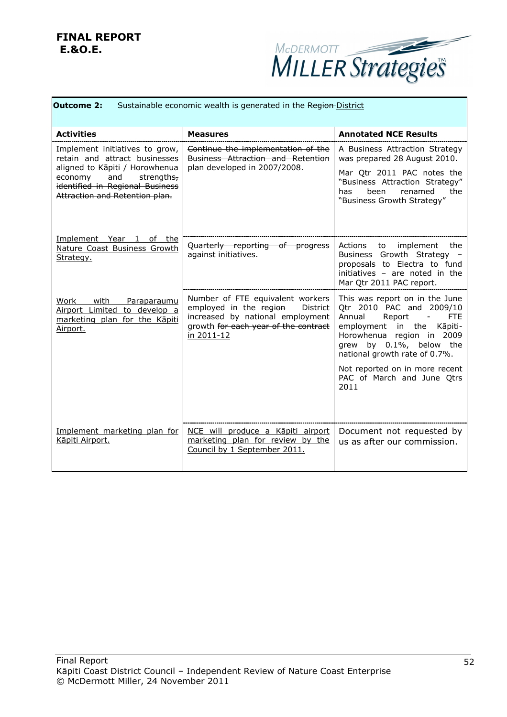

| <b>Outcome 2:</b><br>Sustainable economic wealth is generated in the Region-District                                                                                                                   |                                                                                                                                                                         |                                                                                                                                                                                                                                                                                        |
|--------------------------------------------------------------------------------------------------------------------------------------------------------------------------------------------------------|-------------------------------------------------------------------------------------------------------------------------------------------------------------------------|----------------------------------------------------------------------------------------------------------------------------------------------------------------------------------------------------------------------------------------------------------------------------------------|
| <b>Activities</b>                                                                                                                                                                                      | Measures                                                                                                                                                                | <b>Annotated NCE Results</b>                                                                                                                                                                                                                                                           |
| Implement initiatives to grow,<br>retain and attract businesses<br>aligned to Kāpiti / Horowhenua<br>and<br>strengths,<br>economy<br>identified in Regional Business<br>Attraction and Retention plan. | Continue the implementation of the<br><b>Business Attraction and Retention</b><br>plan developed in 2007/2008.                                                          | A Business Attraction Strategy<br>was prepared 28 August 2010.<br>Mar Qtr 2011 PAC notes the<br>"Business Attraction Strategy"<br>renamed<br>the<br>has<br>been<br>"Business Growth Strategy"                                                                                          |
| Implement<br>Year 1<br>the<br>of<br>Nature Coast Business Growth<br>Strategy.                                                                                                                          | Quarterly reporting of progress<br>against initiatives.                                                                                                                 | Actions to implement the<br>Business Growth Strategy -<br>proposals to Electra to fund<br>initiatives - are noted in the<br>Mar Qtr 2011 PAC report.                                                                                                                                   |
| Work<br>with<br>Paraparaumu<br>Airport Limited to develop a<br>marketing plan for the Kāpiti<br>Airport.                                                                                               | Number of FTE equivalent workers<br>employed in the region<br><b>District</b><br>increased by national employment<br>growth for each year of the contract<br>in 2011-12 | This was report on in the June<br>Otr 2010 PAC and 2009/10<br>Annual<br>Report<br><b>FTE</b><br>$\overline{\phantom{a}}$<br>employment<br>in the<br>Kāpiti-<br>Horowhenua region in 2009<br>grew by 0.1%, below the<br>national growth rate of 0.7%.<br>Not reported on in more recent |
| Implement marketing plan for<br>Kāpiti Airport.                                                                                                                                                        | NCE will produce a Kāpiti airport<br>marketing plan for review by the                                                                                                   | PAC of March and June Qtrs<br>2011<br>Document not requested by<br>us as after our commission.                                                                                                                                                                                         |
|                                                                                                                                                                                                        | Council by 1 September 2011.                                                                                                                                            |                                                                                                                                                                                                                                                                                        |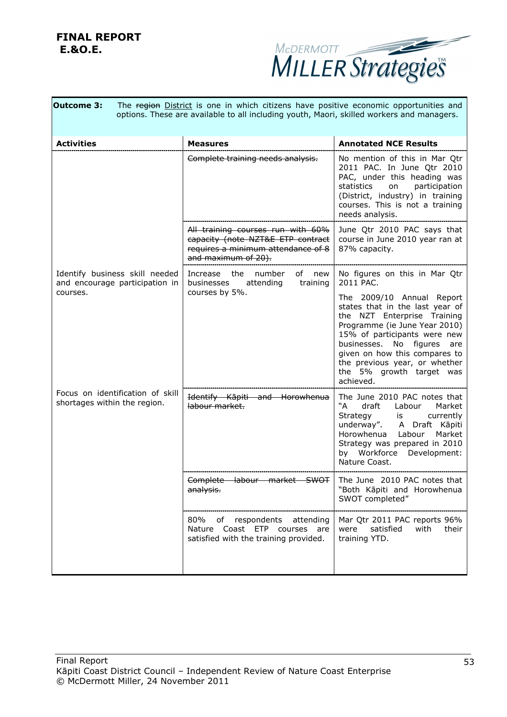

| <b>Outcome 3:</b>                                                | The region District is one in which citizens have positive economic opportunities and<br>options. These are available to all including youth, Maori, skilled workers and managers. |                                                                                                                                                                                                                                                                                                                                                                                                                                                                            |
|------------------------------------------------------------------|------------------------------------------------------------------------------------------------------------------------------------------------------------------------------------|----------------------------------------------------------------------------------------------------------------------------------------------------------------------------------------------------------------------------------------------------------------------------------------------------------------------------------------------------------------------------------------------------------------------------------------------------------------------------|
| <b>Activities</b>                                                | <b>Measures</b>                                                                                                                                                                    | <b>Annotated NCE Results</b>                                                                                                                                                                                                                                                                                                                                                                                                                                               |
|                                                                  | Complete training needs analysis.                                                                                                                                                  | No mention of this in Mar Qtr<br>2011 PAC. In June Qtr 2010<br>PAC, under this heading was<br>statistics<br>participation<br>on<br>(District, industry) in training<br>courses. This is not a training<br>needs analysis.                                                                                                                                                                                                                                                  |
|                                                                  | All training courses run with 60%<br>capacity (note NZT&E ETP contract<br>requires a minimum attendance of 8<br>and maximum of 20).                                                | June Qtr 2010 PAC says that<br>course in June 2010 year ran at<br>87% capacity.                                                                                                                                                                                                                                                                                                                                                                                            |
| Identify business skill needed<br>and encourage participation in | Increase the number<br>of new<br>attending<br>training<br>businesses                                                                                                               | No figures on this in Mar Qtr<br>2011 PAC.                                                                                                                                                                                                                                                                                                                                                                                                                                 |
| courses.                                                         | courses by 5%.                                                                                                                                                                     | The 2009/10 Annual Report<br>states that in the last year of<br>the NZT Enterprise Training<br>Programme (ie June Year 2010)<br>15% of participants were new<br>businesses. No figures are<br>given on how this compares to<br>the previous year, or whether<br>the 5% growth target was<br>achieved.                                                                                                                                                                      |
| Focus on identification of skill<br>shortages within the region. | Identify Kāpiti and Horowhenua<br>labour market.                                                                                                                                   | The June 2010 PAC notes that<br>"A"<br>draft<br>Market<br>Labour<br>Strategy<br>currently<br>is and the set of the set of the set of the set of the set of the set of the set of the set of the set of the set of the set of the set of the set of the set of the set of the set of the set of the set of the set of the set<br>underway". A Draft Kāpiti<br>Horowhenua<br>Labour<br>Market<br>Strategy was prepared in 2010<br>by Workforce Development:<br>Nature Coast. |
|                                                                  | <del>SWOT</del> I<br><del>labour</del><br><del>marke</del><br>analysis.                                                                                                            | The June 2010 PAC notes that<br>"Both Kāpiti and Horowhenua<br>SWOT completed"                                                                                                                                                                                                                                                                                                                                                                                             |
|                                                                  | 80%<br>of respondents attending<br>Nature Coast ETP courses are<br>satisfied with the training provided.                                                                           | Mar Qtr 2011 PAC reports 96%<br>were<br>satisfied<br>with<br>their<br>training YTD.                                                                                                                                                                                                                                                                                                                                                                                        |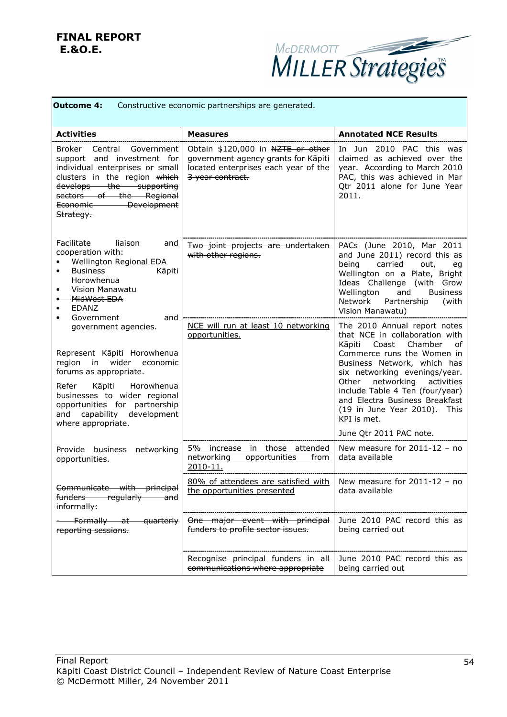

| <b>Outcome 4:</b><br>Constructive economic partnerships are generated.                                                                                                                                                                            |                                                                                                                                      |                                                                                                                                                                                                                                                            |
|---------------------------------------------------------------------------------------------------------------------------------------------------------------------------------------------------------------------------------------------------|--------------------------------------------------------------------------------------------------------------------------------------|------------------------------------------------------------------------------------------------------------------------------------------------------------------------------------------------------------------------------------------------------------|
| <b>Activities</b>                                                                                                                                                                                                                                 | <b>Measures</b>                                                                                                                      | <b>Annotated NCE Results</b>                                                                                                                                                                                                                               |
| Broker Central Government<br>support and investment for<br>individual enterprises or small<br>clusters in the region which<br>develops the supporting<br>sectors of the Regional<br>Economic Development<br>Strategy.                             | Obtain \$120,000 in NZTE or other<br>government agency grants for Kāpiti<br>located enterprises each year of the<br>3 year contract. | In Jun 2010 PAC this was<br>claimed as achieved over the<br>year. According to March 2010<br>PAC, this was achieved in Mar<br>Otr 2011 alone for June Year<br>2011.                                                                                        |
| Facilitate<br>liaison<br>and<br>cooperation with:<br>Wellington Regional EDA<br><b>Business</b><br>Kāpiti<br>$\bullet$<br>Horowhenua<br>Vision Manawatu<br>٠<br>-MidWest EDA<br>٠.<br><b>EDANZ</b><br>$\bullet$<br>Government<br>and<br>$\bullet$ | Two joint projects are undertaken<br>with other regions.                                                                             | PACs (June 2010, Mar 2011<br>and June 2011) record this as<br>being<br>carried<br>out,<br>eg<br>Wellington on a Plate, Bright<br>Ideas Challenge (with Grow<br>Wellington<br><b>Business</b><br>and<br>Network<br>Partnership<br>(with<br>Vision Manawatu) |
| government agencies.<br>Represent Kāpiti Horowhenua<br>region<br>in wider economic<br>forums as appropriate.                                                                                                                                      | NCE will run at least 10 networking<br>opportunities.                                                                                | The 2010 Annual report notes<br>that NCE in collaboration with<br>Coast Chamber<br>Kāpiti<br>of<br>Commerce runs the Women in<br>Business Network, which has<br>six networking evenings/year.                                                              |
| Refer<br>Kāpiti<br>Horowhenua<br>businesses to wider regional<br>opportunities for partnership<br>development<br>and capability<br>where appropriate.                                                                                             |                                                                                                                                      | networking<br>activities<br>Other<br>include Table 4 Ten (four/year)<br>and Electra Business Breakfast<br>(19 in June Year 2010). This<br>KPI is met.<br>June Qtr 2011 PAC note.                                                                           |
| Provide business networking<br>opportunities.                                                                                                                                                                                                     | 5% increase in those attended<br>networking<br>opportunities<br>from<br>2010-11.                                                     | New measure for $2011-12$ - no<br>data available                                                                                                                                                                                                           |
| Communicate with principal<br>funders—<br><del>regularly -</del><br><del>and</del><br>informally:                                                                                                                                                 | 80% of attendees are satisfied with  <br>the opportunities presented                                                                 | New measure for 2011-12 - no<br>data available                                                                                                                                                                                                             |
| Formally at quarterly<br>reporting sessions.                                                                                                                                                                                                      | One major event with principal<br>funders to profile sector issues.                                                                  | June 2010 PAC record this as<br>being carried out                                                                                                                                                                                                          |
|                                                                                                                                                                                                                                                   | Recognise principal funders in all<br>communications where appropriate                                                               | June 2010 PAC record this as<br>being carried out                                                                                                                                                                                                          |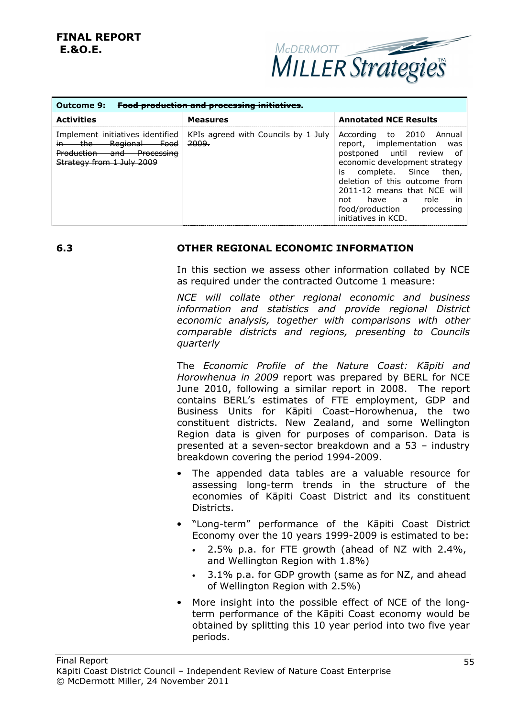

| <b>Outcome 9:</b>                                                                                                                                         | <b>Food production and processing initiatives</b>       |                                                                                                                                                                                                                                                                                             |
|-----------------------------------------------------------------------------------------------------------------------------------------------------------|---------------------------------------------------------|---------------------------------------------------------------------------------------------------------------------------------------------------------------------------------------------------------------------------------------------------------------------------------------------|
| <b>Activities</b>                                                                                                                                         | <b>Measures</b>                                         | <b>Annotated NCE Results</b>                                                                                                                                                                                                                                                                |
| Implement initiatives identified<br>Regional<br><del>- Food</del><br><del>the -</del><br><b>Production</b><br>and Processing<br>Strategy from 1 July 2009 | KPIs agreed with Councils by 1 July<br><del>2009.</del> | According to 2010 Annual<br>report, implementation was<br>postponed until review of<br>economic development strategy<br>is complete. Since then,<br>deletion of this outcome from<br>2011-12 means that NCE will<br>not have a role in<br>food/production processing<br>initiatives in KCD. |

#### **6.3 OTHER REGIONAL ECONOMIC INFORMATION**

In this section we assess other information collated by NCE as required under the contracted Outcome 1 measure:

*NCE will collate other regional economic and business information and statistics and provide regional District economic analysis, together with comparisons with other comparable districts and regions, presenting to Councils quarterly* 

The *Economic Profile of the Nature Coast: Kāpiti and Horowhenua in 2009* report was prepared by BERL for NCE June 2010, following a similar report in 2008. The report contains BERL's estimates of FTE employment, GDP and Business Units for Kāpiti Coast–Horowhenua, the two constituent districts. New Zealand, and some Wellington Region data is given for purposes of comparison. Data is presented at a seven-sector breakdown and a 53 – industry breakdown covering the period 1994-2009.

- The appended data tables are a valuable resource for assessing long-term trends in the structure of the economies of Kāpiti Coast District and its constituent Districts.
- "Long-term" performance of the Kāpiti Coast District Economy over the 10 years 1999-2009 is estimated to be:
	- 2.5% p.a. for FTE growth (ahead of NZ with 2.4%, and Wellington Region with 1.8%)
	- 3.1% p.a. for GDP growth (same as for NZ, and ahead of Wellington Region with 2.5%)
- More insight into the possible effect of NCE of the longterm performance of the Kāpiti Coast economy would be obtained by splitting this 10 year period into two five year periods.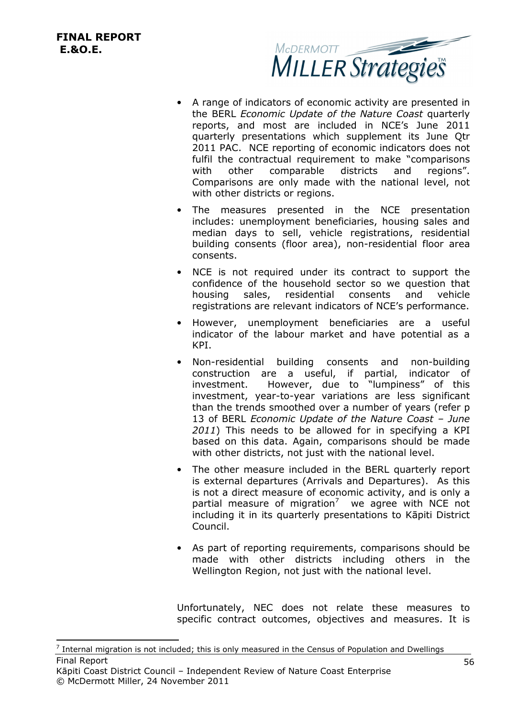l



- A range of indicators of economic activity are presented in the BERL *Economic Update of the Nature Coast* quarterly reports, and most are included in NCE's June 2011 quarterly presentations which supplement its June Qtr 2011 PAC. NCE reporting of economic indicators does not fulfil the contractual requirement to make "comparisons with other comparable districts and regions". Comparisons are only made with the national level, not with other districts or regions.
- The measures presented in the NCE presentation includes: unemployment beneficiaries, housing sales and median days to sell, vehicle registrations, residential building consents (floor area), non-residential floor area consents.
- NCE is not required under its contract to support the confidence of the household sector so we question that housing sales, residential consents and vehicle registrations are relevant indicators of NCE's performance.
- However, unemployment beneficiaries are a useful indicator of the labour market and have potential as a KPI.
- Non-residential building consents and non-building construction are a useful, if partial, indicator of investment. However, due to "lumpiness" of this investment, year-to-year variations are less significant than the trends smoothed over a number of years (refer p 13 of BERL *Economic Update of the Nature Coast – June 2011*) This needs to be allowed for in specifying a KPI based on this data. Again, comparisons should be made with other districts, not just with the national level.
- The other measure included in the BERL quarterly report is external departures (Arrivals and Departures). As this is not a direct measure of economic activity, and is only a partial measure of migration<sup>7</sup> we agree with NCE not including it in its quarterly presentations to Kāpiti District Council.
- As part of reporting requirements, comparisons should be made with other districts including others in the Wellington Region, not just with the national level.

Unfortunately, NEC does not relate these measures to specific contract outcomes, objectives and measures. It is

Final Report  $<sup>7</sup>$  Internal migration is not included; this is only measured in the Census of Population and Dwellings</sup>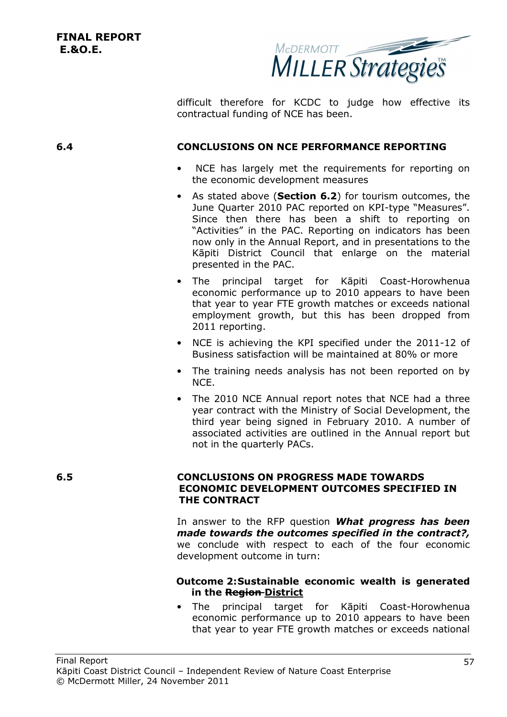

difficult therefore for KCDC to judge how effective its contractual funding of NCE has been.

#### **6.4 CONCLUSIONS ON NCE PERFORMANCE REPORTING**

- NCE has largely met the requirements for reporting on the economic development measures
- As stated above (**Section 6.2**) for tourism outcomes, the June Quarter 2010 PAC reported on KPI-type "Measures". Since then there has been a shift to reporting on "Activities" in the PAC. Reporting on indicators has been now only in the Annual Report, and in presentations to the Kāpiti District Council that enlarge on the material presented in the PAC.
- The principal target for Kāpiti Coast-Horowhenua economic performance up to 2010 appears to have been that year to year FTE growth matches or exceeds national employment growth, but this has been dropped from 2011 reporting.
- NCE is achieving the KPI specified under the 2011-12 of Business satisfaction will be maintained at 80% or more
- The training needs analysis has not been reported on by NCE.
- The 2010 NCE Annual report notes that NCE had a three year contract with the Ministry of Social Development, the third year being signed in February 2010. A number of associated activities are outlined in the Annual report but not in the quarterly PACs.

#### **6.5 CONCLUSIONS ON PROGRESS MADE TOWARDS ECONOMIC DEVELOPMENT OUTCOMES SPECIFIED IN THE CONTRACT**

In answer to the RFP question *What progress has been made towards the outcomes specified in the contract?,* we conclude with respect to each of the four economic development outcome in turn:

#### **Outcome 2:Sustainable economic wealth is generated in the Region District**

• The principal target for Kāpiti Coast-Horowhenua economic performance up to 2010 appears to have been that year to year FTE growth matches or exceeds national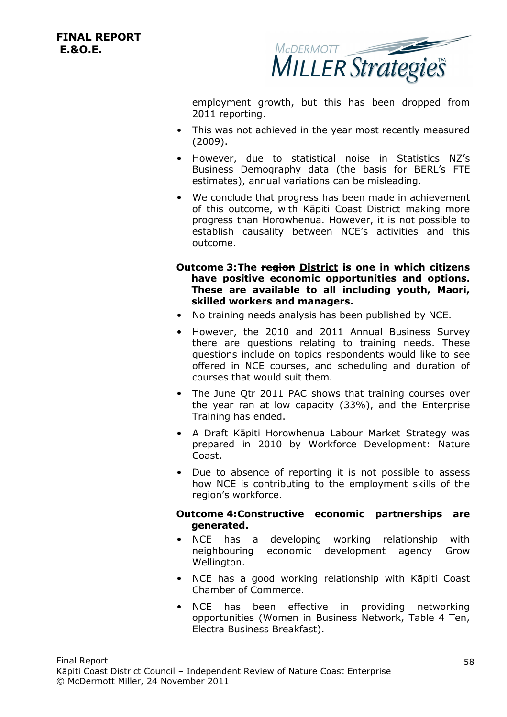

employment growth, but this has been dropped from 2011 reporting.

- This was not achieved in the year most recently measured (2009).
- However, due to statistical noise in Statistics NZ's Business Demography data (the basis for BERL's FTE estimates), annual variations can be misleading.
- We conclude that progress has been made in achievement of this outcome, with Kāpiti Coast District making more progress than Horowhenua. However, it is not possible to establish causality between NCE's activities and this outcome.
- **Outcome 3:The region District is one in which citizens have positive economic opportunities and options. These are available to all including youth, Maori, skilled workers and managers.**
- No training needs analysis has been published by NCE.
- However, the 2010 and 2011 Annual Business Survey there are questions relating to training needs. These questions include on topics respondents would like to see offered in NCE courses, and scheduling and duration of courses that would suit them.
- The June Qtr 2011 PAC shows that training courses over the year ran at low capacity (33%), and the Enterprise Training has ended.
- A Draft Kāpiti Horowhenua Labour Market Strategy was prepared in 2010 by Workforce Development: Nature Coast.
- Due to absence of reporting it is not possible to assess how NCE is contributing to the employment skills of the region's workforce.

#### **Outcome 4:Constructive economic partnerships are generated.**

- NCE has a developing working relationship with neighbouring economic development agency Grow Wellington.
- NCE has a good working relationship with Kāpiti Coast Chamber of Commerce.
- NCE has been effective in providing networking opportunities (Women in Business Network, Table 4 Ten, Electra Business Breakfast).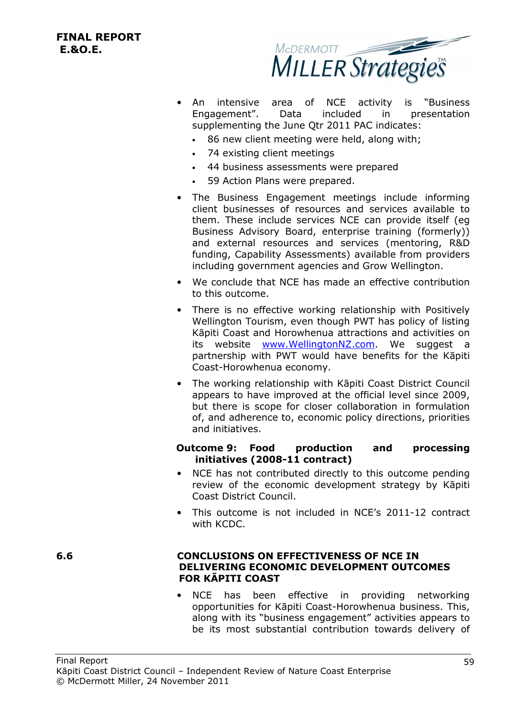

- An intensive area of NCE activity is "Business Engagement". Data included in presentation supplementing the June Qtr 2011 PAC indicates:
	- 86 new client meeting were held, along with;
	- 74 existing client meetings
	- 44 business assessments were prepared
	- 59 Action Plans were prepared.
- The Business Engagement meetings include informing client businesses of resources and services available to them. These include services NCE can provide itself (eg Business Advisory Board, enterprise training (formerly)) and external resources and services (mentoring, R&D funding, Capability Assessments) available from providers including government agencies and Grow Wellington.
- We conclude that NCE has made an effective contribution to this outcome.
- There is no effective working relationship with Positively Wellington Tourism, even though PWT has policy of listing Kāpiti Coast and Horowhenua attractions and activities on its website www.WellingtonNZ.com. We suggest a partnership with PWT would have benefits for the Kāpiti Coast-Horowhenua economy.
- The working relationship with Kāpiti Coast District Council appears to have improved at the official level since 2009, but there is scope for closer collaboration in formulation of, and adherence to, economic policy directions, priorities and initiatives.

#### **Outcome 9: Food production and processing initiatives (2008-11 contract)**

- NCE has not contributed directly to this outcome pending review of the economic development strategy by Kāpiti Coast District Council.
- This outcome is not included in NCE's 2011-12 contract with KCDC.

#### **6.6 CONCLUSIONS ON EFFECTIVENESS OF NCE IN DELIVERING ECONOMIC DEVELOPMENT OUTCOMES FOR KĀPITI COAST**

NCE has been effective in providing networking opportunities for Kāpiti Coast-Horowhenua business. This, along with its "business engagement" activities appears to be its most substantial contribution towards delivery of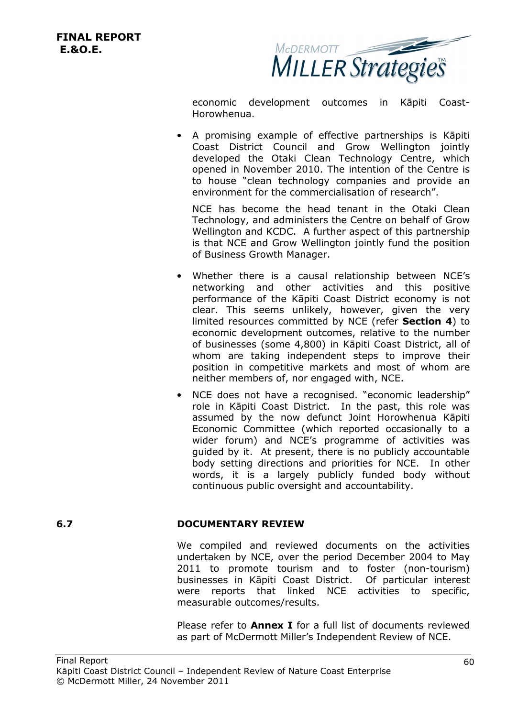

economic development outcomes in Kāpiti Coast-Horowhenua.

• A promising example of effective partnerships is Kāpiti Coast District Council and Grow Wellington jointly developed the Otaki Clean Technology Centre, which opened in November 2010. The intention of the Centre is to house "clean technology companies and provide an environment for the commercialisation of research".

NCE has become the head tenant in the Otaki Clean Technology, and administers the Centre on behalf of Grow Wellington and KCDC. A further aspect of this partnership is that NCE and Grow Wellington jointly fund the position of Business Growth Manager.

- Whether there is a causal relationship between NCE's networking and other activities and this positive performance of the Kāpiti Coast District economy is not clear. This seems unlikely, however, given the very limited resources committed by NCE (refer **Section 4**) to economic development outcomes, relative to the number of businesses (some 4,800) in Kāpiti Coast District, all of whom are taking independent steps to improve their position in competitive markets and most of whom are neither members of, nor engaged with, NCE.
- NCE does not have a recognised. "economic leadership" role in Kāpiti Coast District. In the past, this role was assumed by the now defunct Joint Horowhenua Kāpiti Economic Committee (which reported occasionally to a wider forum) and NCE's programme of activities was guided by it. At present, there is no publicly accountable body setting directions and priorities for NCE. In other words, it is a largely publicly funded body without continuous public oversight and accountability.

#### **6.7 DOCUMENTARY REVIEW**

We compiled and reviewed documents on the activities undertaken by NCE, over the period December 2004 to May 2011 to promote tourism and to foster (non-tourism) businesses in Kāpiti Coast District. Of particular interest were reports that linked NCE activities to specific, measurable outcomes/results.

Please refer to **Annex I** for a full list of documents reviewed as part of McDermott Miller's Independent Review of NCE.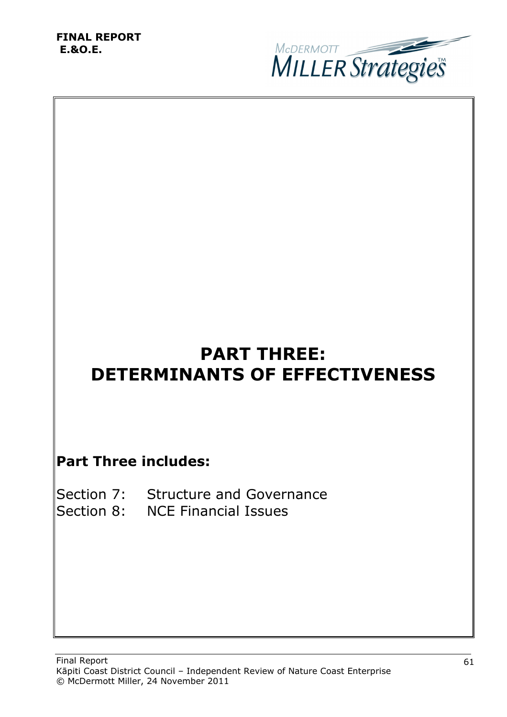

# **PART THREE: DETERMINANTS OF EFFECTIVENESS**

# **Part Three includes:**

| Section 7: Structure and Governance |
|-------------------------------------|
| Section 8: NCE Financial Issues     |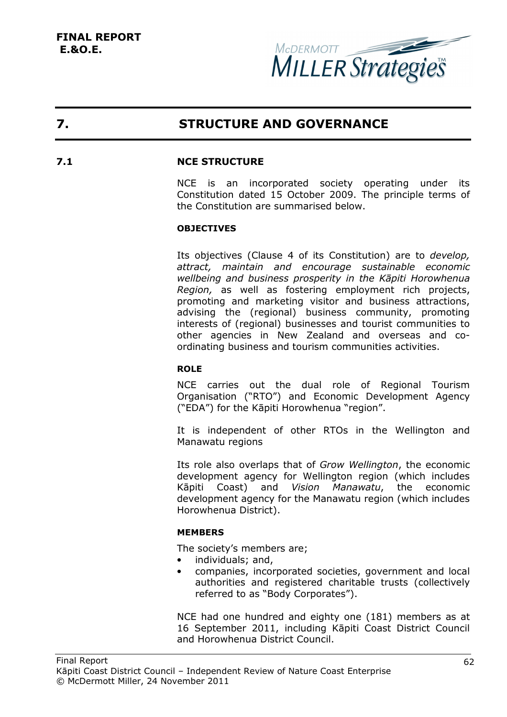

# **7. STRUCTURE AND GOVERNANCE**

#### **7.1 NCE STRUCTURE**

NCE is an incorporated society operating under its Constitution dated 15 October 2009. The principle terms of the Constitution are summarised below.

#### **OBJECTIVES**

Its objectives (Clause 4 of its Constitution) are to *develop, attract, maintain and encourage sustainable economic wellbeing and business prosperity in the Kāpiti Horowhenua Region,* as well as fostering employment rich projects, promoting and marketing visitor and business attractions, advising the (regional) business community, promoting interests of (regional) businesses and tourist communities to other agencies in New Zealand and overseas and coordinating business and tourism communities activities.

#### **ROLE**

NCE carries out the dual role of Regional Tourism Organisation ("RTO") and Economic Development Agency ("EDA") for the Kāpiti Horowhenua "region".

It is independent of other RTOs in the Wellington and Manawatu regions

Its role also overlaps that of *Grow Wellington*, the economic development agency for Wellington region (which includes Kāpiti Coast) and *Vision Manawatu*, the economic development agency for the Manawatu region (which includes Horowhenua District).

#### **MEMBERS**

The society's members are;

- individuals; and,
- companies, incorporated societies, government and local authorities and registered charitable trusts (collectively referred to as "Body Corporates").

NCE had one hundred and eighty one (181) members as at 16 September 2011, including Kāpiti Coast District Council and Horowhenua District Council.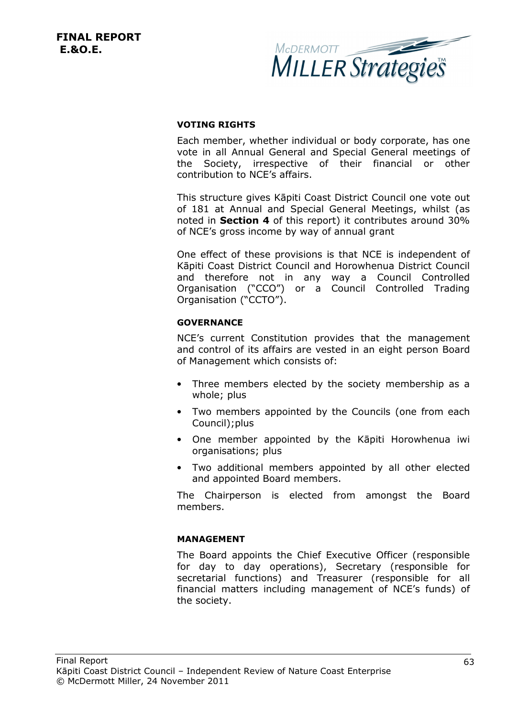

#### **VOTING RIGHTS**

Each member, whether individual or body corporate, has one vote in all Annual General and Special General meetings of the Society, irrespective of their financial or other contribution to NCE's affairs.

This structure gives Kāpiti Coast District Council one vote out of 181 at Annual and Special General Meetings, whilst (as noted in **Section 4** of this report) it contributes around 30% of NCE's gross income by way of annual grant

One effect of these provisions is that NCE is independent of Kāpiti Coast District Council and Horowhenua District Council and therefore not in any way a Council Controlled Organisation ("CCO") or a Council Controlled Trading Organisation ("CCTO").

#### **GOVERNANCE**

NCE's current Constitution provides that the management and control of its affairs are vested in an eight person Board of Management which consists of:

- Three members elected by the society membership as a whole; plus
- Two members appointed by the Councils (one from each Council);plus
- One member appointed by the Kāpiti Horowhenua iwi organisations; plus
- Two additional members appointed by all other elected and appointed Board members.

The Chairperson is elected from amongst the Board members.

#### **MANAGEMENT**

The Board appoints the Chief Executive Officer (responsible for day to day operations), Secretary (responsible for secretarial functions) and Treasurer (responsible for all financial matters including management of NCE's funds) of the society.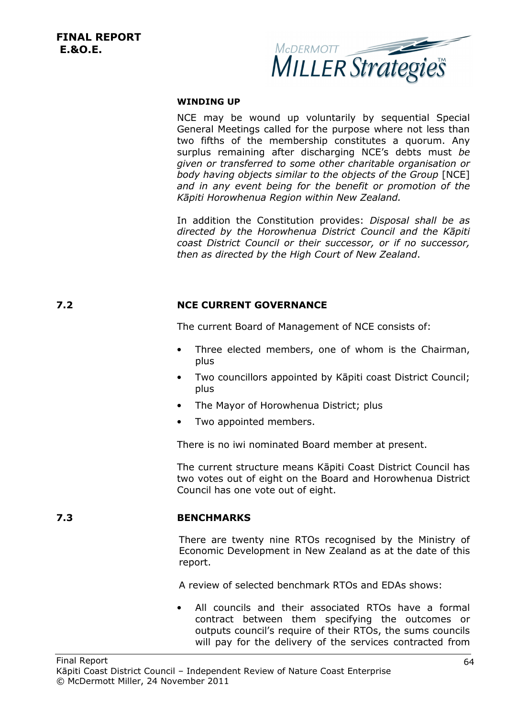

#### **WINDING UP**

NCE may be wound up voluntarily by sequential Special General Meetings called for the purpose where not less than two fifths of the membership constitutes a quorum. Any surplus remaining after discharging NCE's debts must *be given or transferred to some other charitable organisation or body having objects similar to the objects of the Group* [NCE] *and in any event being for the benefit or promotion of the Kāpiti Horowhenua Region within New Zealand.*

In addition the Constitution provides: *Disposal shall be as directed by the Horowhenua District Council and the Kāpiti coast District Council or their successor, or if no successor, then as directed by the High Court of New Zealand*.

#### **7.2 NCE CURRENT GOVERNANCE**

The current Board of Management of NCE consists of:

- Three elected members, one of whom is the Chairman, plus
- Two councillors appointed by Kāpiti coast District Council; plus
- The Mayor of Horowhenua District; plus
- Two appointed members.

There is no iwi nominated Board member at present.

The current structure means Kāpiti Coast District Council has two votes out of eight on the Board and Horowhenua District Council has one vote out of eight.

#### **7.3 BENCHMARKS**

There are twenty nine RTOs recognised by the Ministry of Economic Development in New Zealand as at the date of this report.

A review of selected benchmark RTOs and EDAs shows:

All councils and their associated RTOs have a formal contract between them specifying the outcomes or outputs council's require of their RTOs, the sums councils will pay for the delivery of the services contracted from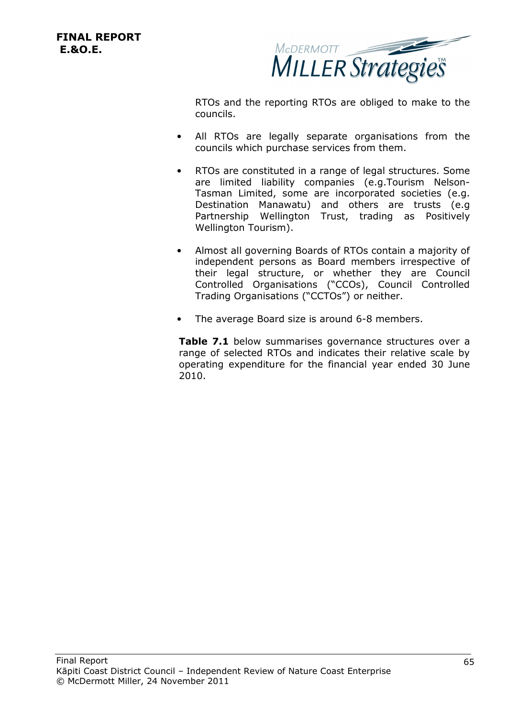MCDERMOTT Strategies

RTOs and the reporting RTOs are obliged to make to the councils.

- All RTOs are legally separate organisations from the councils which purchase services from them.
- RTOs are constituted in a range of legal structures. Some are limited liability companies (e.g.Tourism Nelson-Tasman Limited, some are incorporated societies (e.g. Destination Manawatu) and others are trusts (e.g Partnership Wellington Trust, trading as Positively Wellington Tourism).
- Almost all governing Boards of RTOs contain a majority of independent persons as Board members irrespective of their legal structure, or whether they are Council Controlled Organisations ("CCOs), Council Controlled Trading Organisations ("CCTOs") or neither.
- The average Board size is around 6-8 members.

**Table 7.1** below summarises governance structures over a range of selected RTOs and indicates their relative scale by operating expenditure for the financial year ended 30 June 2010.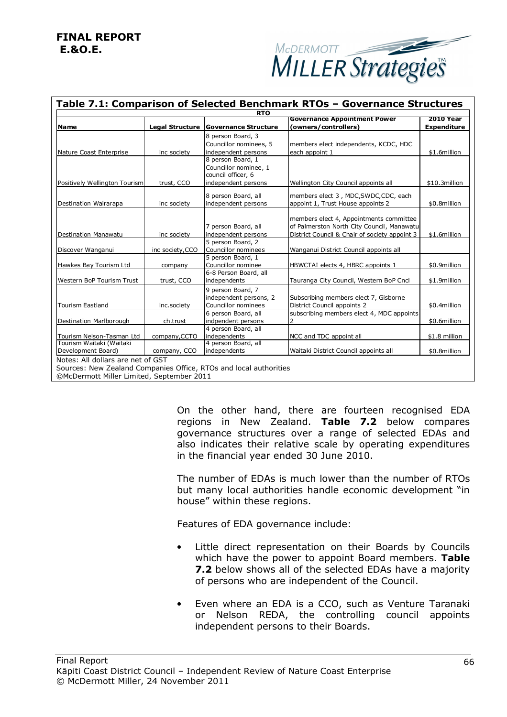

| Table 7.1: Comparison of Selected Benchmark RTOs - Governance Structures |                  |                             |                                               |                    |  |  |
|--------------------------------------------------------------------------|------------------|-----------------------------|-----------------------------------------------|--------------------|--|--|
| <b>RTO</b>                                                               |                  |                             |                                               |                    |  |  |
|                                                                          |                  |                             | <b>Governance Appointment Power</b>           | <b>2010 Year</b>   |  |  |
| <b>Name</b>                                                              | Legal Structure  | <b>Governance Structure</b> | (owners/controllers)                          | <b>Expenditure</b> |  |  |
|                                                                          |                  | 8 person Board, 3           |                                               |                    |  |  |
|                                                                          |                  | Councillor nominees, 5      | members elect independents, KCDC, HDC         |                    |  |  |
| Nature Coast Enterprise                                                  | inc society      | independent persons         | each appoint 1                                | \$1.6million       |  |  |
|                                                                          |                  | 8 person Board, 1           |                                               |                    |  |  |
|                                                                          |                  | Councillor nominee, 1       |                                               |                    |  |  |
|                                                                          |                  | council officer, 6          |                                               |                    |  |  |
| Positively Wellington Tourism                                            | trust, CCO       | independent persons         | Wellington City Council appoints all          | \$10.3million      |  |  |
|                                                                          |                  |                             |                                               |                    |  |  |
|                                                                          |                  | 8 person Board, all         | members elect 3, MDC, SWDC, CDC, each         |                    |  |  |
| Destination Wairarapa                                                    | inc society      | independent persons         | appoint 1, Trust House appoints 2             | \$0.8million       |  |  |
|                                                                          |                  |                             |                                               |                    |  |  |
|                                                                          |                  |                             | members elect 4, Appointments committee       |                    |  |  |
|                                                                          |                  | 7 person Board, all         | of Palmerston North City Council, Manawatu    |                    |  |  |
| <b>Destination Manawatu</b>                                              | inc society      | independent persons         | District Council & Chair of society appoint 3 | \$1.6million       |  |  |
|                                                                          |                  | 5 person Board, 2           |                                               |                    |  |  |
| Discover Wanganui                                                        | inc society, CCO | Councillor nominees         | Wanganui District Council appoints all        |                    |  |  |
|                                                                          |                  | 5 person Board, 1           |                                               |                    |  |  |
| Hawkes Bay Tourism Ltd                                                   | company          | Councillor nominee          | HBWCTAI elects 4, HBRC appoints 1             | \$0.9million       |  |  |
|                                                                          |                  | 6-8 Person Board, all       |                                               |                    |  |  |
| Western BoP Tourism Trust                                                | trust, CCO       | independents                | Tauranga City Council, Western BoP Cncl       | \$1.9million       |  |  |
|                                                                          |                  |                             |                                               |                    |  |  |
|                                                                          |                  | 9 person Board, 7           |                                               |                    |  |  |
|                                                                          |                  | independent persons, 2      | Subscribing members elect 7, Gisborne         |                    |  |  |
| <b>Tourism Eastland</b>                                                  | inc.society      | Councillor nominees         | District Council appoints 2                   | \$0.4million       |  |  |
|                                                                          |                  | 6 person Board, all         | subscribing members elect 4, MDC appoints     |                    |  |  |
| Destination Marlborough                                                  | ch.trust         | indpendent persons          | $\overline{2}$                                | \$0.6million       |  |  |
|                                                                          |                  | 4 person Board, all         |                                               |                    |  |  |
| Tourism Nelson-Tasman Ltd                                                | company, CCTO    | independents                | NCC and TDC appoint all                       | \$1.8 million      |  |  |
| Tourism Waitaki (Waitaki                                                 |                  | 4 person Board, all         |                                               |                    |  |  |
| Development Board)                                                       | company, CCO     | independents                | Waitaki District Council appoints all         | \$0.8million       |  |  |
| Notes: All dollars are net of GST                                        |                  |                             |                                               |                    |  |  |
| Sources: New Zealand Companies Office, RTOs and local authorities        |                  |                             |                                               |                    |  |  |
|                                                                          |                  |                             |                                               |                    |  |  |

©McDermott Miller Limited, September 2011

On the other hand, there are fourteen recognised EDA regions in New Zealand. **Table 7.2** below compares governance structures over a range of selected EDAs and also indicates their relative scale by operating expenditures in the financial year ended 30 June 2010.

The number of EDAs is much lower than the number of RTOs but many local authorities handle economic development "in house" within these regions.

Features of EDA governance include:

- Little direct representation on their Boards by Councils which have the power to appoint Board members. **Table 7.2** below shows all of the selected EDAs have a majority of persons who are independent of the Council.
- Even where an EDA is a CCO, such as Venture Taranaki or Nelson REDA, the controlling council appoints independent persons to their Boards.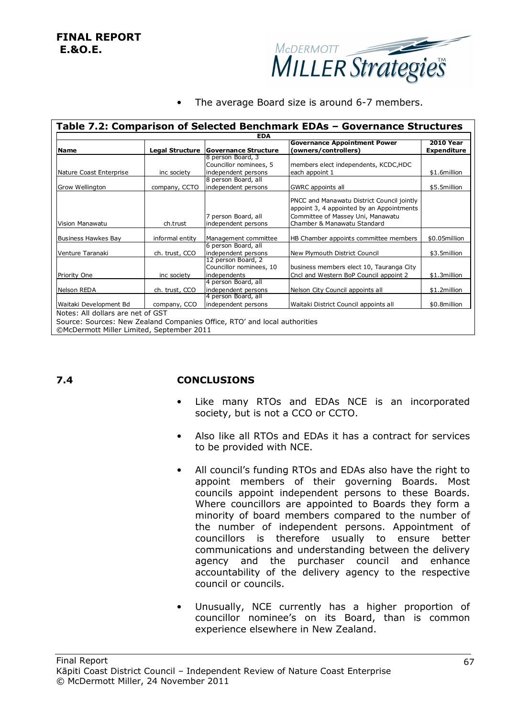

The average Board size is around 6-7 members.

| <b>EDA</b>              |                 |                                        |                                            |                    |  |  |
|-------------------------|-----------------|----------------------------------------|--------------------------------------------|--------------------|--|--|
|                         |                 |                                        | <b>Governance Appointment Power</b>        | <b>2010 Year</b>   |  |  |
| <b>Name</b>             |                 | Legal Structure   Governance Structure | (owners/controllers)                       | <b>Expenditure</b> |  |  |
|                         |                 | 8 person Board, 3                      |                                            |                    |  |  |
|                         |                 | Councillor nominees, 5                 | members elect independents, KCDC,HDC       |                    |  |  |
| Nature Coast Enterprise | inc society     | independent persons                    | each appoint 1                             | \$1.6million       |  |  |
|                         |                 | 8 person Board, all                    |                                            |                    |  |  |
| Grow Wellington         | company, CCTO   | independent persons                    | GWRC appoints all                          | \$5.5million       |  |  |
|                         |                 |                                        | PNCC and Manawatu District Council jointly |                    |  |  |
|                         |                 |                                        | appoint 3, 4 appointed by an Appointments  |                    |  |  |
|                         |                 | 7 person Board, all                    | Committee of Massey Uni, Manawatu          |                    |  |  |
| Vision Manawatu         | ch.trust        | independent persons                    | Chamber & Manawatu Standard                |                    |  |  |
| Business Hawkes Bay     | informal entity | Management committee                   | HB Chamber appoints committee members      | \$0.05million      |  |  |
|                         |                 | 6 person Board, all                    |                                            |                    |  |  |
| Venture Taranaki        | ch. trust, CCO  | independent persons                    | New Plymouth District Council              | \$3.5million       |  |  |
|                         |                 | 12 person Board, 2                     |                                            |                    |  |  |
|                         |                 | Councillor nominees, 10                | business members elect 10, Tauranga City   |                    |  |  |
| Priority One            | inc society     | independents                           | Cncl and Western BoP Council appoint 2     | \$1.3million       |  |  |
|                         |                 | 4 person Board, all                    |                                            |                    |  |  |
| Nelson REDA             | ch. trust, CCO  | independent persons                    | Nelson City Council appoints all           | \$1.2million       |  |  |
|                         |                 | 4 person Board, all                    |                                            |                    |  |  |
| Waitaki Development Bd  | company, CCO    | independent persons                    | Waitaki District Council appoints all      | \$0.8million       |  |  |

©McDermott Miller Limited, September 2011

#### **7.4 CONCLUSIONS**

- Like many RTOs and EDAs NCE is an incorporated society, but is not a CCO or CCTO.
- Also like all RTOs and EDAs it has a contract for services to be provided with NCE.
- All council's funding RTOs and EDAs also have the right to appoint members of their governing Boards. Most councils appoint independent persons to these Boards. Where councillors are appointed to Boards they form a minority of board members compared to the number of the number of independent persons. Appointment of councillors is therefore usually to ensure better communications and understanding between the delivery agency and the purchaser council and enhance accountability of the delivery agency to the respective council or councils.
- Unusually, NCE currently has a higher proportion of councillor nominee's on its Board, than is common experience elsewhere in New Zealand.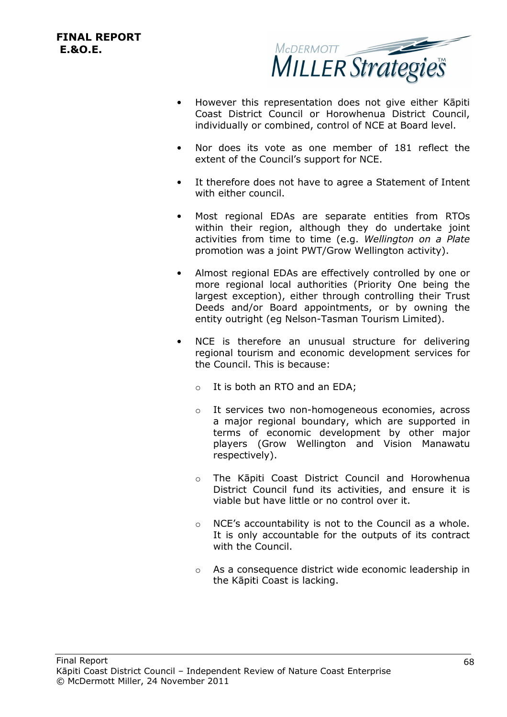

- However this representation does not give either Kāpiti Coast District Council or Horowhenua District Council, individually or combined, control of NCE at Board level.
- Nor does its vote as one member of 181 reflect the extent of the Council's support for NCE.
- It therefore does not have to agree a Statement of Intent with either council.
- Most regional EDAs are separate entities from RTOs within their region, although they do undertake joint activities from time to time (e.g. *Wellington on a Plate* promotion was a joint PWT/Grow Wellington activity).
- Almost regional EDAs are effectively controlled by one or more regional local authorities (Priority One being the largest exception), either through controlling their Trust Deeds and/or Board appointments, or by owning the entity outright (eg Nelson-Tasman Tourism Limited).
- NCE is therefore an unusual structure for delivering regional tourism and economic development services for the Council. This is because:
	- $\circ$  It is both an RTO and an EDA;
	- o It services two non-homogeneous economies, across a major regional boundary, which are supported in terms of economic development by other major players (Grow Wellington and Vision Manawatu respectively).
	- o The Kāpiti Coast District Council and Horowhenua District Council fund its activities, and ensure it is viable but have little or no control over it.
	- o NCE's accountability is not to the Council as a whole. It is only accountable for the outputs of its contract with the Council.
	- o As a consequence district wide economic leadership in the Kāpiti Coast is lacking.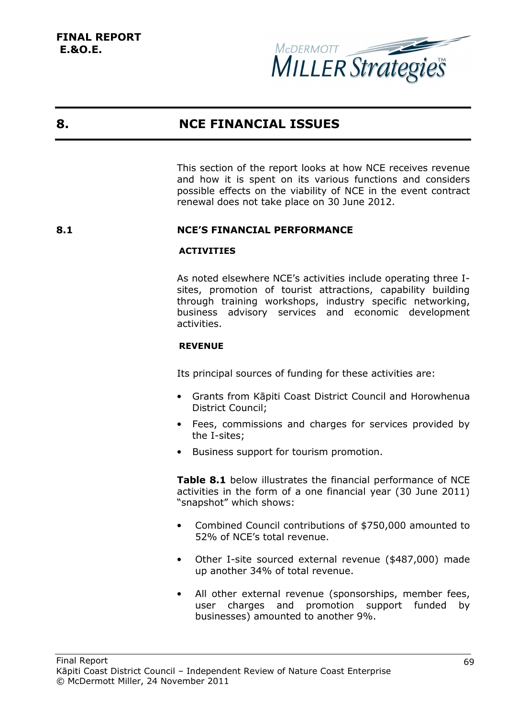

## **8. NCE FINANCIAL ISSUES**

This section of the report looks at how NCE receives revenue and how it is spent on its various functions and considers possible effects on the viability of NCE in the event contract renewal does not take place on 30 June 2012.

## **8.1 NCE'S FINANCIAL PERFORMANCE**

## **ACTIVITIES**

As noted elsewhere NCE's activities include operating three Isites, promotion of tourist attractions, capability building through training workshops, industry specific networking, business advisory services and economic development activities.

## **REVENUE**

Its principal sources of funding for these activities are:

- Grants from Kāpiti Coast District Council and Horowhenua District Council;
- Fees, commissions and charges for services provided by the I-sites;
- Business support for tourism promotion.

**Table 8.1** below illustrates the financial performance of NCE activities in the form of a one financial year (30 June 2011) "snapshot" which shows:

- Combined Council contributions of \$750,000 amounted to 52% of NCE's total revenue.
- Other I-site sourced external revenue (\$487,000) made up another 34% of total revenue.
- All other external revenue (sponsorships, member fees, user charges and promotion support funded by businesses) amounted to another 9%.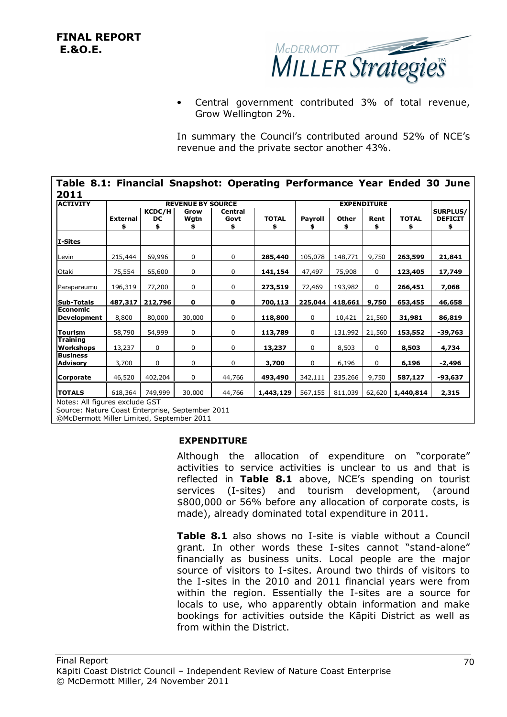

• Central government contributed 3% of total revenue, Grow Wellington 2%.

In summary the Council's contributed around 52% of NCE's revenue and the private sector another 43%.

| <b>ACTIVITY</b>                       | <b>REVENUE BY SOURCE</b> |                           |              |                       |                    | <b>EXPENDITURE</b> |                    |             |                    |                                         |
|---------------------------------------|--------------------------|---------------------------|--------------|-----------------------|--------------------|--------------------|--------------------|-------------|--------------------|-----------------------------------------|
|                                       | <b>External</b><br>\$    | <b>KCDC/H</b><br>DC<br>\$ | Grow<br>Wgtn | Central<br>Govt<br>\$ | <b>TOTAL</b><br>\$ | Payroll<br>\$      | <b>Other</b><br>\$ | Rent<br>\$  | <b>TOTAL</b><br>\$ | <b>SURPLUS/</b><br><b>DEFICIT</b><br>\$ |
| I-Sites                               |                          |                           |              |                       |                    |                    |                    |             |                    |                                         |
| Levin                                 | 215,444                  | 69,996                    | 0            | 0                     | 285,440            | 105,078            | 148,771            | 9,750       | 263,599            | 21,841                                  |
| Otaki                                 | 75,554                   | 65,600                    | $\mathbf 0$  | 0                     | 141,154            | 47,497             | 75,908             | $\mathbf 0$ | 123,405            | 17,749                                  |
| Paraparaumu                           | 196,319                  | 77,200                    | 0            | 0                     | 273,519            | 72,469             | 193,982            | 0           | 266,451            | 7,068                                   |
| <b>Sub-Totals</b>                     | 487,317                  | 212,796                   | $\mathbf 0$  | 0                     | 700,113            | 225,044            | 418,661            | 9,750       | 653,455            | 46,658                                  |
| <b>Economic</b><br><b>Development</b> | 8,800                    | 80,000                    | 30,000       | 0                     | 118,800            | 0                  | 10,421             | 21,560      | 31,981             | 86,819                                  |
| <b>Tourism</b>                        | 58,790                   | 54,999                    | 0            | 0                     | 113,789            | 0                  | 131,992            | 21,560      | 153,552            | $-39,763$                               |
| <b>Training</b><br>Workshops          | 13,237                   | $\mathbf 0$               | 0            | 0                     | 13,237             | $\mathbf 0$        | 8,503              | 0           | 8,503              | 4,734                                   |
| <b>Business</b><br><b>Advisory</b>    | 3,700                    | 0                         | 0            | 0                     | 3,700              | $\mathbf 0$        | 6,196              | 0           | 6,196              | -2,496                                  |
| Corporate                             | 46,520                   | 402,204                   | 0            | 44,766                | 493,490            | 342,111            | 235,266            | 9,750       | 587,127            | -93,637                                 |
| <b>TOTALS</b>                         | 618,364                  | 749,999                   | 30,000       | 44,766                | 1,443,129          | 567,155            | 811,039            | 62,620      | 1,440,814          | 2,315                                   |

Source: Nature Coast Enterprise, September 2011

©McDermott Miller Limited, September 2011

#### **EXPENDITURE**

Although the allocation of expenditure on "corporate" activities to service activities is unclear to us and that is reflected in **Table 8.1** above, NCE's spending on tourist services (I-sites) and tourism development, (around \$800,000 or 56% before any allocation of corporate costs, is made), already dominated total expenditure in 2011.

**Table 8.1** also shows no I-site is viable without a Council grant. In other words these I-sites cannot "stand-alone" financially as business units. Local people are the major source of visitors to I-sites. Around two thirds of visitors to the I-sites in the 2010 and 2011 financial years were from within the region. Essentially the I-sites are a source for locals to use, who apparently obtain information and make bookings for activities outside the Kāpiti District as well as from within the District.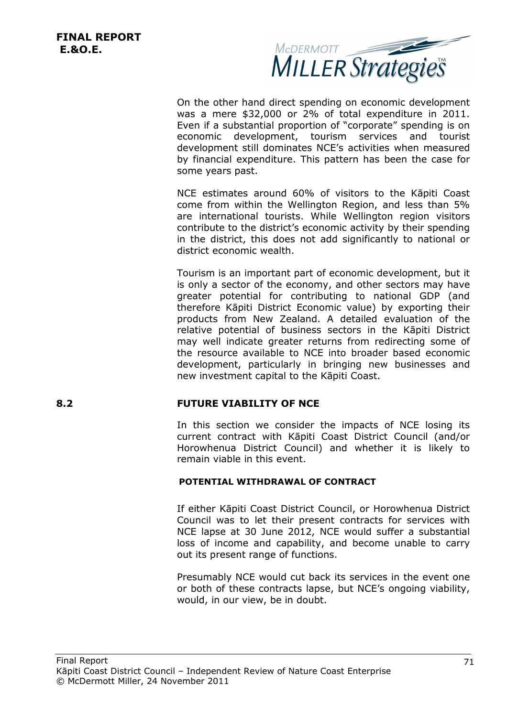

On the other hand direct spending on economic development was a mere \$32,000 or 2% of total expenditure in 2011. Even if a substantial proportion of "corporate" spending is on economic development, tourism services and tourist development still dominates NCE's activities when measured by financial expenditure. This pattern has been the case for some years past.

NCE estimates around 60% of visitors to the Kāpiti Coast come from within the Wellington Region, and less than 5% are international tourists. While Wellington region visitors contribute to the district's economic activity by their spending in the district, this does not add significantly to national or district economic wealth.

Tourism is an important part of economic development, but it is only a sector of the economy, and other sectors may have greater potential for contributing to national GDP (and therefore Kāpiti District Economic value) by exporting their products from New Zealand. A detailed evaluation of the relative potential of business sectors in the Kāpiti District may well indicate greater returns from redirecting some of the resource available to NCE into broader based economic development, particularly in bringing new businesses and new investment capital to the Kāpiti Coast.

## **8.2 FUTURE VIABILITY OF NCE**

In this section we consider the impacts of NCE losing its current contract with Kāpiti Coast District Council (and/or Horowhenua District Council) and whether it is likely to remain viable in this event.

## **POTENTIAL WITHDRAWAL OF CONTRACT**

If either Kāpiti Coast District Council, or Horowhenua District Council was to let their present contracts for services with NCE lapse at 30 June 2012, NCE would suffer a substantial loss of income and capability, and become unable to carry out its present range of functions.

Presumably NCE would cut back its services in the event one or both of these contracts lapse, but NCE's ongoing viability, would, in our view, be in doubt.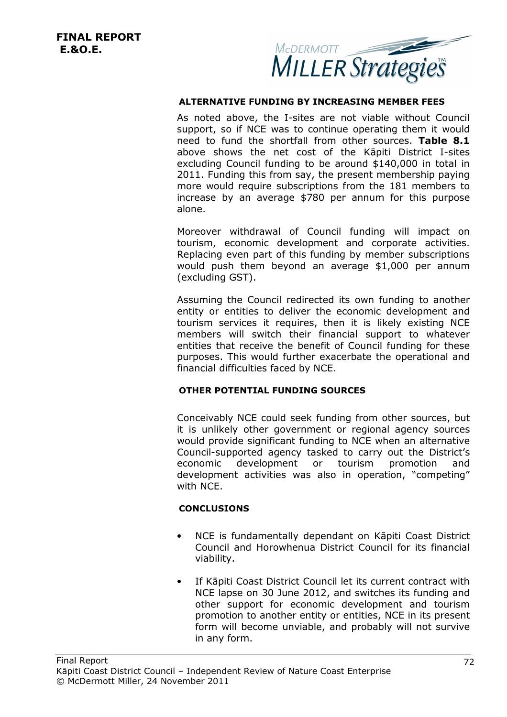

## **ALTERNATIVE FUNDING BY INCREASING MEMBER FEES**

As noted above, the I-sites are not viable without Council support, so if NCE was to continue operating them it would need to fund the shortfall from other sources. **Table 8.1** above shows the net cost of the Kāpiti District I-sites excluding Council funding to be around \$140,000 in total in 2011. Funding this from say, the present membership paying more would require subscriptions from the 181 members to increase by an average \$780 per annum for this purpose alone.

Moreover withdrawal of Council funding will impact on tourism, economic development and corporate activities. Replacing even part of this funding by member subscriptions would push them beyond an average \$1,000 per annum (excluding GST).

Assuming the Council redirected its own funding to another entity or entities to deliver the economic development and tourism services it requires, then it is likely existing NCE members will switch their financial support to whatever entities that receive the benefit of Council funding for these purposes. This would further exacerbate the operational and financial difficulties faced by NCE.

## **OTHER POTENTIAL FUNDING SOURCES**

Conceivably NCE could seek funding from other sources, but it is unlikely other government or regional agency sources would provide significant funding to NCE when an alternative Council-supported agency tasked to carry out the District's economic development or tourism promotion and development activities was also in operation, "competing" with NCE.

## **CONCLUSIONS**

- NCE is fundamentally dependant on Kāpiti Coast District Council and Horowhenua District Council for its financial viability.
- If Kāpiti Coast District Council let its current contract with NCE lapse on 30 June 2012, and switches its funding and other support for economic development and tourism promotion to another entity or entities, NCE in its present form will become unviable, and probably will not survive in any form.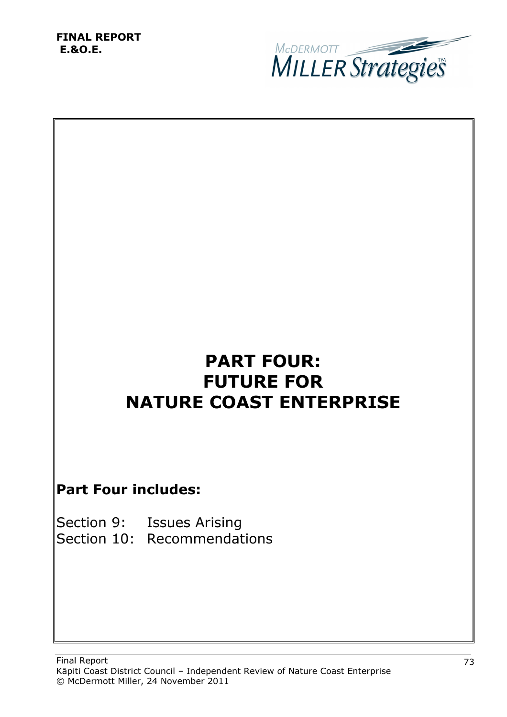

# **PART FOUR: FUTURE FOR NATURE COAST ENTERPRISE**

## **Part Four includes:**

| Section 9: Issues Arising   |
|-----------------------------|
| Section 10: Recommendations |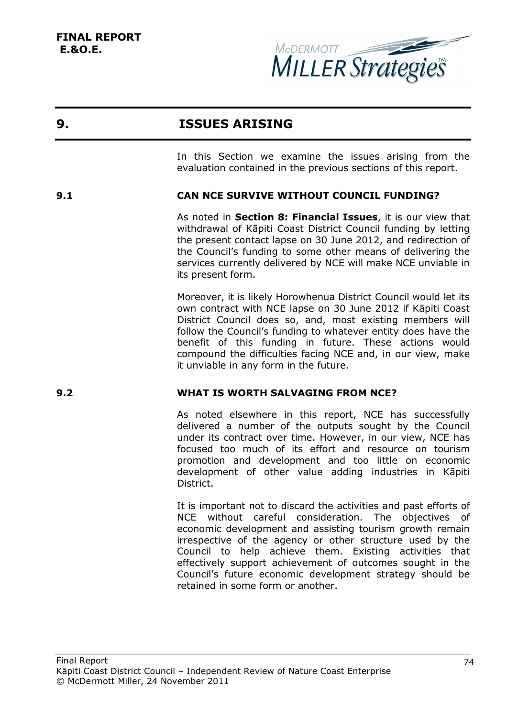

## **9. ISSUES ARISING**

In this Section we examine the issues arising from the evaluation contained in the previous sections of this report.

## **9.1 CAN NCE SURVIVE WITHOUT COUNCIL FUNDING?**

As noted in **Section 8: Financial Issues**, it is our view that withdrawal of Kāpiti Coast District Council funding by letting the present contact lapse on 30 June 2012, and redirection of the Council's funding to some other means of delivering the services currently delivered by NCE will make NCE unviable in its present form.

Moreover, it is likely Horowhenua District Council would let its own contract with NCE lapse on 30 June 2012 if Kāpiti Coast District Council does so, and, most existing members will follow the Council's funding to whatever entity does have the benefit of this funding in future. These actions would compound the difficulties facing NCE and, in our view, make it unviable in any form in the future.

## **9.2 WHAT IS WORTH SALVAGING FROM NCE?**

As noted elsewhere in this report, NCE has successfully delivered a number of the outputs sought by the Council under its contract over time. However, in our view, NCE has focused too much of its effort and resource on tourism promotion and development and too little on economic development of other value adding industries in Kāpiti District.

It is important not to discard the activities and past efforts of NCE without careful consideration. The objectives of economic development and assisting tourism growth remain irrespective of the agency or other structure used by the Council to help achieve them. Existing activities that effectively support achievement of outcomes sought in the Council's future economic development strategy should be retained in some form or another.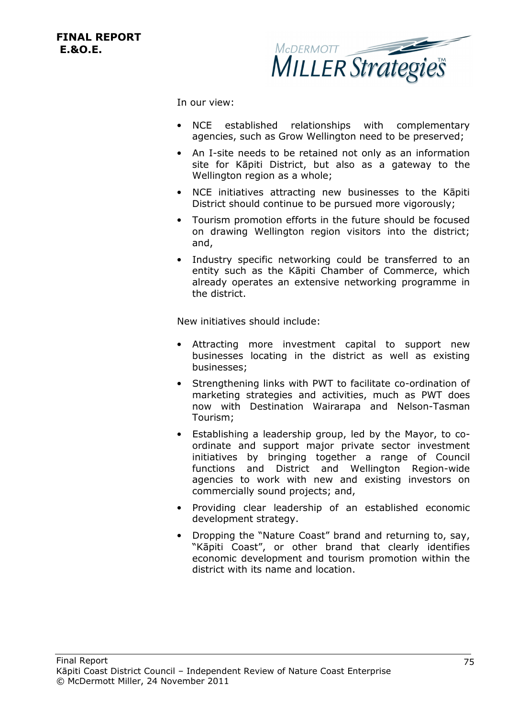

In our view:

- NCE established relationships with complementary agencies, such as Grow Wellington need to be preserved;
- An I-site needs to be retained not only as an information site for Kāpiti District, but also as a gateway to the Wellington region as a whole;
- NCE initiatives attracting new businesses to the Kāpiti District should continue to be pursued more vigorously;
- Tourism promotion efforts in the future should be focused on drawing Wellington region visitors into the district; and,
- Industry specific networking could be transferred to an entity such as the Kāpiti Chamber of Commerce, which already operates an extensive networking programme in the district.

New initiatives should include:

- Attracting more investment capital to support new businesses locating in the district as well as existing businesses;
- Strengthening links with PWT to facilitate co-ordination of marketing strategies and activities, much as PWT does now with Destination Wairarapa and Nelson-Tasman Tourism;
- Establishing a leadership group, led by the Mayor, to coordinate and support major private sector investment initiatives by bringing together a range of Council functions and District and Wellington Region-wide agencies to work with new and existing investors on commercially sound projects; and,
- Providing clear leadership of an established economic development strategy.
- Dropping the "Nature Coast" brand and returning to, say, "Kāpiti Coast", or other brand that clearly identifies economic development and tourism promotion within the district with its name and location.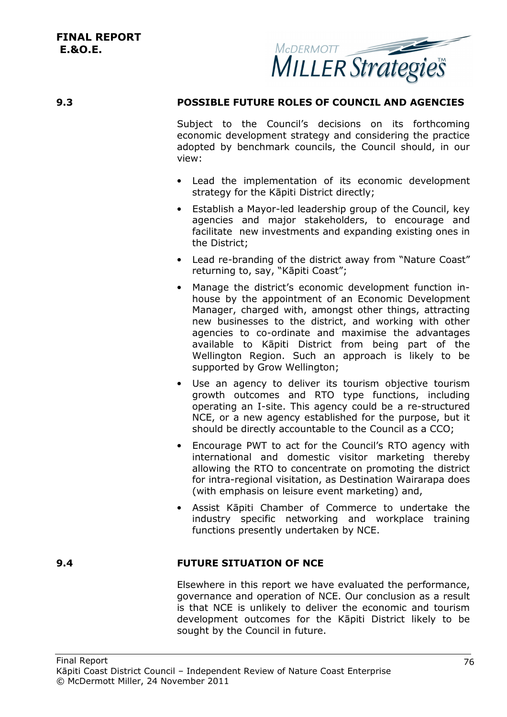

## **9.3 POSSIBLE FUTURE ROLES OF COUNCIL AND AGENCIES**

Subject to the Council's decisions on its forthcoming economic development strategy and considering the practice adopted by benchmark councils, the Council should, in our view:

- Lead the implementation of its economic development strategy for the Kāpiti District directly;
- Establish a Mayor-led leadership group of the Council, key agencies and major stakeholders, to encourage and facilitate new investments and expanding existing ones in the District;
- Lead re-branding of the district away from "Nature Coast" returning to, say, "Kāpiti Coast";
- Manage the district's economic development function inhouse by the appointment of an Economic Development Manager, charged with, amongst other things, attracting new businesses to the district, and working with other agencies to co-ordinate and maximise the advantages available to Kāpiti District from being part of the Wellington Region. Such an approach is likely to be supported by Grow Wellington;
- Use an agency to deliver its tourism objective tourism growth outcomes and RTO type functions, including operating an I-site. This agency could be a re-structured NCE, or a new agency established for the purpose, but it should be directly accountable to the Council as a CCO;
- Encourage PWT to act for the Council's RTO agency with international and domestic visitor marketing thereby allowing the RTO to concentrate on promoting the district for intra-regional visitation, as Destination Wairarapa does (with emphasis on leisure event marketing) and,
- Assist Kāpiti Chamber of Commerce to undertake the industry specific networking and workplace training functions presently undertaken by NCE.

## **9.4 FUTURE SITUATION OF NCE**

Elsewhere in this report we have evaluated the performance, governance and operation of NCE. Our conclusion as a result is that NCE is unlikely to deliver the economic and tourism development outcomes for the Kāpiti District likely to be sought by the Council in future.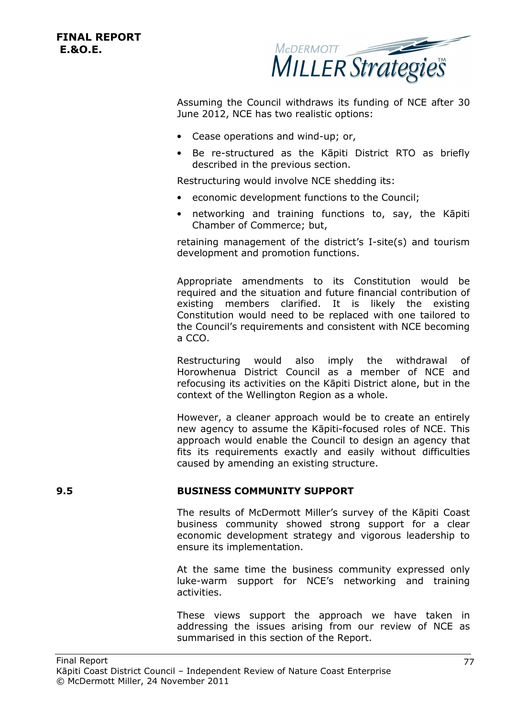

Assuming the Council withdraws its funding of NCE after 30 June 2012, NCE has two realistic options:

- Cease operations and wind-up; or,
- Be re-structured as the Kāpiti District RTO as briefly described in the previous section.

Restructuring would involve NCE shedding its:

- economic development functions to the Council;
- networking and training functions to, say, the Kāpiti Chamber of Commerce; but,

retaining management of the district's I-site(s) and tourism development and promotion functions.

Appropriate amendments to its Constitution would be required and the situation and future financial contribution of existing members clarified. It is likely the existing Constitution would need to be replaced with one tailored to the Council's requirements and consistent with NCE becoming a CCO.

Restructuring would also imply the withdrawal of Horowhenua District Council as a member of NCE and refocusing its activities on the Kāpiti District alone, but in the context of the Wellington Region as a whole.

However, a cleaner approach would be to create an entirely new agency to assume the Kāpiti-focused roles of NCE. This approach would enable the Council to design an agency that fits its requirements exactly and easily without difficulties caused by amending an existing structure.

## **9.5 BUSINESS COMMUNITY SUPPORT**

The results of McDermott Miller's survey of the Kāpiti Coast business community showed strong support for a clear economic development strategy and vigorous leadership to ensure its implementation.

At the same time the business community expressed only luke-warm support for NCE's networking and training activities.

These views support the approach we have taken in addressing the issues arising from our review of NCE as summarised in this section of the Report.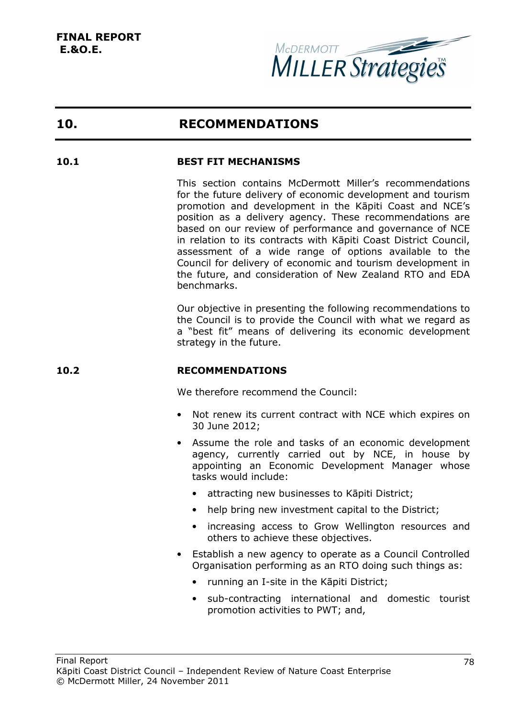

## **10. RECOMMENDATIONS**

## **10.1 BEST FIT MECHANISMS**

This section contains McDermott Miller's recommendations for the future delivery of economic development and tourism promotion and development in the Kāpiti Coast and NCE's position as a delivery agency. These recommendations are based on our review of performance and governance of NCE in relation to its contracts with Kāpiti Coast District Council, assessment of a wide range of options available to the Council for delivery of economic and tourism development in the future, and consideration of New Zealand RTO and EDA benchmarks.

Our objective in presenting the following recommendations to the Council is to provide the Council with what we regard as a "best fit" means of delivering its economic development strategy in the future.

## **10.2 RECOMMENDATIONS**

We therefore recommend the Council:

- Not renew its current contract with NCE which expires on 30 June 2012;
- Assume the role and tasks of an economic development agency, currently carried out by NCE, in house by appointing an Economic Development Manager whose tasks would include:
	- attracting new businesses to Kāpiti District;
	- help bring new investment capital to the District;
	- increasing access to Grow Wellington resources and others to achieve these objectives.
- Establish a new agency to operate as a Council Controlled Organisation performing as an RTO doing such things as:
	- running an I-site in the Kāpiti District;
	- sub-contracting international and domestic tourist promotion activities to PWT; and,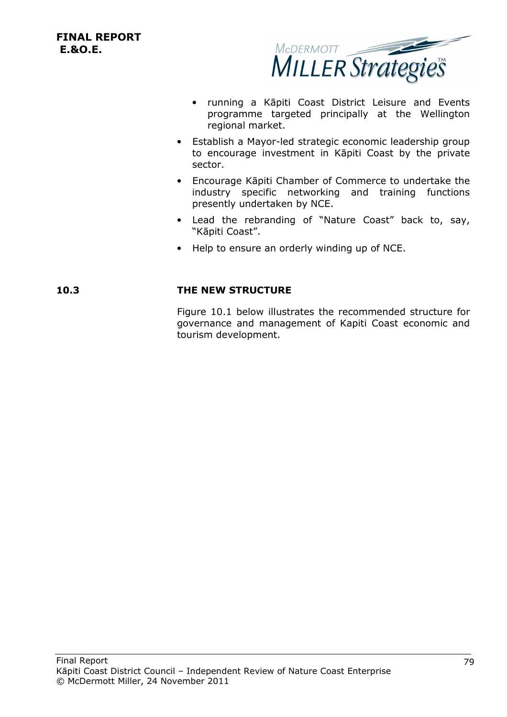

- running a Kāpiti Coast District Leisure and Events programme targeted principally at the Wellington regional market.
- Establish a Mayor-led strategic economic leadership group to encourage investment in Kāpiti Coast by the private sector.
- Encourage Kāpiti Chamber of Commerce to undertake the industry specific networking and training functions presently undertaken by NCE.
- Lead the rebranding of "Nature Coast" back to, say, "Kāpiti Coast".
- Help to ensure an orderly winding up of NCE.

## **10.3 THE NEW STRUCTURE**

Figure 10.1 below illustrates the recommended structure for governance and management of Kapiti Coast economic and tourism development.